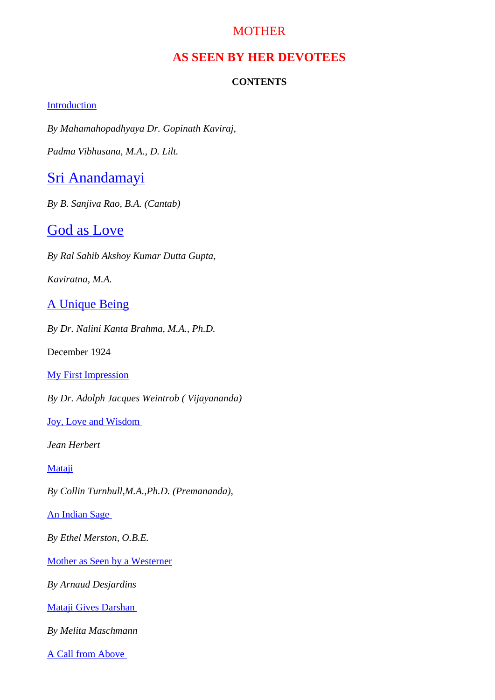# MOTHER

# **AS SEEN BY HER DEVOTEES**

### **CONTENTS**

### [Introduction](#page-1-0)

*By Mahamahopadhyaya Dr. Gopinath Kaviraj,* 

*Padma Vibhusana, M.A., D. Lilt.*

# [Sri Anandamayi](#page-16-0)

*By B. Sanjiva Rao, B.A. (Cantab)*

# [God as Love](#page-23-0)

*By Ral Sahib Akshoy Kumar Dutta Gupta,* 

*Kaviratna, M.A.*

## [A Unique Being](#page-33-0)

*By Dr. Nalini Kanta Brahma, M.A., Ph.D.*

December 1924

**[My First Impression](#page-35-0)** 

*By Dr. Adolph Jacques Weintrob ( Vijayananda)*

[Joy, Love and Wisdom](#page-38-0) 

*Jean Herbert*

**[Mataji](#page-40-0)** 

*By Collin Turnbull,M.A.,Ph.D. (Premananda),*

[An Indian Sage](#page-42-0) 

*By Ethel Merston, O.B.E.*

[Mother as Seen by a Westerner](#page-43-0)

*By Arnaud Desjardins*

[Mataji Gives Darshan](#page-50-0) 

*By Melita Maschmann*

[A Call from Above](#page-54-0)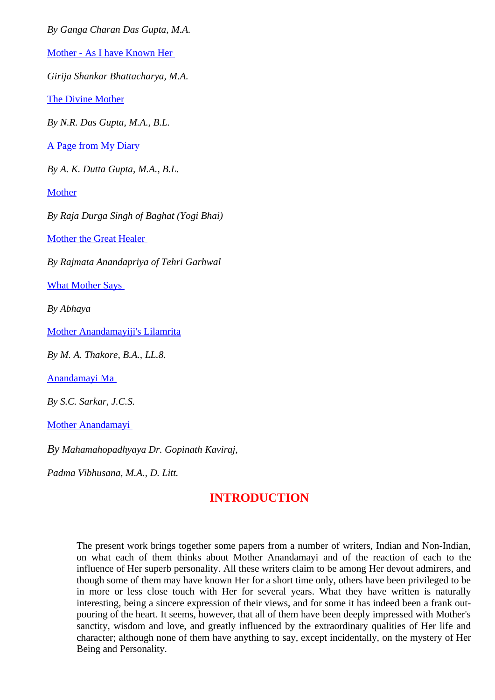*By Ganga Charan Das Gupta, M.A.*

[Mother - As I have Known Her](#page-64-0) 

*Girija Shankar Bhattacharya, M.A.*

[The Divine Mother](#page-69-0)

*By N.R. Das Gupta, M.A., B.L.*

[A Page from My Diary](#page-71-0) 

*By A. K. Dutta Gupta, M.A., B.L.*

**[Mother](#page-76-0)** 

*By Raja Durga Singh of Baghat (Yogi Bhai)*

[Mother the Great Healer](#page-78-0) 

*By Rajmata Anandapriya of Tehri Garhwal*

[What Mother Says](#page-80-0) 

*By Abhaya*

[Mother Anandamayiji's Lilamrita](#page-83-0)

*By M. A. Thakore, B.A., LL.8.*

[Anandamayi Ma](#page-89-0) 

*By S.C. Sarkar, J.C.S.*

[Mother Anandamayi](#page-92-0) 

*By Mahamahopadhyaya Dr. Gopinath Kaviraj,* 

*Padma Vibhusana, M.A., D. Litt.*

# <span id="page-1-0"></span>**INTRODUCTION**

The present work brings together some papers from a number of writers, Indian and Non-Indian, on what each of them thinks about Mother Anandamayi and of the reaction of each to the influence of Her superb personality. All these writers claim to be among Her devout admirers, and though some of them may have known Her for a short time only, others have been privileged to be in more or less close touch with Her for several years. What they have written is naturally interesting, being a sincere expression of their views, and for some it has indeed been a frank outpouring of the heart. It seems, however, that all of them have been deeply impressed with Mother's sanctity, wisdom and love, and greatly influenced by the extraordinary qualities of Her life and character; although none of them have anything to say, except incidentally, on the mystery of Her Being and Personality.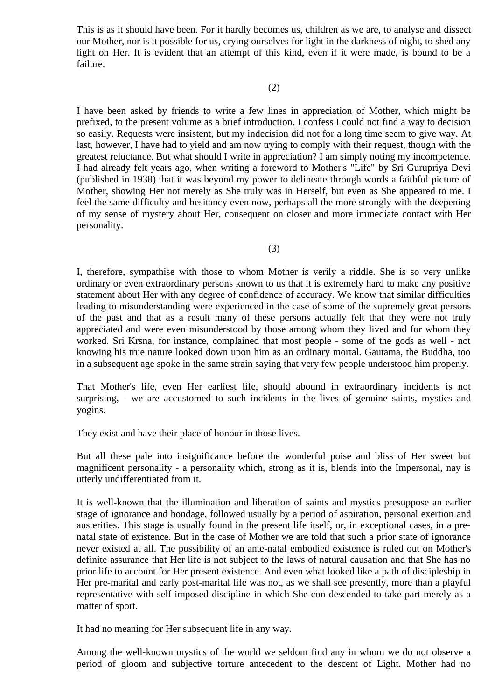This is as it should have been. For it hardly becomes us, children as we are, to analyse and dissect our Mother, nor is it possible for us, crying ourselves for light in the darkness of night, to shed any light on Her. It is evident that an attempt of this kind, even if it were made, is bound to be a failure.

## (2)

I have been asked by friends to write a few lines in appreciation of Mother, which might be prefixed, to the present volume as a brief introduction. I confess I could not find a way to decision so easily. Requests were insistent, but my indecision did not for a long time seem to give way. At last, however, I have had to yield and am now trying to comply with their request, though with the greatest reluctance. But what should I write in appreciation? I am simply noting my incompetence. I had already felt years ago, when writing a foreword to Mother's "Life" by Sri Gurupriya Devi (published in 1938) that it was beyond my power to delineate through words a faithful picture of Mother, showing Her not merely as She truly was in Herself, but even as She appeared to me. I feel the same difficulty and hesitancy even now, perhaps all the more strongly with the deepening of my sense of mystery about Her, consequent on closer and more immediate contact with Her personality.

#### (3)

I, therefore, sympathise with those to whom Mother is verily a riddle. She is so very unlike ordinary or even extraordinary persons known to us that it is extremely hard to make any positive statement about Her with any degree of confidence of accuracy. We know that similar difficulties leading to misunderstanding were experienced in the case of some of the supremely great persons of the past and that as a result many of these persons actually felt that they were not truly appreciated and were even misunderstood by those among whom they lived and for whom they worked. Sri Krsna, for instance, complained that most people - some of the gods as well - not knowing his true nature looked down upon him as an ordinary mortal. Gautama, the Buddha, too in a subsequent age spoke in the same strain saying that very few people understood him properly.

That Mother's life, even Her earliest life, should abound in extraordinary incidents is not surprising, - we are accustomed to such incidents in the lives of genuine saints, mystics and yogins.

They exist and have their place of honour in those lives.

But all these pale into insignificance before the wonderful poise and bliss of Her sweet but magnificent personality - a personality which, strong as it is, blends into the Impersonal, nay is utterly undifferentiated from it.

It is well-known that the illumination and liberation of saints and mystics presuppose an earlier stage of ignorance and bondage, followed usually by a period of aspiration, personal exertion and austerities. This stage is usually found in the present life itself, or, in exceptional cases, in a prenatal state of existence. But in the case of Mother we are told that such a prior state of ignorance never existed at all. The possibility of an ante-natal embodied existence is ruled out on Mother's definite assurance that Her life is not subject to the laws of natural causation and that She has no prior life to account for Her present existence. And even what looked like a path of discipleship in Her pre-marital and early post-marital life was not, as we shall see presently, more than a playful representative with self-imposed discipline in which She con-descended to take part merely as a matter of sport.

It had no meaning for Her subsequent life in any way.

Among the well-known mystics of the world we seldom find any in whom we do not observe a period of gloom and subjective torture antecedent to the descent of Light. Mother had no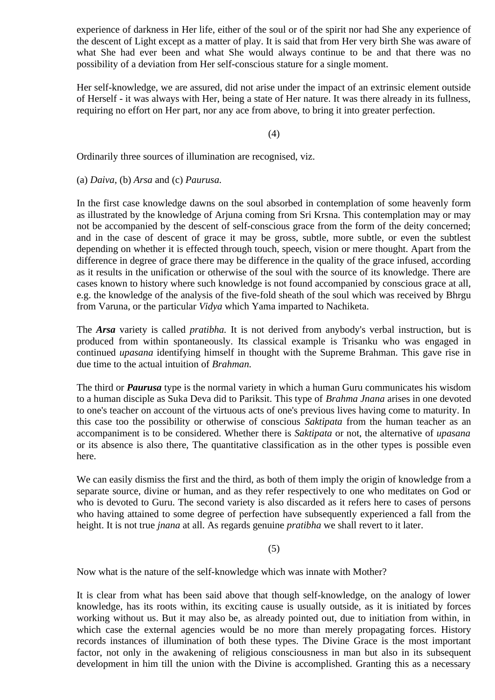experience of darkness in Her life, either of the soul or of the spirit nor had She any experience of the descent of Light except as a matter of play. It is said that from Her very birth She was aware of what She had ever been and what She would always continue to be and that there was no possibility of a deviation from Her self-conscious stature for a single moment.

Her self-knowledge, we are assured, did not arise under the impact of an extrinsic element outside of Herself - it was always with Her, being a state of Her nature. It was there already in its fullness, requiring no effort on Her part, nor any ace from above, to bring it into greater perfection.

(4)

Ordinarily three sources of illumination are recognised, viz.

(a) *Daiva,* (b) *Arsa* and (c) *Paurusa.*

In the first case knowledge dawns on the soul absorbed in contemplation of some heavenly form as illustrated by the knowledge of Arjuna coming from Sri Krsna. This contemplation may or may not be accompanied by the descent of self-conscious grace from the form of the deity concerned; and in the case of descent of grace it may be gross, subtle, more subtle, or even the subtlest depending on whether it is effected through touch, speech, vision or mere thought. Apart from the difference in degree of grace there may be difference in the quality of the grace infused, according as it results in the unification or otherwise of the soul with the source of its knowledge. There are cases known to history where such knowledge is not found accompanied by conscious grace at all, e.g. the knowledge of the analysis of the five-fold sheath of the soul which was received by Bhrgu from Varuna, or the particular *Vidya* which Yama imparted to Nachiketa.

The *Arsa* variety is called *pratibha.* It is not derived from anybody's verbal instruction, but is produced from within spontaneously. Its classical example is Trisanku who was engaged in continued *upasana* identifying himself in thought with the Supreme Brahman. This gave rise in due time to the actual intuition of *Brahman.*

The third or *Paurusa* type is the normal variety in which a human Guru communicates his wisdom to a human disciple as Suka Deva did to Pariksit. This type of *Brahma Jnana* arises in one devoted to one's teacher on account of the virtuous acts of one's previous lives having come to maturity. In this case too the possibility or otherwise of conscious *Saktipata* from the human teacher as an accompaniment is to be considered. Whether there is *Saktipata* or not, the alternative of *upasana* or its absence is also there, The quantitative classification as in the other types is possible even here.

We can easily dismiss the first and the third, as both of them imply the origin of knowledge from a separate source, divine or human, and as they refer respectively to one who meditates on God or who is devoted to Guru. The second variety is also discarded as it refers here to cases of persons who having attained to some degree of perfection have subsequently experienced a fall from the height. It is not true *jnana* at all. As regards genuine *pratibha* we shall revert to it later.

(5)

Now what is the nature of the self-knowledge which was innate with Mother?

It is clear from what has been said above that though self-knowledge, on the analogy of lower knowledge, has its roots within, its exciting cause is usually outside, as it is initiated by forces working without us. But it may also be, as already pointed out, due to initiation from within, in which case the external agencies would be no more than merely propagating forces. History records instances of illumination of both these types. The Divine Grace is the most important factor, not only in the awakening of religious consciousness in man but also in its subsequent development in him till the union with the Divine is accomplished. Granting this as a necessary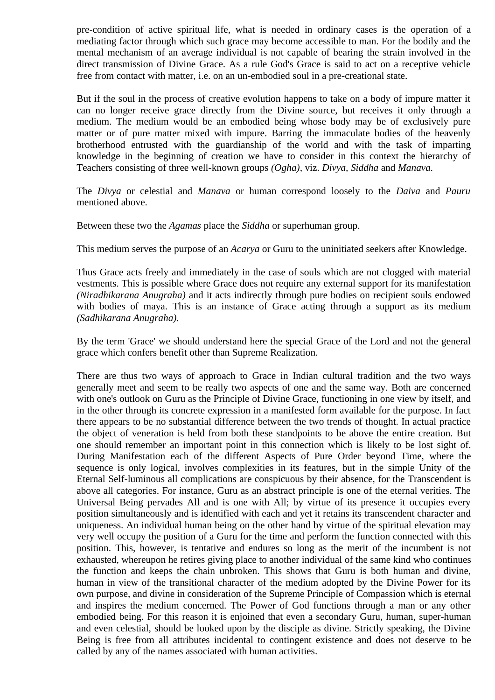pre-condition of active spiritual life, what is needed in ordinary cases is the operation of a mediating factor through which such grace may become accessible to man. For the bodily and the mental mechanism of an average individual is not capable of bearing the strain involved in the direct transmission of Divine Grace. As a rule God's Grace is said to act on a receptive vehicle free from contact with matter, i.e. on an un-embodied soul in a pre-creational state.

But if the soul in the process of creative evolution happens to take on a body of impure matter it can no longer receive grace directly from the Divine source, but receives it only through a medium. The medium would be an embodied being whose body may be of exclusively pure matter or of pure matter mixed with impure. Barring the immaculate bodies of the heavenly brotherhood entrusted with the guardianship of the world and with the task of imparting knowledge in the beginning of creation we have to consider in this context the hierarchy of Teachers consisting of three well-known groups *(Ogha),* viz. *Divya, Siddha* and *Manava.*

The *Divya* or celestial and *Manava* or human correspond loosely to the *Daiva* and *Pauru* mentioned above.

Between these two the *Agamas* place the *Siddha* or superhuman group.

This medium serves the purpose of an *Acarya* or Guru to the uninitiated seekers after Knowledge.

Thus Grace acts freely and immediately in the case of souls which are not clogged with material vestments. This is possible where Grace does not require any external support for its manifestation *(Niradhikarana Anugraha)* and it acts indirectly through pure bodies on recipient souls endowed with bodies of maya. This is an instance of Grace acting through a support as its medium *(Sadhikarana Anugraha).* 

By the term 'Grace' we should understand here the special Grace of the Lord and not the general grace which confers benefit other than Supreme Realization.

There are thus two ways of approach to Grace in Indian cultural tradition and the two ways generally meet and seem to be really two aspects of one and the same way. Both are concerned with one's outlook on Guru as the Principle of Divine Grace, functioning in one view by itself, and in the other through its concrete expression in a manifested form available for the purpose. In fact there appears to be no substantial difference between the two trends of thought. In actual practice the object of veneration is held from both these standpoints to be above the entire creation. But one should remember an important point in this connection which is likely to be lost sight of. During Manifestation each of the different Aspects of Pure Order beyond Time, where the sequence is only logical, involves complexities in its features, but in the simple Unity of the Eternal Self-luminous all complications are conspicuous by their absence, for the Transcendent is above all categories. For instance, Guru as an abstract principle is one of the eternal verities. The Universal Being pervades All and is one with All; by virtue of its presence it occupies every position simultaneously and is identified with each and yet it retains its transcendent character and uniqueness. An individual human being on the other hand by virtue of the spiritual elevation may very well occupy the position of a Guru for the time and perform the function connected with this position. This, however, is tentative and endures so long as the merit of the incumbent is not exhausted, whereupon he retires giving place to another individual of the same kind who continues the function and keeps the chain unbroken. This shows that Guru is both human and divine, human in view of the transitional character of the medium adopted by the Divine Power for its own purpose, and divine in consideration of the Supreme Principle of Compassion which is eternal and inspires the medium concerned. The Power of God functions through a man or any other embodied being. For this reason it is enjoined that even a secondary Guru, human, super-human and even celestial, should be looked upon by the disciple as divine. Strictly speaking, the Divine Being is free from all attributes incidental to contingent existence and does not deserve to be called by any of the names associated with human activities.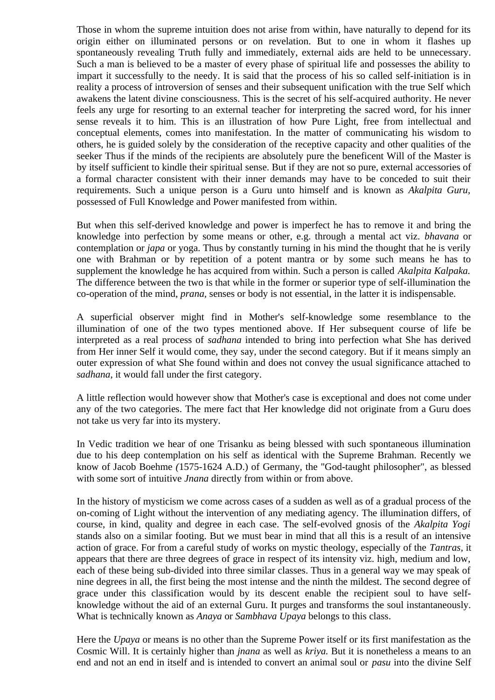Those in whom the supreme intuition does not arise from within, have naturally to depend for its origin either on illuminated persons or on revelation. But to one in whom it flashes up spontaneously revealing Truth fully and immediately, external aids are held to be unnecessary. Such a man is believed to be a master of every phase of spiritual life and possesses the ability to impart it successfully to the needy. It is said that the process of his so called self-initiation is in reality a process of introversion of senses and their subsequent unification with the true Self which awakens the latent divine consciousness. This is the secret of his self-acquired authority. He never feels any urge for resorting to an external teacher for interpreting the sacred word, for his inner sense reveals it to him. This is an illustration of how Pure Light, free from intellectual and conceptual elements, comes into manifestation. In the matter of communicating his wisdom to others, he is guided solely by the consideration of the receptive capacity and other qualities of the seeker Thus if the minds of the recipients are absolutely pure the beneficent Will of the Master is by itself sufficient to kindle their spiritual sense. But if they are not so pure, external accessories of a formal character consistent with their inner demands may have to be conceded to suit their requirements. Such a unique person is a Guru unto himself and is known as *Akalpita Guru,* possessed of Full Knowledge and Power manifested from within.

But when this self-derived knowledge and power is imperfect he has to remove it and bring the knowledge into perfection by some means or other, e.g. through a mental act viz. *bhavana* or contemplation or *japa* or yoga. Thus by constantly turning in his mind the thought that he is verily one with Brahman or by repetition of a potent mantra or by some such means he has to supplement the knowledge he has acquired from within. Such a person is called *Akalpita Kalpaka.* The difference between the two is that while in the former or superior type of self-illumination the co-operation of the mind, *prana,* senses or body is not essential, in the latter it is indispensable.

A superficial observer might find in Mother's self-knowledge some resemblance to the illumination of one of the two types mentioned above. If Her subsequent course of life be interpreted as a real process of *sadhana* intended to bring into perfection what She has derived from Her inner Self it would come, they say, under the second category. But if it means simply an outer expression of what She found within and does not convey the usual significance attached to *sadhana,* it would fall under the first category.

A little reflection would however show that Mother's case is exceptional and does not come under any of the two categories. The mere fact that Her knowledge did not originate from a Guru does not take us very far into its mystery.

In Vedic tradition we hear of one Trisanku as being blessed with such spontaneous illumination due to his deep contemplation on his self as identical with the Supreme Brahman. Recently we know of Jacob Boehme *(*1575-1624 A.D.) of Germany, the "God-taught philosopher", as blessed with some sort of intuitive *Jnana* directly from within or from above.

In the history of mysticism we come across cases of a sudden as well as of a gradual process of the on-coming of Light without the intervention of any mediating agency. The illumination differs, of course, in kind, quality and degree in each case. The self-evolved gnosis of the *Akalpita Yogi* stands also on a similar footing. But we must bear in mind that all this is a result of an intensive action of grace. For from a careful study of works on mystic theology, especially of the *Tantras,* it appears that there are three degrees of grace in respect of its intensity viz. high, medium and low, each of these being sub-divided into three similar classes. Thus in a general way we may speak of nine degrees in all, the first being the most intense and the ninth the mildest. The second degree of grace under this classification would by its descent enable the recipient soul to have selfknowledge without the aid of an external Guru. It purges and transforms the soul instantaneously. What is technically known as *Anaya* or *Sambhava Upaya* belongs to this class.

Here the *Upaya* or means is no other than the Supreme Power itself or its first manifestation as the Cosmic Will. It is certainly higher than *jnana* as well as *kriya.* But it is nonetheless a means to an end and not an end in itself and is intended to convert an animal soul or *pasu* into the divine Self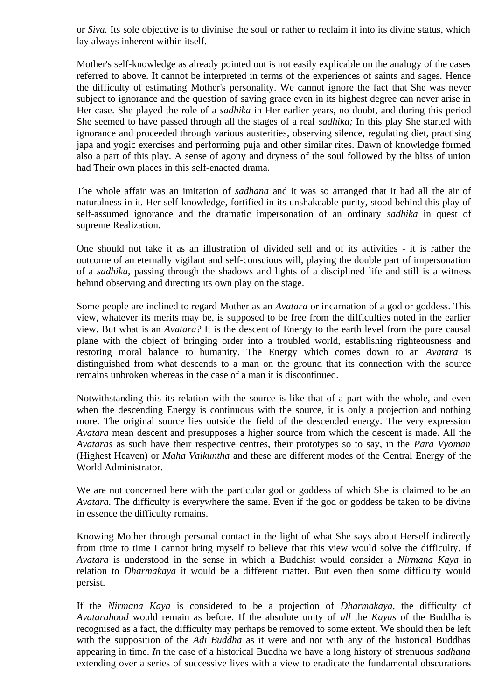or *Siva.* Its sole objective is to divinise the soul or rather to reclaim it into its divine status, which lay always inherent within itself.

Mother's self-knowledge as already pointed out is not easily explicable on the analogy of the cases referred to above. It cannot be interpreted in terms of the experiences of saints and sages. Hence the difficulty of estimating Mother's personality. We cannot ignore the fact that She was never subject to ignorance and the question of saving grace even in its highest degree can never arise in Her case. She played the role of a *sadhika* in Her earlier years, no doubt, and during this period She seemed to have passed through all the stages of a real *sadhika;* In this play She started with ignorance and proceeded through various austerities, observing silence, regulating diet, practising japa and yogic exercises and performing puja and other similar rites. Dawn of knowledge formed also a part of this play. A sense of agony and dryness of the soul followed by the bliss of union had Their own places in this self-enacted drama.

The whole affair was an imitation of *sadhana* and it was so arranged that it had all the air of naturalness in it. Her self-knowledge, fortified in its unshakeable purity, stood behind this play of self-assumed ignorance and the dramatic impersonation of an ordinary *sadhika* in quest of supreme Realization.

One should not take it as an illustration of divided self and of its activities - it is rather the outcome of an eternally vigilant and self-conscious will, playing the double part of impersonation of a *sadhika,* passing through the shadows and lights of a disciplined life and still is a witness behind observing and directing its own play on the stage.

Some people are inclined to regard Mother as an *Avatara* or incarnation of a god or goddess. This view, whatever its merits may be, is supposed to be free from the difficulties noted in the earlier view. But what is an *Avatara?* It is the descent of Energy to the earth level from the pure causal plane with the object of bringing order into a troubled world, establishing righteousness and restoring moral balance to humanity. The Energy which comes down to an *Avatara* is distinguished from what descends to a man on the ground that its connection with the source remains unbroken whereas in the case of a man it is discontinued.

Notwithstanding this its relation with the source is like that of a part with the whole, and even when the descending Energy is continuous with the source, it is only a projection and nothing more. The original source lies outside the field of the descended energy. The very expression *Avatara* mean descent and presupposes a higher source from which the descent is made. All the *Avataras* as such have their respective centres, their prototypes so to say, in the *Para Vyoman* (Highest Heaven) or *Maha Vaikuntha* and these are different modes of the Central Energy of the World Administrator.

We are not concerned here with the particular god or goddess of which She is claimed to be an *Avatara.* The difficulty is everywhere the same. Even if the god or goddess be taken to be divine in essence the difficulty remains.

Knowing Mother through personal contact in the light of what She says about Herself indirectly from time to time I cannot bring myself to believe that this view would solve the difficulty. If *Avatara* is understood in the sense in which a Buddhist would consider a *Nirmana Kaya* in relation to *Dharmakaya* it would be a different matter. But even then some difficulty would persist.

If the *Nirmana Kaya* is considered to be a projection of *Dharmakaya,* the difficulty of *Avatarahood* would remain as before. If the absolute unity of *all* the *Kayas* of the Buddha is recognised as a fact, the difficulty may perhaps be removed to some extent. We should then be left with the supposition of the *Adi Buddha* as it were and not with any of the historical Buddhas appearing in time. *In* the case of a historical Buddha we have a long history of strenuous *sadhana* extending over a series of successive lives with a view to eradicate the fundamental obscurations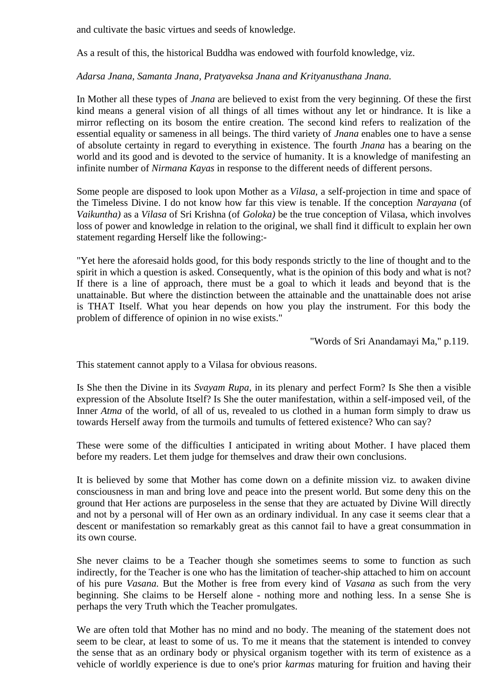and cultivate the basic virtues and seeds of knowledge.

As a result of this, the historical Buddha was endowed with fourfold knowledge, viz.

*Adarsa Jnana, Samanta Jnana, Pratyaveksa Jnana and Krityanusthana Jnana.*

In Mother all these types of *Jnana* are believed to exist from the very beginning. Of these the first kind means a general vision of all things of all times without any let or hindrance. It is like a mirror reflecting on its bosom the entire creation. The second kind refers to realization of the essential equality or sameness in all beings. The third variety of *Jnana* enables one to have a sense of absolute certainty in regard to everything in existence. The fourth *Jnana* has a bearing on the world and its good and is devoted to the service of humanity. It is a knowledge of manifesting an infinite number of *Nirmana Kayas* in response to the different needs of different persons.

Some people are disposed to look upon Mother as a *Vilasa,* a self-projection in time and space of the Timeless Divine. I do not know how far this view is tenable. If the conception *Narayana* (of *Vaikuntha)* as a *Vilasa* of Sri Krishna (of *Goloka)* be the true conception of Vilasa, which involves loss of power and knowledge in relation to the original, we shall find it difficult to explain her own statement regarding Herself like the following:-

"Yet here the aforesaid holds good, for this body responds strictly to the line of thought and to the spirit in which a question is asked. Consequently, what is the opinion of this body and what is not? If there is a line of approach, there must be a goal to which it leads and beyond that is the unattainable. But where the distinction between the attainable and the unattainable does not arise is THAT Itself. What you hear depends on how you play the instrument. For this body the problem of difference of opinion in no wise exists."

"Words of Sri Anandamayi Ma," p.119.

This statement cannot apply to a Vilasa for obvious reasons.

Is She then the Divine in its *Svayam Rupa,* in its plenary and perfect Form? Is She then a visible expression of the Absolute Itself? Is She the outer manifestation, within a self-imposed veil, of the Inner *Atma* of the world, of all of us, revealed to us clothed in a human form simply to draw us towards Herself away from the turmoils and tumults of fettered existence? Who can say?

These were some of the difficulties I anticipated in writing about Mother. I have placed them before my readers. Let them judge for themselves and draw their own conclusions.

It is believed by some that Mother has come down on a definite mission viz. to awaken divine consciousness in man and bring love and peace into the present world. But some deny this on the ground that Her actions are purposeless in the sense that they are actuated by Divine Will directly and not by a personal will of Her own as an ordinary individual. In any case it seems clear that a descent or manifestation so remarkably great as this cannot fail to have a great consummation in its own course.

She never claims to be a Teacher though she sometimes seems to some to function as such indirectly, for the Teacher is one who has the limitation of teacher-ship attached to him on account of his pure *Vasana.* But the Mother is free from every kind of *Vasana* as such from the very beginning. She claims to be Herself alone - nothing more and nothing less. In a sense She is perhaps the very Truth which the Teacher promulgates.

We are often told that Mother has no mind and no body. The meaning of the statement does not seem to be clear, at least to some of us. To me it means that the statement is intended to convey the sense that as an ordinary body or physical organism together with its term of existence as a vehicle of worldly experience is due to one's prior *karmas* maturing for fruition and having their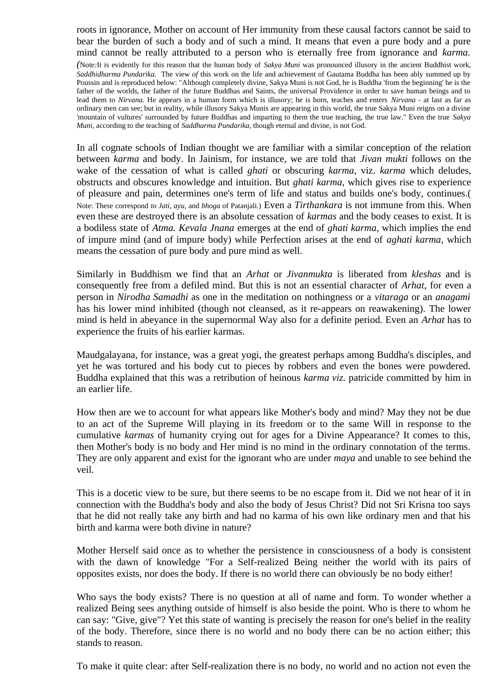roots in ignorance, Mother on account of Her immunity from these causal factors cannot be said to bear the burden of such a body and of such a mind. It means that even a pure body and a pure mind cannot be really attributed to a person who is eternally free from ignorance and *karma. (*Note*:*It is evidently for this reason that the human body of *Sakya Muni* was pronounced illusory in the ancient Buddhist work, *Saddhidharma Pundarika.* The view *of* this work on the life and achievement of Gautama Buddha has been ably summed up by Poussin and is reproduced below: "Although completely divine, Sakya Muni is not God, he is Buddha 'from the beginning' he is the father of the worlds, the father of the future Buddhas and Saints, the universal Providence in order to save human beings and to lead them to *Nirvana.* He appears in a human form which is illusory; he is born, teaches and enters *Nirvana* - at last as far as ordinary men can see; but in reality, while illusory Sakya Munis are appearing in this world, the true Sakya Muni reigns on a divine 'mountain of vultures' surrounded by future Buddhas and imparting to them the true teaching, the true law." Even the true *Sakya Muni,* according to the teaching of *Saddharma Pundarika,* though eternal and divine, is not God.

In all cognate schools of Indian thought we are familiar with a similar conception of the relation between *karma* and body. In Jainism, for instance, we are told that *Jivan mukti* follows on the wake of the cessation of what is called *ghati* or obscuring *karma,* viz. *karma* which deludes, obstructs and obscures knowledge and intuition. But *ghati karma,* which gives rise to experience of pleasure and pain, determines one's term of life and status and builds one's body, continues.( Note: These correspond *to Jati, ayu,* and *bhoga* of Patanjali.) Even a *Tirthankara* is not immune from this. When even these are destroyed there is an absolute cessation of *karmas* and the body ceases to exist. It is a bodiless state of *Atma. Kevala Jnana* emerges at the end of *ghati karma,* which implies the end of impure mind (and of impure body) while Perfection arises at the end of *aghati karma,* which means the cessation of pure body and pure mind as well.

Similarly in Buddhism we find that an *Arhat* or *Jivanmukta* is liberated from *kleshas* and is consequently free from a defiled mind. But this is not an essential character of *Arhat,* for even a person in *Nirodha Samadhi* as one in the meditation on nothingness or a *vitaraga* or an *anagami* has his lower mind inhibited (though not cleansed, as it re-appears on reawakening). The lower mind is held in abeyance in the supernormal Way also for a definite period. Even an *Arhat* has to experience the fruits of his earlier karmas.

Maudgalayana, for instance, was a great yogi, the greatest perhaps among Buddha's disciples, and yet he was tortured and his body cut to pieces by robbers and even the bones were powdered. Buddha explained that this was a retribution of heinous *karma viz.* patricide committed by him in an earlier life.

How then are we to account for what appears like Mother's body and mind? May they not be due to an act of the Supreme Will playing in its freedom or to the same Will in response to the cumulative *karmas* of humanity crying out for ages for a Divine Appearance? It comes to this, then Mother's body is no body and Her mind is no mind in the ordinary connotation of the terms. They are only apparent and exist for the ignorant who are under *maya* and unable to see behind the veil.

This is a docetic view to be sure, but there seems to be no escape from it. Did we not hear of it in connection with the Buddha's body and also the body of Jesus Christ? Did not Sri Krisna too says that he did not really take any birth and had no karma of his own like ordinary men and that his birth and karma were both divine in nature?

Mother Herself said once as to whether the persistence in consciousness of a body is consistent with the dawn of knowledge "For a Self-realized Being neither the world with its pairs of opposites exists, nor does the body. If there is no world there can obviously be no body either!

Who says the body exists? There is no question at all of name and form. To wonder whether a realized Being sees anything outside of himself is also beside the point. Who is there to whom he can say: "Give, give"? Yet this state of wanting is precisely the reason for one's belief in the reality of the body. Therefore, since there is no world and no body there can be no action either; this stands to reason.

To make it quite clear: after Self-realization there is no body, no world and no action not even the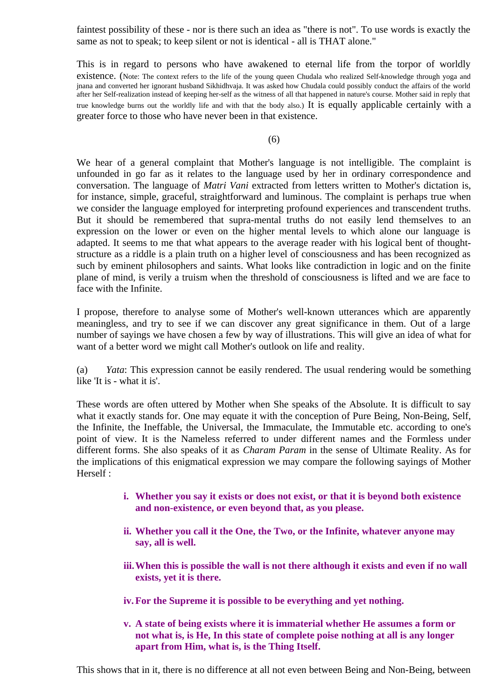faintest possibility of these - nor is there such an idea as "there is not". To use words is exactly the same as not to speak; to keep silent or not is identical - all is THAT alone."

This is in regard to persons who have awakened to eternal life from the torpor of worldly existence. (Note: The context refers to the life of the young queen Chudala who realized Self-knowledge through yoga and jnana and converted her ignorant husband Sikhidhvaja. It was asked how Chudala could possibly conduct the affairs of the world after her Self-realization instead of keeping her-self as the witness of all that happened in nature's course. Mother said in reply that true knowledge burns out the worldly life and with that the body also.) It is equally applicable certainly with a greater force to those who have never been in that existence.

#### (6)

We hear of a general complaint that Mother's language is not intelligible. The complaint is unfounded in go far as it relates to the language used by her in ordinary correspondence and conversation. The language of *Matri Vani* extracted from letters written to Mother's dictation is, for instance, simple, graceful, straightforward and luminous. The complaint is perhaps true when we consider the language employed for interpreting profound experiences and transcendent truths. But it should be remembered that supra-mental truths do not easily lend themselves to an expression on the lower or even on the higher mental levels to which alone our language is adapted. It seems to me that what appears to the average reader with his logical bent of thoughtstructure as a riddle is a plain truth on a higher level of consciousness and has been recognized as such by eminent philosophers and saints. What looks like contradiction in logic and on the finite plane of mind, is verily a truism when the threshold of consciousness is lifted and we are face to face with the Infinite.

I propose, therefore to analyse some of Mother's well-known utterances which are apparently meaningless, and try to see if we can discover any great significance in them. Out of a large number of sayings we have chosen a few by way of illustrations. This will give an idea of what for want of a better word we might call Mother's outlook on life and reality.

(a) *Yata*: This expression cannot be easily rendered. The usual rendering would be something like 'It is - what it is'.

These words are often uttered by Mother when She speaks of the Absolute. It is difficult to say what it exactly stands for. One may equate it with the conception of Pure Being, Non-Being, Self, the Infinite, the Ineffable, the Universal, the Immaculate, the Immutable etc. according to one's point of view. It is the Nameless referred to under different names and the Formless under different forms. She also speaks of it as *Charam Param* in the sense of Ultimate Reality. As for the implications of this enigmatical expression we may compare the following sayings of Mother Herself :

- **i. Whether you say it exists or does not exist, or that it is beyond both existence and non-existence, or even beyond that, as you please.**
- **ii. Whether you call it the One, the Two, or the Infinite, whatever anyone may say, all is well.**
- **iii.When this is possible the wall is not there although it exists and even if no wall exists, yet it is there.**
- **iv. For the Supreme it is possible to be everything and yet nothing.**
- **v. A state of being exists where it is immaterial whether He assumes a form or not what is, is He, In this state of complete poise nothing at all is any longer apart from Him, what is, is the Thing Itself.**

This shows that in it, there is no difference at all not even between Being and Non-Being, between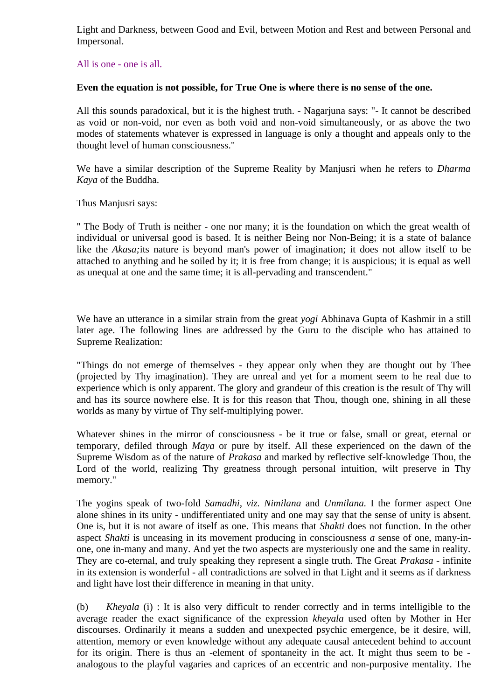Light and Darkness, between Good and Evil, between Motion and Rest and between Personal and Impersonal.

### All is one - one is all.

### **Even the equation is not possible, for True One is where there is no sense of the one.**

All this sounds paradoxical, but it is the highest truth. - Nagarjuna says: "- It cannot be described as void or non-void, nor even as both void and non-void simultaneously, or as above the two modes of statements whatever is expressed in language is only a thought and appeals only to the thought level of human consciousness."

We have a similar description of the Supreme Reality by Manjusri when he refers to *Dharma Kaya* of the Buddha.

Thus Manjusri says:

" The Body of Truth is neither - one nor many; it is the foundation on which the great wealth of individual or universal good is based. It is neither Being nor Non-Being; it is a state of balance like the *Akasa;*its nature is beyond man's power of imagination; it does not allow itself to be attached to anything and he soiled by it; it is free from change; it is auspicious; it is equal as well as unequal at one and the same time; it is all-pervading and transcendent."

We have an utterance in a similar strain from the great *yogi* Abhinava Gupta of Kashmir in a still later age. The following lines are addressed by the Guru to the disciple who has attained to Supreme Realization:

"Things do not emerge of themselves - they appear only when they are thought out by Thee (projected by Thy imagination). They are unreal and yet for a moment seem to he real due to experience which is only apparent. The glory and grandeur of this creation is the result of Thy will and has its source nowhere else. It is for this reason that Thou, though one, shining in all these worlds as many by virtue of Thy self-multiplying power.

Whatever shines in the mirror of consciousness - be it true or false, small or great, eternal or temporary, defiled through *Maya* or pure by itself. All these experienced on the dawn of the Supreme Wisdom as of the nature of *Prakasa* and marked by reflective self-knowledge Thou, the Lord of the world, realizing Thy greatness through personal intuition, wilt preserve in Thy memory."

The yogins speak of two-fold *Samadhi, viz. Nimilana* and *Unmilana.* I the former aspect One alone shines in its unity - undifferentiated unity and one may say that the sense of unity is absent. One is, but it is not aware of itself as one. This means that *Shakti* does not function. In the other aspect *Shakti* is unceasing in its movement producing in consciousness *a* sense of one, many-inone, one in-many and many. And yet the two aspects are mysteriously one and the same in reality. They are co-eternal, and truly speaking they represent a single truth. The Great *Prakasa -* infinite in its extension is wonderful - all contradictions are solved in that Light and it seems as if darkness and light have lost their difference in meaning in that unity.

(b) *Kheyala* (i) : It is also very difficult to render correctly and in terms intelligible to the average reader the exact significance of the expression *kheyala* used often by Mother in Her discourses. Ordinarily it means a sudden and unexpected psychic emergence, be it desire, will, attention, memory or even knowledge without any adequate causal antecedent behind to account for its origin. There is thus an -element of spontaneity in the act. It might thus seem to be analogous to the playful vagaries and caprices of an eccentric and non-purposive mentality. The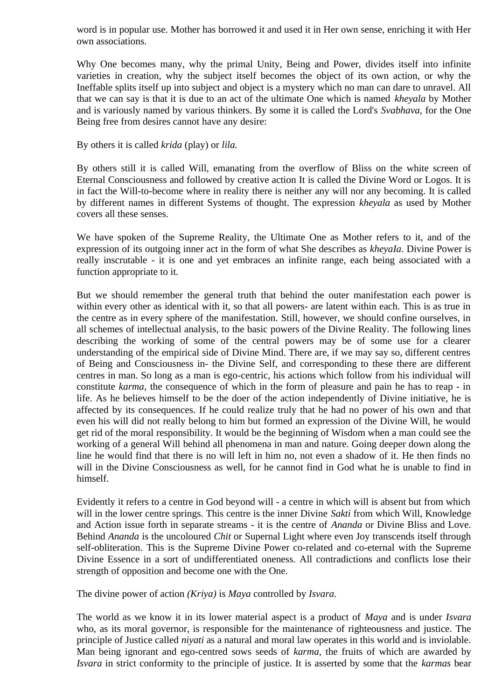word is in popular use. Mother has borrowed it and used it in Her own sense, enriching it with Her own associations.

Why One becomes many, why the primal Unity, Being and Power, divides itself into infinite varieties in creation, why the subject itself becomes the object of its own action, or why the Ineffable splits itself up into subject and object is a mystery which no man can dare to unravel. All that we can say is that it is due to an act of the ultimate One which is named *kheyala* by Mother and is variously named by various thinkers. By some it is called the Lord's *Svabhava,* for the One Being free from desires cannot have any desire:

By others it is called *krida* (play) or *lila.*

By others still it is called Will, emanating from the overflow of Bliss on the white screen of Eternal Consciousness and followed by creative action It is called the Divine Word or Logos. It is in fact the Will-to-become where in reality there is neither any will nor any becoming. It is called by different names in different Systems of thought. The expression *kheyala* as used by Mother covers all these senses.

We have spoken of the Supreme Reality, the Ultimate One as Mother refers to it, and of the expression of its outgoing inner act in the form of what She describes as *kheyaIa.* Divine Power is really inscrutable - it is one and yet embraces an infinite range, each being associated with a function appropriate to it.

But we should remember the general truth that behind the outer manifestation each power is within every other as identical with it, so that all powers- are latent within each. This is as true in the centre as in every sphere of the manifestation. Still, however, we should confine ourselves, in all schemes of intellectual analysis, to the basic powers of the Divine Reality. The following lines describing the working of some of the central powers may be of some use for a clearer understanding of the empirical side of Divine Mind. There are, if we may say so, different centres of Being and Consciousness in- the Divine Self, and corresponding to these there are different centres in man. So long as a man is ego-centric, his actions which follow from his individual will constitute *karma,* the consequence of which in the form of pleasure and pain he has to reap - in life. As he believes himself to be the doer of the action independently of Divine initiative, he is affected by its consequences. If he could realize truly that he had no power of his own and that even his will did not really belong to him but formed an expression of the Divine Will, he would get rid of the moral responsibility. It would be the beginning of Wisdom when a man could see the working of a general Will behind all phenomena in man and nature. Going deeper down along the line he would find that there is no will left in him no, not even a shadow of it. He then finds no will in the Divine Consciousness as well, for he cannot find in God what he is unable to find in himself.

Evidently it refers to a centre in God beyond will - a centre in which will is absent but from which will in the lower centre springs. This centre is the inner Divine *Sakti* from which Will, Knowledge and Action issue forth in separate streams - it is the centre of *Ananda* or Divine Bliss and Love. Behind *Ananda* is the uncoloured *Chit* or Supernal Light where even Joy transcends itself through self-obliteration. This is the Supreme Divine Power co-related and co-eternal with the Supreme Divine Essence in a sort of undifferentiated oneness. All contradictions and conflicts lose their strength of opposition and become one with the One.

The divine power of action *(Kriya)* is *Maya* controlled by *Isvara.* 

The world as we know it in its lower material aspect is a product of *Maya* and is under *Isvara* who, as its moral governor, is responsible for the maintenance of righteousness and justice. The principle of Justice called *niyati* as a natural and moral law operates in this world and is inviolable. Man being ignorant and ego-centred sows seeds of *karma,* the fruits of which are awarded by *Isvara* in strict conformity to the principle of justice. It is asserted by some that the *karmas* bear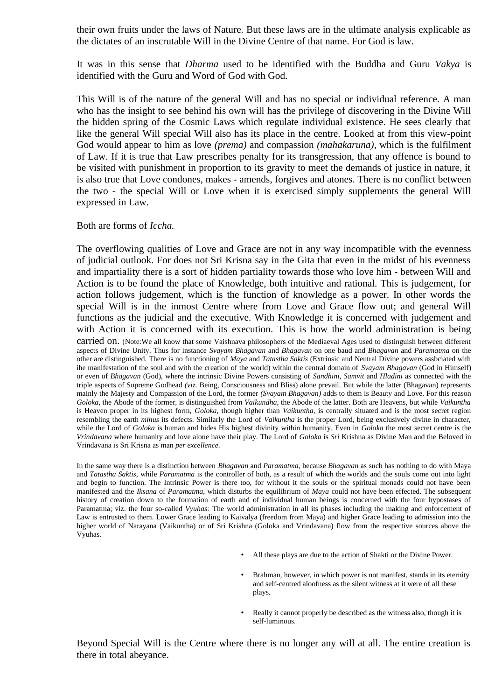their own fruits under the laws of Nature. But these laws are in the ultimate analysis explicable as the dictates of an inscrutable Will in the Divine Centre of that name. For God is law.

It was in this sense that *Dharma* used to be identified with the Buddha and Guru *Vakya* is identified with the Guru and Word of God with God.

This Will is of the nature of the general Will and has no special or individual reference. A man who has the insight to see behind his own will has the privilege of discovering in the Divine Will the hidden spring of the Cosmic Laws which regulate individual existence. He sees clearly that like the general Will special Will also has its place in the centre. Looked at from this view-point God would appear to him as love *(prema)* and compassion *(mahakaruna),* which is the fulfilment of Law. If it is true that Law prescribes penalty for its transgression, that any offence is bound to be visited with punishment in proportion to its gravity to meet the demands of justice in nature, it is also true that Love condones, makes - amends, forgives and atones. There is no conflict between the two - the special Will or Love when it is exercised simply supplements the general Will expressed in Law.

#### Both are forms of *Iccha.*

The overflowing qualities of Love and Grace are not in any way incompatible with the evenness of judicial outlook. For does not Sri Krisna say in the Gita that even in the midst of his evenness and impartiality there is a sort of hidden partiality towards those who love him - between Will and Action is to be found the place of Knowledge, both intuitive and rational. This is judgement, for action follows judgement, which is the function of knowledge as a power. In other words the special Will is in the inmost Centre where from Love and Grace flow out; and general Will functions as the judicial and the executive. With Knowledge it is concerned with judgement and with Action it is concerned with its execution. This is how the world administration is being carried on. (Note:We all know that some Vaishnava philosophers of the Mediaeval Ages used to distinguish between different aspects of Divine Unity. Thus for instance *Svayam Bhagavan* and *Bhagavan* on one baud and *Bhagavan* and *Paramatma* on the other are distinguished. There is no functioning of *Maya* and *Tatastha Saktis* (Extrinsic and Neutral Divine powers assbciated with ihe manifestation of the soul and with the creation of the world) within the central domain of *Svayam Bhagavan* (God in Himself) or even of *Bhagavan* (God), where the intrinsic Divine Powers consisting of *Sandhini, Samvit* and *Hladini* as connected with the triple aspects of Supreme Godhead *(viz.* Being, Consciousness and Bliss) alone prevail. But while the latter (Bhagavan) represents mainly the Majesty and Compassion of the Lord, the former *(Svayam Bhagavan)* adds to them is Beauty and Love. For this reason *Goloka,* the Abode of the former, is distinguished from *Vaikundha,* the Abode of the latter. Both are Heavens, but while *Vaikuntha* is Heaven proper in its highest form, *Goloka,* though higher than *Vaikuntha,* is centrally situated and is the most secret region resembling the earth *minus* its defects. Similarly the Lord of *Vaikuntha* is the proper Lord, being exclusively divine in character, while the Lord of *Goloka* is human and hides His highest divinity within humanity. Even in *Goloka* the most secret centre is the *Vrindavana* where humanity and love alone have their play. The Lord of *Goloka* is *Sri* Krishna as Divine Man and the Beloved in Vrindavana is Sri Krisna as man *per excellence.*

In the same way there is a distinction between *Bhagavan* and *Paramatma,* because *Bhagavan* as such has nothing to do with Maya and *Tatastha Saktis,* while *Paramatma* is the controller of both, as a result of which the worlds and the souls come out into light and begin to function. The Intrinsic Power is there too, for without it the souls or the spiritual monads could not have been manifested and the *Iksana* of *Paramatma*, which disturbs the equilibrium of *Maya* could not have been effected. The subsequent history of creation down to the formation of earth and of individual human beings is concerned with the four hypostases of Paramatma; viz. the four so-called *Vyuhas:* The world administration in all its phases including the making and enforcement of Law is entrusted to them. Lower Grace leading to Kaivalya (freedom from Maya) and higher Grace leading to admission into the higher world of Narayana (Vaikuntha) or of Sri Krishna (Goloka and Vrindavana) flow from the respective sources above the Vyuhas.

- All these plays are due to the action of Shakti or the Divine Power.
- Brahman, however, in which power is not manifest, stands in its eternity and self-centred aloofness as the silent witness at it were of all these plays.
- Really it cannot properly be described as the witness also, though it is self-luminous.

Beyond Special Will is the Centre where there is no longer any will at all. The entire creation is there in total abeyance.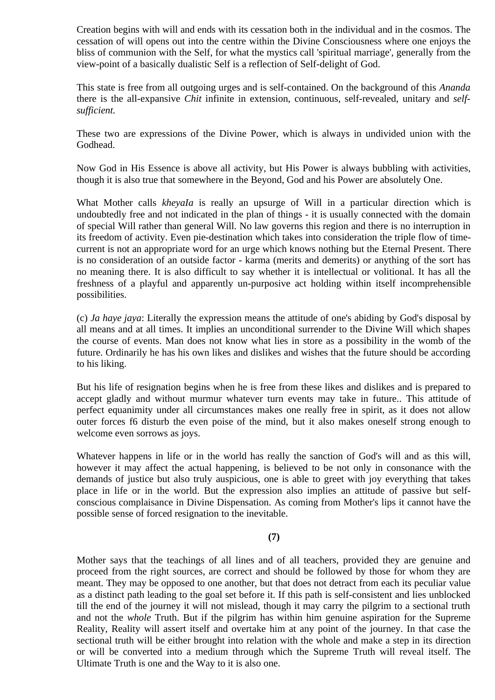Creation begins with will and ends with its cessation both in the individual and in the cosmos. The cessation of will opens out into the centre within the Divine Consciousness where one enjoys the bliss of communion with the Self, for what the mystics call 'spiritual marriage', generally from the view-point of a basically dualistic Self is a reflection of Self-delight of God.

This state is free from all outgoing urges and is self-contained. On the background of this *Ananda* there is the all-expansive *Chit* infinite in extension, continuous, self-revealed, unitary and *selfsufficient.* 

These two are expressions of the Divine Power, which is always in undivided union with the Godhead.

Now God in His Essence is above all activity, but His Power is always bubbling with activities, though it is also true that somewhere in the Beyond, God and his Power are absolutely One.

What Mother calls *kheyaIa* is really an upsurge of Will in a particular direction which is undoubtedly free and not indicated in the plan of things - it is usually connected with the domain of special Will rather than general Will. No law governs this region and there is no interruption in its freedom of activity. Even pie-destination which takes into consideration the triple flow of timecurrent is not an appropriate word for an urge which knows nothing but the Eternal Present. There is no consideration of an outside factor - karma (merits and demerits) or anything of the sort has no meaning there. It is also difficult to say whether it is intellectual or volitional. It has all the freshness of a playful and apparently un-purposive act holding within itself incomprehensible possibilities.

(c) *Ja haye jaya*: Literally the expression means the attitude of one's abiding by God's disposal by all means and at all times. It implies an unconditional surrender to the Divine Will which shapes the course of events. Man does not know what lies in store as a possibility in the womb of the future. Ordinarily he has his own likes and dislikes and wishes that the future should be according to his liking.

But his life of resignation begins when he is free from these likes and dislikes and is prepared to accept gladly and without murmur whatever turn events may take in future.. This attitude of perfect equanimity under all circumstances makes one really free in spirit, as it does not allow outer forces f6 disturb the even poise of the mind, but it also makes oneself strong enough to welcome even sorrows as joys.

Whatever happens in life or in the world has really the sanction of God's will and as this will, however it may affect the actual happening, is believed to be not only in consonance with the demands of justice but also truly auspicious, one is able to greet with joy everything that takes place in life or in the world. But the expression also implies an attitude of passive but selfconscious complaisance in Divine Dispensation. As coming from Mother's lips it cannot have the possible sense of forced resignation to the inevitable.

#### **(7)**

Mother says that the teachings of all lines and of all teachers, provided they are genuine and proceed from the right sources, are correct and should be followed by those for whom they are meant. They may be opposed to one another, but that does not detract from each its peculiar value as a distinct path leading to the goal set before it. If this path is self-consistent and lies unblocked till the end of the journey it will not mislead, though it may carry the pilgrim to a sectional truth and not the *whole* Truth. But if the pilgrim has within him genuine aspiration for the Supreme Reality, Reality will assert itself and overtake him at any point of the journey. In that case the sectional truth will be either brought into relation with the whole and make a step in its direction or will be converted into a medium through which the Supreme Truth will reveal itself. The Ultimate Truth is one and the Way to it is also one.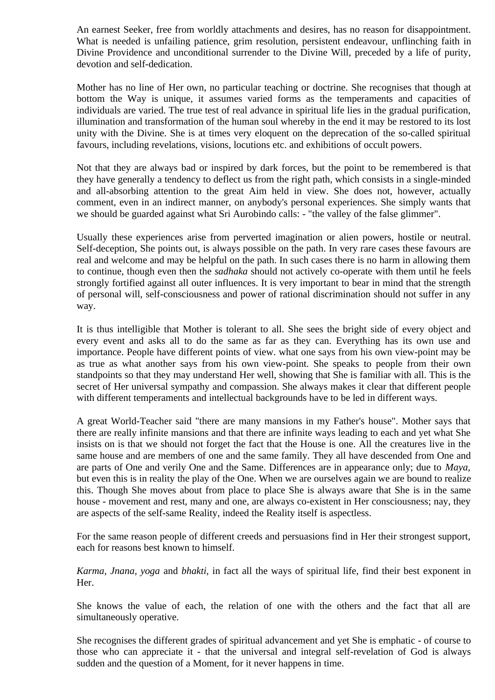An earnest Seeker, free from worldly attachments and desires, has no reason for disappointment. What is needed is unfailing patience, grim resolution, persistent endeavour, unflinching faith in Divine Providence and unconditional surrender to the Divine Will, preceded by a life of purity, devotion and self-dedication.

Mother has no line of Her own, no particular teaching or doctrine. She recognises that though at bottom the Way is unique, it assumes varied forms as the temperaments and capacities of individuals are varied. The true test of real advance in spiritual life lies in the gradual purification, illumination and transformation of the human soul whereby in the end it may be restored to its lost unity with the Divine. She is at times very eloquent on the deprecation of the so-called spiritual favours, including revelations, visions, locutions etc. and exhibitions of occult powers.

Not that they are always bad or inspired by dark forces, but the point to be remembered is that they have generally a tendency to deflect us from the right path, which consists in a single-minded and all-absorbing attention to the great Aim held in view. She does not, however, actually comment, even in an indirect manner, on anybody's personal experiences. She simply wants that we should be guarded against what Sri Aurobindo calls: - "the valley of the false glimmer".

Usually these experiences arise from perverted imagination or alien powers, hostile or neutral. Self-deception, She points out, is always possible on the path. In very rare cases these favours are real and welcome and may be helpful on the path. In such cases there is no harm in allowing them to continue, though even then the *sadhaka* should not actively co-operate with them until he feels strongly fortified against all outer influences. It is very important to bear in mind that the strength of personal will, self-consciousness and power of rational discrimination should not suffer in any way.

It is thus intelligible that Mother is tolerant to all. She sees the bright side of every object and every event and asks all to do the same as far as they can. Everything has its own use and importance. People have different points of view. what one says from his own view-point may be as true as what another says from his own view-point. She speaks to people from their own standpoints so that they may understand Her well, showing that She is familiar with all. This is the secret of Her universal sympathy and compassion. She always makes it clear that different people with different temperaments and intellectual backgrounds have to be led in different ways.

A great World-Teacher said "there are many mansions in my Father's house". Mother says that there are really infinite mansions and that there are infinite ways leading to each and yet what She insists on is that we should not forget the fact that the House is one. All the creatures live in the same house and are members of one and the same family. They all have descended from One and are parts of One and verily One and the Same. Differences are in appearance only; due to *Maya,* but even this is in reality the play of the One. When we are ourselves again we are bound to realize this. Though She moves about from place to place She is always aware that She is in the same house - movement and rest, many and one, are always co-existent in Her consciousness; nay, they are aspects of the self-same Reality, indeed the Reality itself is aspectless.

For the same reason people of different creeds and persuasions find in Her their strongest support, each for reasons best known to himself.

*Karma, Jnana, yoga* and *bhakti,* in fact all the ways of spiritual life, find their best exponent in Her.

She knows the value of each, the relation of one with the others and the fact that all are simultaneously operative.

She recognises the different grades of spiritual advancement and yet She is emphatic - of course to those who can appreciate it - that the universal and integral self-revelation of God is always sudden and the question of a Moment, for it never happens in time.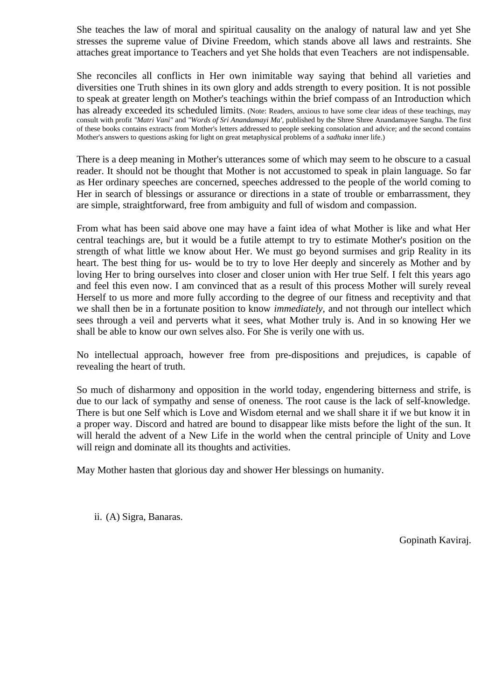She teaches the law of moral and spiritual causality on the analogy of natural law and yet She stresses the supreme value of Divine Freedom, which stands above all laws and restraints. She attaches great importance to Teachers and yet She holds that even Teachers are not indispensable.

She reconciles all conflicts in Her own inimitable way saying that behind all varieties and diversities one Truth shines in its own glory and adds strength to every position. It is not possible to speak at greater length on Mother's teachings within the brief compass of an Introduction which has already exceeded its scheduled limits. (Note: Readers, anxious to have some clear ideas of these teachings, may consult with profit *"Matri Vani"* and *"Words of Sri Anandamayi Ma',* published by the Shree Shree Anandamayee Sangha. The first of these books contains extracts from Mother's letters addressed to people seeking consolation and advice; and the second contains Mother's answers to questions asking for light on great metaphysical problems of a *sadhaka* inner life.)

There is a deep meaning in Mother's utterances some of which may seem to he obscure to a casual reader. It should not be thought that Mother is not accustomed to speak in plain language. So far as Her ordinary speeches are concerned, speeches addressed to the people of the world coming to Her in search of blessings or assurance or directions in a state of trouble or embarrassment, they are simple, straightforward, free from ambiguity and full of wisdom and compassion.

From what has been said above one may have a faint idea of what Mother is like and what Her central teachings are, but it would be a futile attempt to try to estimate Mother's position on the strength of what little we know about Her. We must go beyond surmises and grip Reality in its heart. The best thing for us- would be to try to love Her deeply and sincerely as Mother and by loving Her to bring ourselves into closer and closer union with Her true Self. I felt this years ago and feel this even now. I am convinced that as a result of this process Mother will surely reveal Herself to us more and more fully according to the degree of our fitness and receptivity and that we shall then be in a fortunate position to know *immediately,* and not through our intellect which sees through a veil and perverts what it sees, what Mother truly is. And in so knowing Her we shall be able to know our own selves also. For She is verily one with us.

No intellectual approach, however free from pre-dispositions and prejudices, is capable of revealing the heart of truth.

So much of disharmony and opposition in the world today, engendering bitterness and strife, is due to our lack of sympathy and sense of oneness. The root cause is the lack of self-knowledge. There is but one Self which is Love and Wisdom eternal and we shall share it if we but know it in a proper way. Discord and hatred are bound to disappear like mists before the light of the sun. It will herald the advent of a New Life in the world when the central principle of Unity and Love will reign and dominate all its thoughts and activities.

May Mother hasten that glorious day and shower Her blessings on humanity.

ii. (A) Sigra, Banaras.

Gopinath Kaviraj.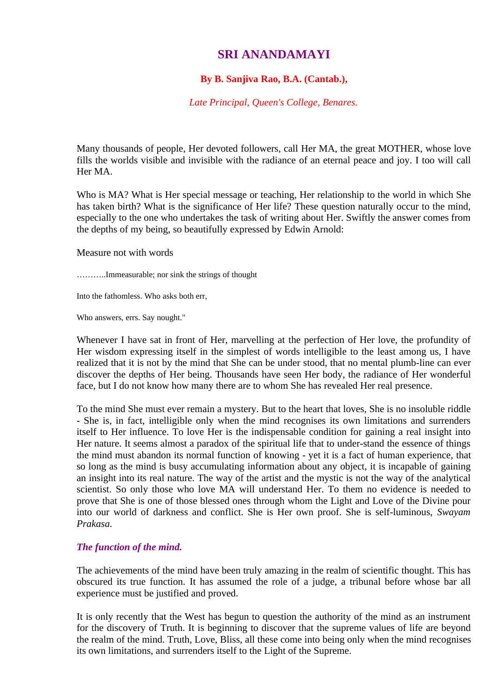# <span id="page-16-0"></span>**SRI ANANDAMAYI**

### **By B. Sanjiva Rao, B.A. (Cantab.),**

### *Late Principal, Queen's College, Benares.*

Many thousands of people, Her devoted followers, call Her MA, the great MOTHER, whose love fills the worlds visible and invisible with the radiance of an eternal peace and joy. I too will call Her MA.

Who is MA? What is Her special message or teaching, Her relationship to the world in which She has taken birth? What is the significance of Her life? These question naturally occur to the mind, especially to the one who undertakes the task of writing about Her. Swiftly the answer comes from the depths of my being, so beautifully expressed by Edwin Arnold:

Measure not with words

………..Immeasurable; nor sink the strings of thought

Into the fathomless. Who asks both err,

Who answers, errs. Say nought."

Whenever I have sat in front of Her, marvelling at the perfection of Her love, the profundity of Her wisdom expressing itself in the simplest of words intelligible to the least among us, I have realized that it is not by the mind that She can be under stood, that no mental plumb-line can ever discover the depths of Her being. Thousands have seen Her body, the radiance of Her wonderful face, but I do not know how many there are to whom She has revealed Her real presence.

To the mind She must ever remain a mystery. But to the heart that loves, She is no insoluble riddle - She is, in fact, intelligible only when the mind recognises its own limitations and surrenders itself to Her influence. To love Her is the indispensable condition for gaining a real insight into Her nature. It seems almost a paradox of the spiritual life that to under-stand the essence of things the mind must abandon its normal function of knowing - yet it is a fact of human experience, that so long as the mind is busy accumulating information about any object, it is incapable of gaining an insight into its real nature. The way of the artist and the mystic is not the way of the analytical scientist. So only those who love MA will understand Her. To them no evidence is needed to prove that She is one of those blessed ones through whom the Light and Love of the Divine pour into our world of darkness and conflict. She is Her own proof. She is self-luminous, *Swayam Prakasa.* 

#### *The function of the mind.*

The achievements of the mind have been truly amazing in the realm of scientific thought. This has obscured its true function. It has assumed the role of a judge, a tribunal before whose bar all experience must be justified and proved.

It is only recently that the West has begun to question the authority of the mind as an instrument for the discovery of Truth. It is beginning to discover that the supreme values of life are beyond the realm of the mind. Truth, Love, Bliss, all these come into being only when the mind recognises its own limitations, and surrenders itself to the Light of the Supreme.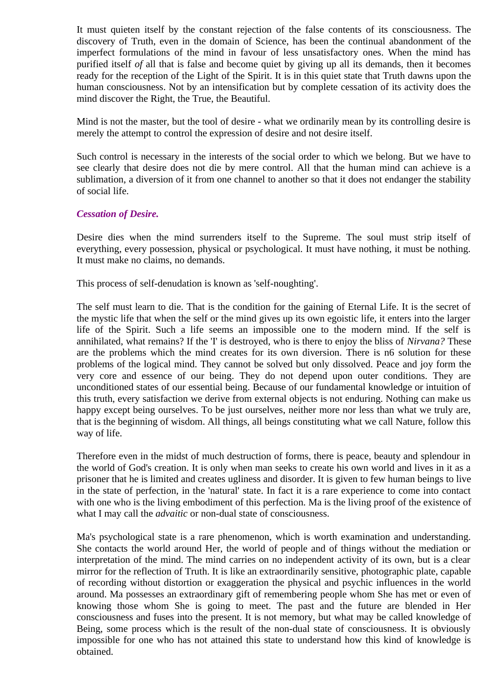It must quieten itself by the constant rejection of the false contents of its consciousness. The discovery of Truth, even in the domain of Science, has been the continual abandonment of the imperfect formulations of the mind in favour of less unsatisfactory ones. When the mind has purified itself *of* all that is false and become quiet by giving up all its demands, then it becomes ready for the reception of the Light of the Spirit. It is in this quiet state that Truth dawns upon the human consciousness. Not by an intensification but by complete cessation of its activity does the mind discover the Right, the True, the Beautiful.

Mind is not the master, but the tool of desire - what we ordinarily mean by its controlling desire is merely the attempt to control the expression of desire and not desire itself.

Such control is necessary in the interests of the social order to which we belong. But we have to see clearly that desire does not die by mere control. All that the human mind can achieve is a sublimation, a diversion of it from one channel to another so that it does not endanger the stability of social life.

### *Cessation of Desire.*

Desire dies when the mind surrenders itself to the Supreme. The soul must strip itself of everything, every possession, physical or psychological. It must have nothing, it must be nothing. It must make no claims, no demands.

This process of self-denudation is known as 'self-noughting'.

The self must learn to die. That is the condition for the gaining of Eternal Life. It is the secret of the mystic life that when the self or the mind gives up its own egoistic life, it enters into the larger life of the Spirit. Such a life seems an impossible one to the modern mind. If the self is annihilated, what remains? If the 'I' is destroyed, who is there to enjoy the bliss of *Nirvana?* These are the problems which the mind creates for its own diversion. There is n6 solution for these problems of the logical mind. They cannot be solved but only dissolved. Peace and joy form the very core and essence of our being. They do not depend upon outer conditions. They are unconditioned states of our essential being. Because of our fundamental knowledge or intuition of this truth, every satisfaction we derive from external objects is not enduring. Nothing can make us happy except being ourselves. To be just ourselves, neither more nor less than what we truly are, that is the beginning of wisdom. All things, all beings constituting what we call Nature, follow this way of life.

Therefore even in the midst of much destruction of forms, there is peace, beauty and splendour in the world of God's creation. It is only when man seeks to create his own world and lives in it as a prisoner that he is limited and creates ugliness and disorder. It is given to few human beings to live in the state of perfection, in the 'natural' state. In fact it is a rare experience to come into contact with one who is the living embodiment of this perfection. Ma is the living proof of the existence of what I may call the *advaitic* or non-dual state of consciousness.

Ma's psychological state is a rare phenomenon, which is worth examination and understanding. She contacts the world around Her, the world of people and of things without the mediation or interpretation of the mind. The mind carries on no independent activity of its own, but is a clear mirror for the reflection of Truth. It is like an extraordinarily sensitive, photographic plate, capable of recording without distortion or exaggeration the physical and psychic influences in the world around. Ma possesses an extraordinary gift of remembering people whom She has met or even of knowing those whom She is going to meet. The past and the future are blended in Her consciousness and fuses into the present. It is not memory, but what may be called knowledge of Being, some process which is the result of the non-dual state of consciousness. It is obviously impossible for one who has not attained this state to understand how this kind of knowledge is obtained.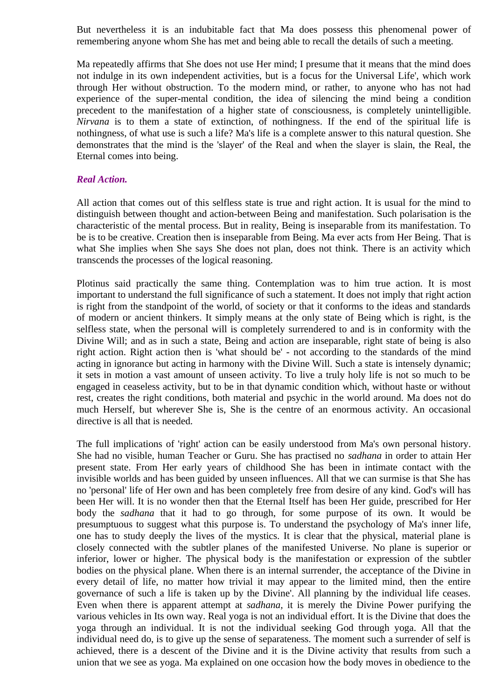But nevertheless it is an indubitable fact that Ma does possess this phenomenal power of remembering anyone whom She has met and being able to recall the details of such a meeting.

Ma repeatedly affirms that She does not use Her mind; I presume that it means that the mind does not indulge in its own independent activities, but is a focus for the Universal Life', which work through Her without obstruction. To the modern mind, or rather, to anyone who has not had experience of the super-mental condition, the idea of silencing the mind being a condition precedent to the manifestation of a higher state of consciousness, is completely unintelligible. *Nirvana* is to them a state of extinction, of nothingness. If the end of the spiritual life is nothingness, of what use is such a life? Ma's life is a complete answer to this natural question. She demonstrates that the mind is the 'slayer' of the Real and when the slayer is slain, the Real, the Eternal comes into being.

#### *Real Action.*

All action that comes out of this selfless state is true and right action. It is usual for the mind to distinguish between thought and action-between Being and manifestation. Such polarisation is the characteristic of the mental process. But in reality, Being is inseparable from its manifestation. To be is to be creative. Creation then is inseparable from Being. Ma ever acts from Her Being. That is what She implies when She says She does not plan, does not think. There is an activity which transcends the processes of the logical reasoning.

Plotinus said practically the same thing. Contemplation was to him true action. It is most important to understand the full significance of such a statement. It does not imply that right action is right from the standpoint of the world, of society or that it conforms to the ideas and standards of modern or ancient thinkers. It simply means at the only state of Being which is right, is the selfless state, when the personal will is completely surrendered to and is in conformity with the Divine Will; and as in such a state, Being and action are inseparable, right state of being is also right action. Right action then is 'what should be' - not according to the standards of the mind acting in ignorance but acting in harmony with the Divine Will. Such a state is intensely dynamic; it sets in motion a vast amount of unseen activity. To live a truly holy life is not so much to be engaged in ceaseless activity, but to be in that dynamic condition which, without haste or without rest, creates the right conditions, both material and psychic in the world around. Ma does not do much Herself, but wherever She is, She is the centre of an enormous activity. An occasional directive is all that is needed.

The full implications of 'right' action can be easily understood from Ma's own personal history. She had no visible, human Teacher or Guru. She has practised no *sadhana* in order to attain Her present state. From Her early years of childhood She has been in intimate contact with the invisible worlds and has been guided by unseen influences. All that we can surmise is that She has no 'personal' life of Her own and has been completely free from desire of any kind. God's will has been Her will. It is no wonder then that the Eternal Itself has been Her guide, prescribed for Her body the *sadhana* that it had to go through, for some purpose of its own. It would be presumptuous to suggest what this purpose is. To understand the psychology of Ma's inner life, one has to study deeply the lives of the mystics. It is clear that the physical, material plane is closely connected with the subtler planes of the manifested Universe. No plane is superior or inferior, lower or higher. The physical body is the manifestation or expression of the subtler bodies on the physical plane. When there is an internal surrender, the acceptance of the Divine in every detail of life, no matter how trivial it may appear to the limited mind, then the entire governance of such a life is taken up by the Divine'. All planning by the individual life ceases. Even when there is apparent attempt at *sadhana,* it is merely the Divine Power purifying the various vehicles in Its own way. Real yoga is not an individual effort. It is the Divine that does the yoga through an individual. It is not the individual seeking God through yoga. All that the individual need do, is to give up the sense of separateness. The moment such a surrender of self is achieved, there is a descent of the Divine and it is the Divine activity that results from such a union that we see as yoga. Ma explained on one occasion how the body moves in obedience to the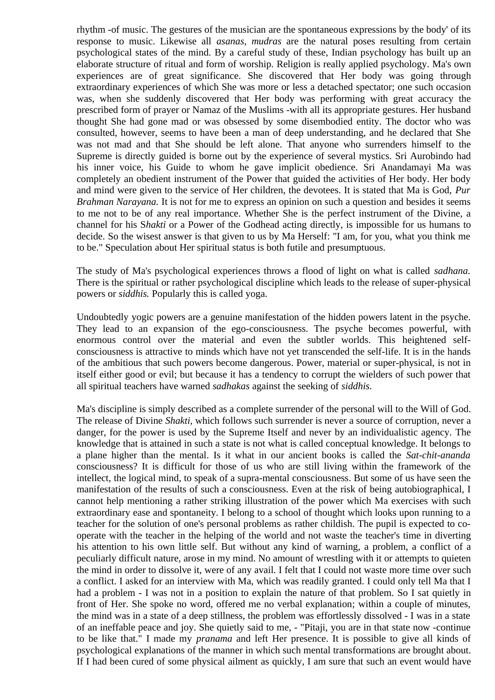rhythm -of music. The gestures of the musician are the spontaneous expressions by the body' of its response to music. Likewise all *asanas, mudras* are the natural poses resulting from certain psychological states of the mind. By a careful study of these, Indian psychology has built up an elaborate structure of ritual and form of worship. Religion is really applied psychology. Ma's own experiences are of great significance. She discovered that Her body was going through extraordinary experiences of which She was more or less a detached spectator; one such occasion was, when she suddenly discovered that Her body was performing with great accuracy the prescribed form of prayer or Namaz of the Muslims -with all its appropriate gestures. Her husband thought She had gone mad or was obsessed by some disembodied entity. The doctor who was consulted, however, seems to have been a man of deep understanding, and he declared that She was not mad and that She should be left alone. That anyone who surrenders himself to the Supreme is directly guided is borne out by the experience of several mystics. Sri Aurobindo had his inner voice, his Guide to whom he gave implicit obedience. Sri Anandamayi Ma was completely an obedient instrument of the Power that guided the activities of Her body. Her body and mind were given to the service of Her children, the devotees. It is stated that Ma is God, *Pur Brahman Narayana.* It is not for me to express an opinion on such a question and besides it seems to me not to be of any real importance. Whether She is the perfect instrument of the Divine, a channel for his S*hakti* or a Power of the Godhead acting directly, is impossible for us humans to decide. So the wisest answer is that given to us by Ma Herself: "I am, for you, what you think me to be." Speculation about Her spiritual status is both futile and presumptuous.

The study of Ma's psychological experiences throws a flood of light on what is called *sadhana.* There is the spiritual or rather psychological discipline which leads to the release of super-physical powers or *siddhis.* Popularly this is called yoga.

Undoubtedly yogic powers are a genuine manifestation of the hidden powers latent in the psyche. They lead to an expansion of the ego-consciousness. The psyche becomes powerful, with enormous control over the material and even the subtler worlds. This heightened selfconsciousness is attractive to minds which have not yet transcended the self-life. It is in the hands of the ambitious that such powers become dangerous. Power, material or super-physical, is not in itself either good or evil; but because it has a tendency to corrupt the wielders of such power that all spiritual teachers have warned *sadhakas* against the seeking of *siddhis.*

Ma's discipline is simply described as a complete surrender of the personal will to the Will of God. The release of Divine *Shakti,* which follows such surrender is never a source of corruption, never a danger, for the power is used by the Supreme Itself and never by an individualistic agency. The knowledge that is attained in such a state is not what is called conceptual knowledge. It belongs to a plane higher than the mental. Is it what in our ancient books is called the *Sat-chit-ananda* consciousness? It is difficult for those of us who are still living within the framework of the intellect, the logical mind, to speak of a supra-mental consciousness. But some of us have seen the manifestation of the results of such a consciousness. Even at the risk of being autobiographical, I cannot help mentioning a rather striking illustration of the power which Ma exercises with such extraordinary ease and spontaneity. I belong to a school of thought which looks upon running to a teacher for the solution of one's personal problems as rather childish. The pupil is expected to cooperate with the teacher in the helping of the world and not waste the teacher's time in diverting his attention to his own little self. But without any kind of warning, a problem, a conflict of a peculiarly difficult nature, arose in my mind. No amount of wrestling with it or attempts to quieten the mind in order to dissolve it, were of any avail. I felt that I could not waste more time over such a conflict. I asked for an interview with Ma, which was readily granted. I could only tell Ma that I had a problem - I was not in a position to explain the nature of that problem. So I sat quietly in front of Her. She spoke no word, offered me no verbal explanation; within a couple of minutes, the mind was in a state of a deep stillness, the problem was effortlessly dissolved - I was in a state of an ineffable peace and joy. She quietly said to me, - "Pitaji, you are in that state now -continue to be like that." I made my *pranama* and left Her presence. It is possible to give all kinds of psychological explanations of the manner in which such mental transformations are brought about. If I had been cured of some physical ailment as quickly, I am sure that such an event would have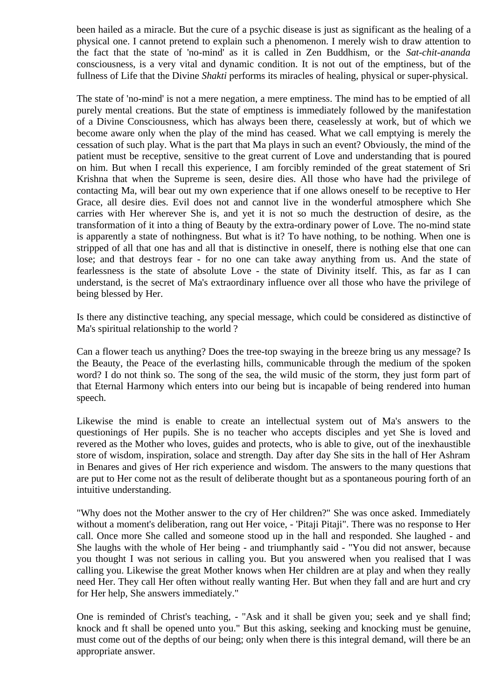been hailed as a miracle. But the cure of a psychic disease is just as significant as the healing of a physical one. I cannot pretend to explain such a phenomenon. I merely wish to draw attention to the fact that the state of 'no-mind' as it is called in Zen Buddhism, or the *Sat-chit-ananda* consciousness, is a very vital and dynamic condition. It is not out of the emptiness, but of the fullness of Life that the Divine *Shakti* performs its miracles of healing, physical or super-physical.

The state of 'no-mind' is not a mere negation, a mere emptiness. The mind has to be emptied of all purely mental creations. But the state of emptiness is immediately followed by the manifestation of a Divine Consciousness, which has always been there, ceaselessly at work, but of which we become aware only when the play of the mind has ceased. What we call emptying is merely the cessation of such play. What is the part that Ma plays in such an event? Obviously, the mind of the patient must be receptive, sensitive to the great current of Love and understanding that is poured on him. But when I recall this experience, I am forcibly reminded of the great statement of Sri Krishna that when the Supreme is seen, desire dies. All those who have had the privilege of contacting Ma, will bear out my own experience that if one allows oneself to be receptive to Her Grace, all desire dies. Evil does not and cannot live in the wonderful atmosphere which She carries with Her wherever She is, and yet it is not so much the destruction of desire, as the transformation of it into a thing of Beauty by the extra-ordinary power of Love. The no-mind state is apparently a state of nothingness. But what is it? To have nothing, to be nothing. When one is stripped of all that one has and all that is distinctive in oneself, there is nothing else that one can lose; and that destroys fear - for no one can take away anything from us. And the state of fearlessness is the state of absolute Love - the state of Divinity itself. This, as far as I can understand, is the secret of Ma's extraordinary influence over all those who have the privilege of being blessed by Her.

Is there any distinctive teaching, any special message, which could be considered as distinctive of Ma's spiritual relationship to the world ?

Can a flower teach us anything? Does the tree-top swaying in the breeze bring us any message? Is the Beauty, the Peace of the everlasting hills, communicable through the medium of the spoken word? I do not think so. The song of the sea, the wild music of the storm, they just form part of that Eternal Harmony which enters into our being but is incapable of being rendered into human speech.

Likewise the mind is enable to create an intellectual system out of Ma's answers to the questionings of Her pupils. She is no teacher who accepts disciples and yet She is loved and revered as the Mother who loves, guides and protects, who is able to give, out of the inexhaustible store of wisdom, inspiration, solace and strength. Day after day She sits in the hall of Her Ashram in Benares and gives of Her rich experience and wisdom. The answers to the many questions that are put to Her come not as the result of deliberate thought but as a spontaneous pouring forth of an intuitive understanding.

"Why does not the Mother answer to the cry of Her children?" She was once asked. Immediately without a moment's deliberation, rang out Her voice, - 'Pitaji Pitaji". There was no response to Her call. Once more She called and someone stood up in the hall and responded. She laughed - and She laughs with the whole of Her being - and triumphantly said - "You did not answer, because you thought I was not serious in calling you. But you answered when you realised that I was calling you. Likewise the great Mother knows when Her children are at play and when they really need Her. They call Her often without really wanting Her. But when they fall and are hurt and cry for Her help, She answers immediately."

One is reminded of Christ's teaching, - "Ask and it shall be given you; seek and ye shall find; knock and ft shall be opened unto you." But this asking, seeking and knocking must be genuine, must come out of the depths of our being; only when there is this integral demand, will there be an appropriate answer.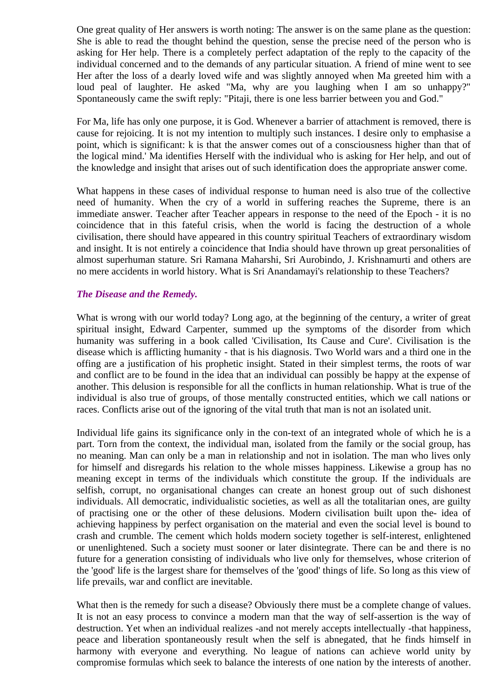One great quality of Her answers is worth noting: The answer is on the same plane as the question: She is able to read the thought behind the question, sense the precise need of the person who is asking for Her help. There is a completely perfect adaptation of the reply to the capacity of the individual concerned and to the demands of any particular situation. A friend of mine went to see Her after the loss of a dearly loved wife and was slightly annoyed when Ma greeted him with a loud peal of laughter. He asked "Ma, why are you laughing when I am so unhappy?" Spontaneously came the swift reply: "Pitaji, there is one less barrier between you and God."

For Ma, life has only one purpose, it is God. Whenever a barrier of attachment is removed, there is cause for rejoicing. It is not my intention to multiply such instances. I desire only to emphasise a point, which is significant: k is that the answer comes out of a consciousness higher than that of the logical mind.' Ma identifies Herself with the individual who is asking for Her help, and out of the knowledge and insight that arises out of such identification does the appropriate answer come.

What happens in these cases of individual response to human need is also true of the collective need of humanity. When the cry of a world in suffering reaches the Supreme, there is an immediate answer. Teacher after Teacher appears in response to the need of the Epoch - it is no coincidence that in this fateful crisis, when the world is facing the destruction of a whole civilisation, there should have appeared in this country spiritual Teachers of extraordinary wisdom and insight. It is not entirely a coincidence that India should have thrown up great personalities of almost superhuman stature. Sri Ramana Maharshi, Sri Aurobindo, J. Krishnamurti and others are no mere accidents in world history. What is Sri Anandamayi's relationship to these Teachers?

#### *The Disease and the Remedy.*

What is wrong with our world today? Long ago, at the beginning of the century, a writer of great spiritual insight, Edward Carpenter, summed up the symptoms of the disorder from which humanity was suffering in a book called 'Civilisation, Its Cause and Cure'. Civilisation is the disease which is afflicting humanity - that is his diagnosis. Two World wars and a third one in the offing are a justification of his prophetic insight. Stated in their simplest terms, the roots of war and conflict are to be found in the idea that an individual can possibly be happy at the expense of another. This delusion is responsible for all the conflicts in human relationship. What is true of the individual is also true of groups, of those mentally constructed entities, which we call nations or races. Conflicts arise out of the ignoring of the vital truth that man is not an isolated unit.

Individual life gains its significance only in the con-text of an integrated whole of which he is a part. Torn from the context, the individual man, isolated from the family or the social group, has no meaning. Man can only be a man in relationship and not in isolation. The man who lives only for himself and disregards his relation to the whole misses happiness. Likewise a group has no meaning except in terms of the individuals which constitute the group. If the individuals are selfish, corrupt, no organisational changes can create an honest group out of such dishonest individuals. All democratic, individualistic societies, as well as all the totalitarian ones, are guilty of practising one or the other of these delusions. Modern civilisation built upon the- idea of achieving happiness by perfect organisation on the material and even the social level is bound to crash and crumble. The cement which holds modern society together is self-interest, enlightened or unenlightened. Such a society must sooner or later disintegrate. There can be and there is no future for a generation consisting of individuals who live only for themselves, whose criterion of the 'good' life is the largest share for themselves of the 'good' things of life. So long as this view of life prevails, war and conflict are inevitable.

What then is the remedy for such a disease? Obviously there must be a complete change of values. It is not an easy process to convince a modern man that the way of self-assertion is the way of destruction. Yet when an individual realizes -and not merely accepts intellectually -that happiness, peace and liberation spontaneously result when the self is abnegated, that he finds himself in harmony with everyone and everything. No league of nations can achieve world unity by compromise formulas which seek to balance the interests of one nation by the interests of another.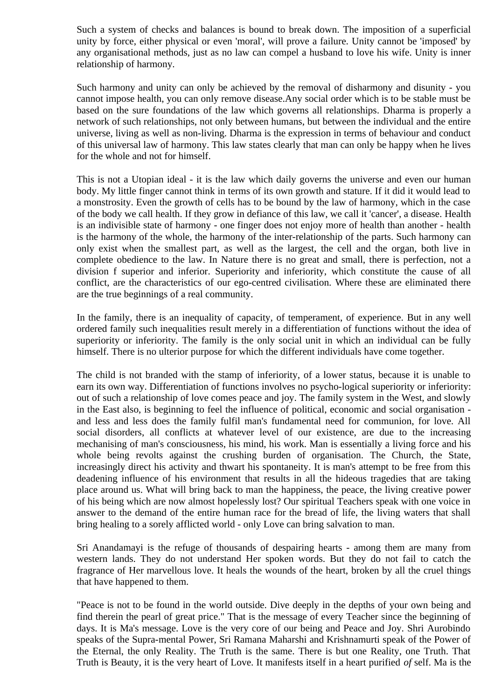Such a system of checks and balances is bound to break down. The imposition of a superficial unity by force, either physical or even 'moral', will prove a failure. Unity cannot be 'imposed' by any organisational methods, just as no law can compel a husband to love his wife. Unity is inner relationship of harmony.

Such harmony and unity can only be achieved by the removal of disharmony and disunity - you cannot impose health, you can only remove disease.Any social order which is to be stable must be based on the sure foundations of the law which governs all relationships. Dharma is properly a network of such relationships, not only between humans, but between the individual and the entire universe, living as well as non-living. Dharma is the expression in terms of behaviour and conduct of this universal law of harmony. This law states clearly that man can only be happy when he lives for the whole and not for himself.

This is not a Utopian ideal - it is the law which daily governs the universe and even our human body. My little finger cannot think in terms of its own growth and stature. If it did it would lead to a monstrosity. Even the growth of cells has to be bound by the law of harmony, which in the case of the body we call health. If they grow in defiance of this law, we call it 'cancer', a disease. Health is an indivisible state of harmony - one finger does not enjoy more of health than another - health is the harmony of the whole, the harmony of the inter-relationship of the parts. Such harmony can only exist when the smallest part, as well as the largest, the cell and the organ, both live in complete obedience to the law. In Nature there is no great and small, there is perfection, not a division f superior and inferior. Superiority and inferiority, which constitute the cause of all conflict, are the characteristics of our ego-centred civilisation. Where these are eliminated there are the true beginnings of a real community.

In the family, there is an inequality of capacity, of temperament, of experience. But in any well ordered family such inequalities result merely in a differentiation of functions without the idea of superiority or inferiority. The family is the only social unit in which an individual can be fully himself. There is no ulterior purpose for which the different individuals have come together.

The child is not branded with the stamp of inferiority, of a lower status, because it is unable to earn its own way. Differentiation of functions involves no psycho-logical superiority or inferiority: out of such a relationship of love comes peace and joy. The family system in the West, and slowly in the East also, is beginning to feel the influence of political, economic and social organisation and less and less does the family fulfil man's fundamental need for communion, for love. All social disorders, all conflicts at whatever level of our existence, are due to the increasing mechanising of man's consciousness, his mind, his work. Man is essentially a living force and his whole being revolts against the crushing burden of organisation. The Church, the State, increasingly direct his activity and thwart his spontaneity. It is man's attempt to be free from this deadening influence of his environment that results in all the hideous tragedies that are taking place around us. What will bring back to man the happiness, the peace, the living creative power of his being which are now almost hopelessly lost? Our spiritual Teachers speak with one voice in answer to the demand of the entire human race for the bread of life, the living waters that shall bring healing to a sorely afflicted world - only Love can bring salvation to man.

Sri Anandamayi is the refuge of thousands of despairing hearts - among them are many from western lands. They do not understand Her spoken words. But they do not fail to catch the fragrance of Her marvellous love. It heals the wounds of the heart, broken by all the cruel things that have happened to them.

"Peace is not to be found in the world outside. Dive deeply in the depths of your own being and find therein the pearl of great price." That is the message of every Teacher since the beginning of days. It is Ma's message. Love is the very core of our being and Peace and Joy. Shri Aurobindo speaks of the Supra-mental Power, Sri Ramana Maharshi and Krishnamurti speak of the Power of the Eternal, the only Reality. The Truth is the same. There is but one Reality, one Truth. That Truth is Beauty, it is the very heart of Love. It manifests itself in a heart purified *of* self. Ma is the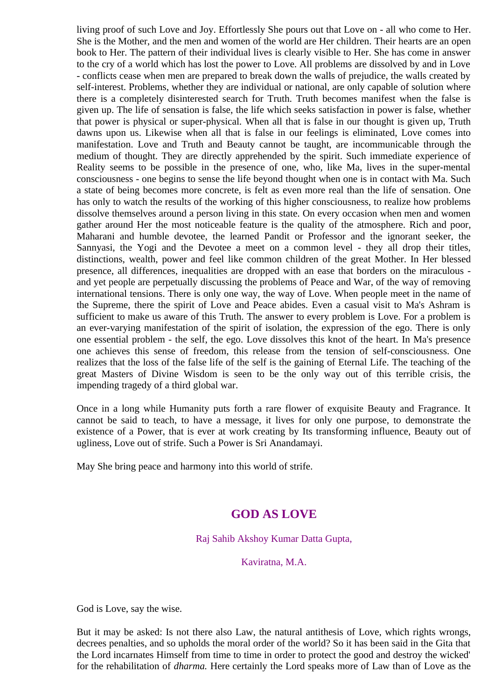living proof of such Love and Joy. Effortlessly She pours out that Love on - all who come to Her. She is the Mother, and the men and women of the world are Her children. Their hearts are an open book to Her. The pattern of their individual lives is clearly visible to Her. She has come in answer to the cry of a world which has lost the power to Love. All problems are dissolved by and in Love - conflicts cease when men are prepared to break down the walls of prejudice, the walls created by self-interest. Problems, whether they are individual or national, are only capable of solution where there is a completely disinterested search for Truth. Truth becomes manifest when the false is given up. The life of sensation is false, the life which seeks satisfaction in power is false, whether that power is physical or super-physical. When all that is false in our thought is given up, Truth dawns upon us. Likewise when all that is false in our feelings is eliminated, Love comes into manifestation. Love and Truth and Beauty cannot be taught, are incommunicable through the medium of thought. They are directly apprehended by the spirit. Such immediate experience of Reality seems to be possible in the presence of one, who, like Ma, lives in the super-mental consciousness - one begins to sense the life beyond thought when one is in contact with Ma. Such a state of being becomes more concrete, is felt as even more real than the life of sensation. One has only to watch the results of the working of this higher consciousness, to realize how problems dissolve themselves around a person living in this state. On every occasion when men and women gather around Her the most noticeable feature is the quality of the atmosphere. Rich and poor, Maharani and humble devotee, the learned Pandit or Professor and the ignorant seeker, the Sannyasi, the Yogi and the Devotee a meet on a common level - they all drop their titles, distinctions, wealth, power and feel like common children of the great Mother. In Her blessed presence, all differences, inequalities are dropped with an ease that borders on the miraculous and yet people are perpetually discussing the problems of Peace and War, of the way of removing international tensions. There is only one way, the way of Love. When people meet in the name of the Supreme, there the spirit of Love and Peace abides. Even a casual visit to Ma's Ashram is sufficient to make us aware of this Truth. The answer to every problem is Love. For a problem is an ever-varying manifestation of the spirit of isolation, the expression of the ego. There is only one essential problem - the self, the ego. Love dissolves this knot of the heart. In Ma's presence one achieves this sense of freedom, this release from the tension of self-consciousness. One realizes that the loss of the false life of the self is the gaining of Eternal Life. The teaching of the great Masters of Divine Wisdom is seen to be the only way out of this terrible crisis, the impending tragedy of a third global war.

Once in a long while Humanity puts forth a rare flower of exquisite Beauty and Fragrance. It cannot be said to teach, to have a message, it lives for only one purpose, to demonstrate the existence of a Power, that is ever at work creating by Its transforming influence, Beauty out of ugliness, Love out of strife. Such a Power is Sri Anandamayi.

May She bring peace and harmony into this world of strife.

# **GOD AS LOVE**

<span id="page-23-0"></span>Raj Sahib Akshoy Kumar Datta Gupta,

Kaviratna, M.A.

God is Love, say the wise.

But it may be asked: Is not there also Law, the natural antithesis of Love, which rights wrongs, decrees penalties, and so upholds the moral order of the world? So it has been said in the Gita that the Lord incarnates Himself from time to time in order to protect the good and destroy the wicked' for the rehabilitation of *dharma.* Here certainly the Lord speaks more of Law than of Love as the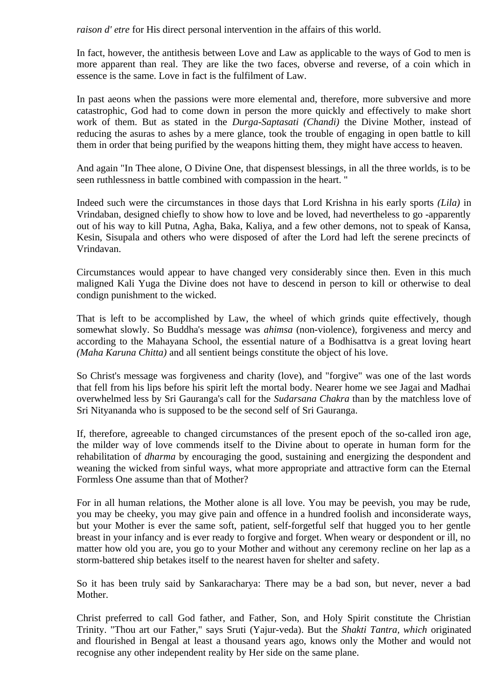*raison d' etre* for His direct personal intervention in the affairs of this world.

In fact, however, the antithesis between Love and Law as applicable to the ways of God to men is more apparent than real. They are like the two faces, obverse and reverse, of a coin which in essence is the same. Love in fact is the fulfilment of Law.

In past aeons when the passions were more elemental and, therefore, more subversive and more catastrophic, God had to come down in person the more quickly and effectively to make short work of them. But as stated in the *Durga-Saptasati (Chandi)* the Divine Mother, instead of reducing the asuras to ashes by a mere glance, took the trouble of engaging in open battle to kill them in order that being purified by the weapons hitting them, they might have access to heaven.

And again "In Thee alone, O Divine One, that dispensest blessings, in all the three worlds, is to be seen ruthlessness in battle combined with compassion in the heart. "

Indeed such were the circumstances in those days that Lord Krishna in his early sports *(Lila)* in Vrindaban, designed chiefly to show how to love and be loved, had nevertheless to go -apparently out of his way to kill Putna, Agha, Baka, Kaliya, and a few other demons, not to speak of Kansa, Kesin, Sisupala and others who were disposed of after the Lord had left the serene precincts of Vrindavan.

Circumstances would appear to have changed very considerably since then. Even in this much maligned Kali Yuga the Divine does not have to descend in person to kill or otherwise to deal condign punishment to the wicked.

That is left to be accomplished by Law, the wheel of which grinds quite effectively, though somewhat slowly. So Buddha's message was *ahimsa* (non-violence), forgiveness and mercy and according to the Mahayana School, the essential nature of a Bodhisattva is a great loving heart *(Maha Karuna Chitta)* and all sentient beings constitute the object of his love.

So Christ's message was forgiveness and charity (love), and "forgive" was one of the last words that fell from his lips before his spirit left the mortal body. Nearer home we see Jagai and Madhai overwhelmed less by Sri Gauranga's call for the *Sudarsana Chakra* than by the matchless love of Sri Nityananda who is supposed to be the second self of Sri Gauranga.

If, therefore, agreeable to changed circumstances of the present epoch of the so-called iron age, the milder way of love commends itself to the Divine about to operate in human form for the rehabilitation of *dharma* by encouraging the good, sustaining and energizing the despondent and weaning the wicked from sinful ways, what more appropriate and attractive form can the Eternal Formless One assume than that of Mother?

For in all human relations, the Mother alone is all love. You may be peevish, you may be rude, you may be cheeky, you may give pain and offence in a hundred foolish and inconsiderate ways, but your Mother is ever the same soft, patient, self-forgetful self that hugged you to her gentle breast in your infancy and is ever ready to forgive and forget. When weary or despondent or ill, no matter how old you are, you go to your Mother and without any ceremony recline on her lap as a storm-battered ship betakes itself to the nearest haven for shelter and safety.

So it has been truly said by Sankaracharya: There may be a bad son, but never, never a bad Mother.

Christ preferred to call God father, and Father, Son, and Holy Spirit constitute the Christian Trinity. "Thou art our Father," says Sruti (Yajur-veda). But the *Shakti Tantra, which* originated and flourished in Bengal at least a thousand years ago, knows only the Mother and would not recognise any other independent reality by Her side on the same plane.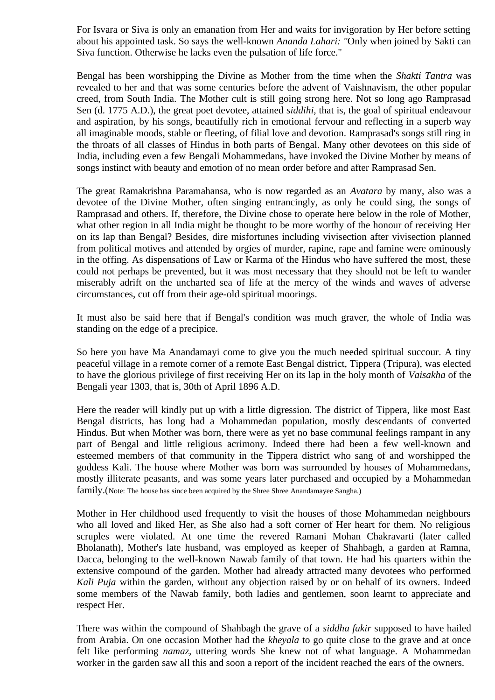For Isvara or Siva is only an emanation from Her and waits for invigoration by Her before setting about his appointed task. So says the well-known *Ananda Lahari: "*Only when joined by Sakti can Siva function. Otherwise he lacks even the pulsation of life force."

Bengal has been worshipping the Divine as Mother from the time when the *Shakti Tantra* was revealed to her and that was some centuries before the advent of Vaishnavism, the other popular creed, from South India. The Mother cult is still going strong here. Not so long ago Ramprasad Sen (d. 1775 A.D.), the great poet devotee, attained *siddihi,* that is, the goal of spiritual endeavour and aspiration, by his songs, beautifully rich in emotional fervour and reflecting in a superb way all imaginable moods, stable or fleeting, of filial love and devotion. Ramprasad's songs still ring in the throats of all classes of Hindus in both parts of Bengal. Many other devotees on this side of India, including even a few Bengali Mohammedans, have invoked the Divine Mother by means of songs instinct with beauty and emotion of no mean order before and after Ramprasad Sen.

The great Ramakrishna Paramahansa, who is now regarded as an *Avatara* by many, also was a devotee of the Divine Mother, often singing entrancingly, as only he could sing, the songs of Ramprasad and others. If, therefore, the Divine chose to operate here below in the role of Mother, what other region in all India might be thought to be more worthy of the honour of receiving Her on its lap than Bengal? Besides, dire misfortunes including vivisection after vivisection planned from political motives and attended by orgies of murder, rapine, rape and famine were ominously in the offing. As dispensations of Law or Karma of the Hindus who have suffered the most, these could not perhaps be prevented, but it was most necessary that they should not be left to wander miserably adrift on the uncharted sea of life at the mercy of the winds and waves of adverse circumstances, cut off from their age-old spiritual moorings.

It must also be said here that if Bengal's condition was much graver, the whole of India was standing on the edge of a precipice.

So here you have Ma Anandamayi come to give you the much needed spiritual succour. A tiny peaceful village in a remote corner of a remote East Bengal district, Tippera (Tripura), was elected to have the glorious privilege of first receiving Her on its lap in the holy month of *Vaisakha* of the Bengali year 1303, that is, 30th of April 1896 A.D.

Here the reader will kindly put up with a little digression. The district of Tippera, like most East Bengal districts, has long had a Mohammedan population, mostly descendants of converted Hindus. But when Mother was born, there were as yet no base communal feelings rampant in any part of Bengal and little religious acrimony. Indeed there had been a few well-known and esteemed members of that community in the Tippera district who sang of and worshipped the goddess Kali. The house where Mother was born was surrounded by houses of Mohammedans, mostly illiterate peasants, and was some years later purchased and occupied by a Mohammedan family. (Note: The house has since been acquired by the Shree Shree Anandamayee Sangha.)

Mother in Her childhood used frequently to visit the houses of those Mohammedan neighbours who all loved and liked Her, as She also had a soft corner of Her heart for them. No religious scruples were violated. At one time the revered Ramani Mohan Chakravarti (later called Bholanath), Mother's late husband, was employed as keeper of Shahbagh, a garden at Ramna, Dacca, belonging to the well-known Nawab family of that town. He had his quarters within the extensive compound of the garden. Mother had already attracted many devotees who performed *Kali Puja* within the garden, without any objection raised by or on behalf of its owners. Indeed some members of the Nawab family, both ladies and gentlemen, soon learnt to appreciate and respect Her.

There was within the compound of Shahbagh the grave of a *siddha fakir* supposed to have hailed from Arabia. On one occasion Mother had the *kheyala* to go quite close to the grave and at once felt like performing *namaz,* uttering words She knew not of what language. A Mohammedan worker in the garden saw all this and soon a report of the incident reached the ears of the owners.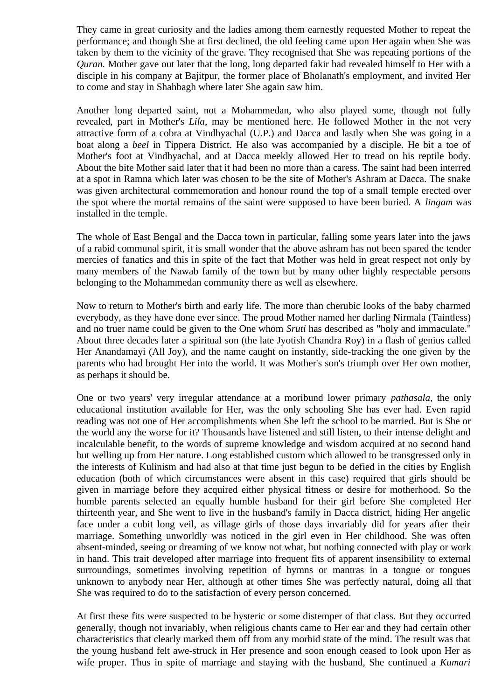They came in great curiosity and the ladies among them earnestly requested Mother to repeat the performance; and though She at first declined, the old feeling came upon Her again when She was taken by them to the vicinity of the grave. They recognised that She was repeating portions of the *Quran.* Mother gave out later that the long, long departed fakir had revealed himself to Her with a disciple in his company at Bajitpur, the former place of Bholanath's employment, and invited Her to come and stay in Shahbagh where later She again saw him.

Another long departed saint, not a Mohammedan, who also played some, though not fully revealed, part in Mother's *Lila,* may be mentioned here. He followed Mother in the not very attractive form of a cobra at Vindhyachal (U.P.) and Dacca and lastly when She was going in a boat along a *beel* in Tippera District. He also was accompanied by a disciple. He bit a toe of Mother's foot at Vindhyachal, and at Dacca meekly allowed Her to tread on his reptile body. About the bite Mother said later that it had been no more than a caress. The saint had been interred at a spot in Ramna which later was chosen to be the site of Mother's Ashram at Dacca. The snake was given architectural commemoration and honour round the top of a small temple erected over the spot where the mortal remains of the saint were supposed to have been buried. A *lingam* was installed in the temple.

The whole of East Bengal and the Dacca town in particular, falling some years later into the jaws of a rabid communal spirit, it is small wonder that the above ashram has not been spared the tender mercies of fanatics and this in spite of the fact that Mother was held in great respect not only by many members of the Nawab family of the town but by many other highly respectable persons belonging to the Mohammedan community there as well as elsewhere.

Now to return to Mother's birth and early life. The more than cherubic looks of the baby charmed everybody, as they have done ever since. The proud Mother named her darling Nirmala (Taintless) and no truer name could be given to the One whom *Sruti* has described as "holy and immaculate." About three decades later a spiritual son (the late Jyotish Chandra Roy) in a flash of genius called Her Anandamayi (All Joy), and the name caught on instantly, side-tracking the one given by the parents who had brought Her into the world. It was Mother's son's triumph over Her own mother, as perhaps it should be.

One or two years' very irregular attendance at a moribund lower primary *pathasala,* the only educational institution available for Her, was the only schooling She has ever had. Even rapid reading was not one of Her accomplishments when She left the school to be married. But is She or the world any the worse for it? Thousands have listened and still listen, to their intense delight and incalculable benefit, to the words of supreme knowledge and wisdom acquired at no second hand but welling up from Her nature. Long established custom which allowed to be transgressed only in the interests of Kulinism and had also at that time just begun to be defied in the cities by English education (both of which circumstances were absent in this case) required that girls should be given in marriage before they acquired either physical fitness or desire for motherhood. So the humble parents selected an equally humble husband for their girl before She completed Her thirteenth year, and She went to live in the husband's family in Dacca district, hiding Her angelic face under a cubit long veil, as village girls of those days invariably did for years after their marriage. Something unworldly was noticed in the girl even in Her childhood. She was often absent-minded, seeing or dreaming of we know not what, but nothing connected with play or work in hand. This trait developed after marriage into frequent fits of apparent insensibility to external surroundings, sometimes involving repetition of hymns or mantras in a tongue or tongues unknown to anybody near Her, although at other times She was perfectly natural, doing all that She was required to do to the satisfaction of every person concerned.

At first these fits were suspected to be hysteric or some distemper of that class. But they occurred generally, though not invariably, when religious chants came to Her ear and they had certain other characteristics that clearly marked them off from any morbid state of the mind. The result was that the young husband felt awe-struck in Her presence and soon enough ceased to look upon Her as wife proper. Thus in spite of marriage and staying with the husband, She continued a *Kumari*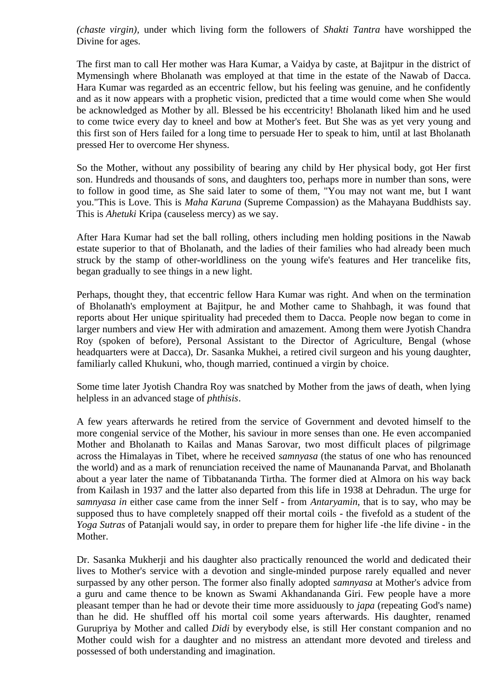*(chaste virgin),* under which living form the followers of *Shakti Tantra* have worshipped the Divine for ages.

The first man to call Her mother was Hara Kumar, a Vaidya by caste, at Bajitpur in the district of Mymensingh where Bholanath was employed at that time in the estate of the Nawab of Dacca. Hara Kumar was regarded as an eccentric fellow, but his feeling was genuine, and he confidently and as it now appears with a prophetic vision, predicted that a time would come when She would be acknowledged as Mother by all. Blessed be his eccentricity! Bholanath liked him and he used to come twice every day to kneel and bow at Mother's feet. But She was as yet very young and this first son of Hers failed for a long time to persuade Her to speak to him, until at last Bholanath pressed Her to overcome Her shyness.

So the Mother, without any possibility of bearing any child by Her physical body, got Her first son. Hundreds and thousands of sons, and daughters too, perhaps more in number than sons, were to follow in good time, as She said later to some of them, "You may not want me, but I want you."This is Love. This is *Maha Karuna* (Supreme Compassion) as the Mahayana Buddhists say. This is *Ahetuki* Kripa (causeless mercy) as we say.

After Hara Kumar had set the ball rolling, others including men holding positions in the Nawab estate superior to that of Bholanath, and the ladies of their families who had already been much struck by the stamp of other-worldliness on the young wife's features and Her trancelike fits, began gradually to see things in a new light.

Perhaps, thought they, that eccentric fellow Hara Kumar was right. And when on the termination of Bholanath's employment at Bajitpur, he and Mother came to Shahbagh, it was found that reports about Her unique spirituality had preceded them to Dacca. People now began to come in larger numbers and view Her with admiration and amazement. Among them were Jyotish Chandra Roy (spoken of before), Personal Assistant to the Director of Agriculture, Bengal (whose headquarters were at Dacca), Dr. Sasanka Mukhei, a retired civil surgeon and his young daughter, familiarly called Khukuni, who, though married, continued a virgin by choice.

Some time later Jyotish Chandra Roy was snatched by Mother from the jaws of death, when lying helpless in an advanced stage of *phthisis*.

A few years afterwards he retired from the service of Government and devoted himself to the more congenial service of the Mother, his saviour in more senses than one. He even accompanied Mother and Bholanath to Kailas and Manas Sarovar, two most difficult places of pilgrimage across the Himalayas in Tibet, where he received *samnyasa* (the status of one who has renounced the world) and as a mark of renunciation received the name of Maunananda Parvat, and Bholanath about a year later the name of Tibbatananda Tirtha. The former died at Almora on his way back from Kailash in 1937 and the latter also departed from this life in 1938 at Dehradun. The urge for *samnyasa in* either case came from the inner Self - from *Antaryamin,* that is to say, who may be supposed thus to have completely snapped off their mortal coils - the fivefold as a student of the *Yoga Sutras* of Patanjali would say, in order to prepare them for higher life -the life divine - in the Mother.

Dr. Sasanka Mukherji and his daughter also practically renounced the world and dedicated their lives to Mother's service with a devotion and single-minded purpose rarely equalled and never surpassed by any other person. The former also finally adopted *samnyasa* at Mother's advice from a guru and came thence to be known as Swami Akhandananda Giri. Few people have a more pleasant temper than he had or devote their time more assiduously to *japa* (repeating God's name) than he did. He shuffled off his mortal coil some years afterwards. His daughter, renamed Gurupriya by Mother and called *Didi* by everybody else, is still Her constant companion and no Mother could wish for a daughter and no mistress an attendant more devoted and tireless and possessed of both understanding and imagination.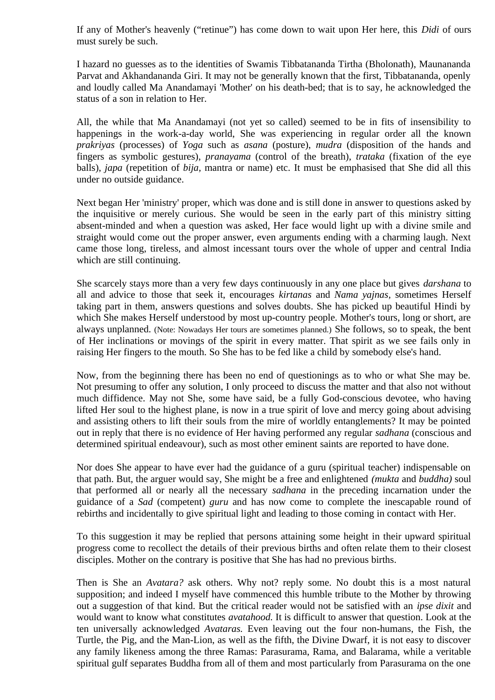If any of Mother's heavenly ("retinue") has come down to wait upon Her here, this *Didi* of ours must surely be such.

I hazard no guesses as to the identities of Swamis Tibbatananda Tirtha (Bholonath), Maunananda Parvat and Akhandananda Giri. It may not be generally known that the first, Tibbatananda, openly and loudly called Ma Anandamayi 'Mother' on his death-bed; that is to say, he acknowledged the status of a son in relation to Her.

All, the while that Ma Anandamayi (not yet so called) seemed to be in fits of insensibility to happenings in the work-a-day world, She was experiencing in regular order all the known *prakriyas* (processes) of *Yoga* such as *asana* (posture), *mudra* (disposition of the hands and fingers as symbolic gestures), *pranayama* (control of the breath), *trataka* (fixation of the eye balls), *japa* (repetition of *bija,* mantra or name) etc. It must be emphasised that She did all this under no outside guidance.

Next began Her 'ministry' proper, which was done and is still done in answer to questions asked by the inquisitive or merely curious. She would be seen in the early part of this ministry sitting absent-minded and when a question was asked, Her face would light up with a divine smile and straight would come out the proper answer, even arguments ending with a charming laugh. Next came those long, tireless, and almost incessant tours over the whole of upper and central India which are still continuing.

She scarcely stays more than a very few days continuously in any one place but gives *darshana* to all and advice to those that seek it, encourages *kirtanas* and *Nama yajnas,* sometimes Herself taking part in them, answers questions and solves doubts. She has picked up beautiful Hindi by which She makes Herself understood by most up-country people. Mother's tours, long or short, are always unplanned. (Note: Nowadays Her tours are sometimes planned.) She follows, so to speak, the bent of Her inclinations or movings of the spirit in every matter. That spirit as we see fails only in raising Her fingers to the mouth. So She has to be fed like a child by somebody else's hand.

Now, from the beginning there has been no end of questionings as to who or what She may be. Not presuming to offer any solution, I only proceed to discuss the matter and that also not without much diffidence. May not She, some have said, be a fully God-conscious devotee, who having lifted Her soul to the highest plane, is now in a true spirit of love and mercy going about advising and assisting others to lift their souls from the mire of worldly entanglements? It may be pointed out in reply that there is no evidence of Her having performed any regular *sadhana* (conscious and determined spiritual endeavour), such as most other eminent saints are reported to have done.

Nor does She appear to have ever had the guidance of a guru (spiritual teacher) indispensable on that path. But, the arguer would say, She might be a free and enlightened *(mukta* and *buddha)* soul that performed all or nearly all the necessary *sadhana* in the preceding incarnation under the guidance of a *Sad* (competent) *guru* and has now come to complete the inescapable round of rebirths and incidentally to give spiritual light and leading to those coming in contact with Her.

To this suggestion it may be replied that persons attaining some height in their upward spiritual progress come to recollect the details of their previous births and often relate them to their closest disciples. Mother on the contrary is positive that She has had no previous births.

Then is She an *Avatara?* ask others. Why not? reply some. No doubt this is a most natural supposition; and indeed I myself have commenced this humble tribute to the Mother by throwing out a suggestion of that kind. But the critical reader would not be satisfied with an *ipse dixit* and would want to know what constitutes *avatahood.* It is difficult to answer that question. Look at the ten universally acknowledged *Avataras.* Even leaving out the four non-humans, the Fish, the Turtle, the Pig, and the Man-Lion, as well as the fifth, the Divine Dwarf, it is not easy to discover any family likeness among the three Ramas: Parasurama, Rama, and Balarama, while a veritable spiritual gulf separates Buddha from all of them and most particularly from Parasurama on the one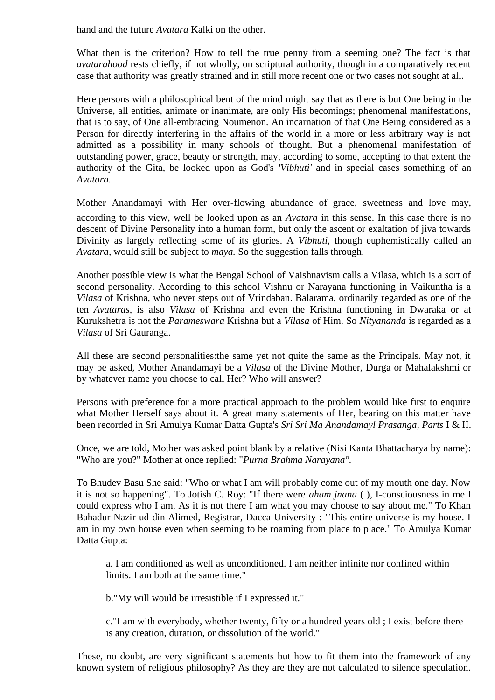hand and the future *Avatara* Kalki on the other.

What then is the criterion? How to tell the true penny from a seeming one? The fact is that *avatarahood* rests chiefly, if not wholly, on scriptural authority, though in a comparatively recent case that authority was greatly strained and in still more recent one or two cases not sought at all.

Here persons with a philosophical bent of the mind might say that as there is but One being in the Universe, all entities, animate or inanimate, are only His becomings; phenomenal manifestations, that is to say, of One all-embracing Noumenon. An incarnation of that One Being considered as a Person for directly interfering in the affairs of the world in a more or less arbitrary way is not admitted as a possibility in many schools of thought. But a phenomenal manifestation of outstanding power, grace, beauty or strength, may, according to some, accepting to that extent the authority of the Gita, be looked upon as God's *'Vibhuti'* and in special cases something of an *Avatara.* 

Mother Anandamayi with Her over-flowing abundance of grace, sweetness and love may, according to this view, well be looked upon as an *Avatara* in this sense. In this case there is no descent of Divine Personality into a human form, but only the ascent or exaltation of jiva towards Divinity as largely reflecting some of its glories. A *Vibhuti,* though euphemistically called an *Avatara,* would still be subject to *maya.* So the suggestion falls through.

Another possible view is what the Bengal School of Vaishnavism calls a Vilasa, which is a sort of second personality. According to this school Vishnu or Narayana functioning in Vaikuntha is a *Vilasa* of Krishna, who never steps out of Vrindaban. Balarama, ordinarily regarded as one of the ten *Avataras,* is also *Vilasa* of Krishna and even the Krishna functioning in Dwaraka or at Kurukshetra is not the *Parameswara* Krishna but a *Vilasa* of Him. So *Nityananda* is regarded as a *Vilasa* of Sri Gauranga.

All these are second personalities:the same yet not quite the same as the Principals. May not, it may be asked, Mother Anandamayi be a *Vilasa* of the Divine Mother, Durga or Mahalakshmi or by whatever name you choose to call Her? Who will answer?

Persons with preference for a more practical approach to the problem would like first to enquire what Mother Herself says about it. A great many statements of Her, bearing on this matter have been recorded in Sri Amulya Kumar Datta Gupta's *Sri Sri Ma Anandamayl Prasanga, Parts* I & II.

Once, we are told, Mother was asked point blank by a relative (Nisi Kanta Bhattacharya by name): "Who are you?" Mother at once replied: "*Purna Brahma Narayana".* 

To Bhudev Basu She said: "Who or what I am will probably come out of my mouth one day. Now it is not so happening". To Jotish C. Roy: "If there were *aham jnana* ( ), I-consciousness in me I could express who I am. As it is not there I am what you may choose to say about me." To Khan Bahadur Nazir-ud-din Alimed, Registrar, Dacca University : "This entire universe is my house. I am in my own house even when seeming to be roaming from place to place." To Amulya Kumar Datta Gupta:

a. I am conditioned as well as unconditioned. I am neither infinite nor confined within limits. I am both at the same time."

b."My will would be irresistible if I expressed it."

c."I am with everybody, whether twenty, fifty or a hundred years old ; I exist before there is any creation, duration, or dissolution of the world."

These, no doubt, are very significant statements but how to fit them into the framework of any known system of religious philosophy? As they are they are not calculated to silence speculation.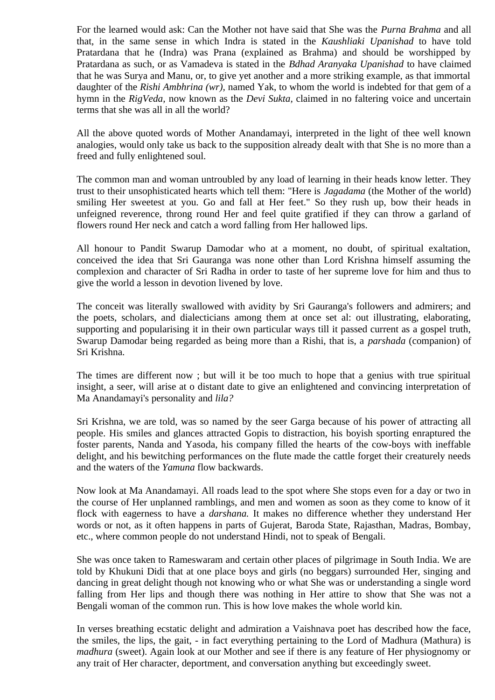For the learned would ask: Can the Mother not have said that She was the *Purna Brahma* and all that, in the same sense in which Indra is stated in the *Kaushliaki Upanishad* to have told Pratardana that he (Indra) was Prana (explained as Brahma) and should be worshipped by Pratardana as such, or as Vamadeva is stated in the *Bdhad Aranyaka Upanishad* to have claimed that he was Surya and Manu, or, to give yet another and a more striking example, as that immortal daughter of the *Rishi Ambhrina (wr),* named Yak, to whom the world is indebted for that gem of a hymn in the *RigVeda,* now known as the *Devi Sukta,* claimed in no faltering voice and uncertain terms that she was all in all the world?

All the above quoted words of Mother Anandamayi, interpreted in the light of thee well known analogies, would only take us back to the supposition already dealt with that She is no more than a freed and fully enlightened soul.

The common man and woman untroubled by any load of learning in their heads know letter. They trust to their unsophisticated hearts which tell them: "Here is *Jagadama* (the Mother of the world) smiling Her sweetest at you. Go and fall at Her feet." So they rush up, bow their heads in unfeigned reverence, throng round Her and feel quite gratified if they can throw a garland of flowers round Her neck and catch a word falling from Her hallowed lips.

All honour to Pandit Swarup Damodar who at a moment, no doubt, of spiritual exaltation, conceived the idea that Sri Gauranga was none other than Lord Krishna himself assuming the complexion and character of Sri Radha in order to taste of her supreme love for him and thus to give the world a lesson in devotion livened by love.

The conceit was literally swallowed with avidity by Sri Gauranga's followers and admirers; and the poets, scholars, and dialecticians among them at once set al: out illustrating, elaborating, supporting and popularising it in their own particular ways till it passed current as a gospel truth, Swarup Damodar being regarded as being more than a Rishi, that is, a *parshada* (companion) of Sri Krishna.

The times are different now ; but will it be too much to hope that a genius with true spiritual insight, a seer, will arise at o distant date to give an enlightened and convincing interpretation of Ma Anandamayi's personality and *lila?* 

Sri Krishna, we are told, was so named by the seer Garga because of his power of attracting all people. His smiles and glances attracted Gopis to distraction, his boyish sporting enraptured the foster parents, Nanda and Yasoda, his company filled the hearts of the cow-boys with ineffable delight, and his bewitching performances on the flute made the cattle forget their creaturely needs and the waters of the *Yamuna* flow backwards.

Now look at Ma Anandamayi. All roads lead to the spot where She stops even for a day or two in the course of Her unplanned ramblings, and men and women as soon as they come to know of it flock with eagerness to have a *darshana.* It makes no difference whether they understand Her words or not, as it often happens in parts of Gujerat, Baroda State, Rajasthan, Madras, Bombay, etc., where common people do not understand Hindi, not to speak of Bengali.

She was once taken to Rameswaram and certain other places of pilgrimage in South India. We are told by Khukuni Didi that at one place boys and girls (no beggars) surrounded Her, singing and dancing in great delight though not knowing who or what She was or understanding a single word falling from Her lips and though there was nothing in Her attire to show that She was not a Bengali woman of the common run. This is how love makes the whole world kin.

In verses breathing ecstatic delight and admiration a Vaishnava poet has described how the face, the smiles, the lips, the gait, - in fact everything pertaining to the Lord of Madhura (Mathura) is *madhura* (sweet). Again look at our Mother and see if there is any feature of Her physiognomy or any trait of Her character, deportment, and conversation anything but exceedingly sweet.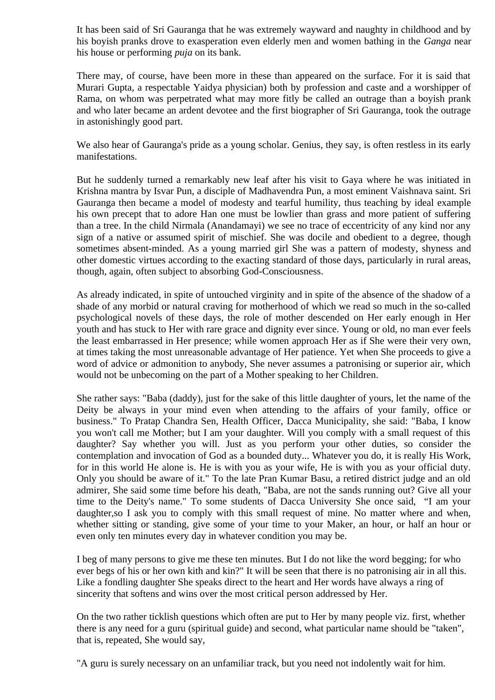It has been said of Sri Gauranga that he was extremely wayward and naughty in childhood and by his boyish pranks drove to exasperation even elderly men and women bathing in the *Ganga* near his house or performing *puja* on its bank.

There may, of course, have been more in these than appeared on the surface. For it is said that Murari Gupta, a respectable Yaidya physician) both by profession and caste and a worshipper of Rama, on whom was perpetrated what may more fitly be called an outrage than a boyish prank and who later became an ardent devotee and the first biographer of Sri Gauranga, took the outrage in astonishingly good part.

We also hear of Gauranga's pride as a young scholar. Genius, they say, is often restless in its early manifestations.

But he suddenly turned a remarkably new leaf after his visit to Gaya where he was initiated in Krishna mantra by Isvar Pun, a disciple of Madhavendra Pun, a most eminent Vaishnava saint. Sri Gauranga then became a model of modesty and tearful humility, thus teaching by ideal example his own precept that to adore Han one must be lowlier than grass and more patient of suffering than a tree. In the child Nirmala (Anandamayi) we see no trace of eccentricity of any kind nor any sign of a native or assumed spirit of mischief. She was docile and obedient to a degree, though sometimes absent-minded. As a young married girl She was a pattern of modesty, shyness and other domestic virtues according to the exacting standard of those days, particularly in rural areas, though, again, often subject to absorbing God-Consciousness.

As already indicated, in spite of untouched virginity and in spite of the absence of the shadow of a shade of any morbid or natural craving for motherhood of which we read so much in the so-called psychological novels of these days, the role of mother descended on Her early enough in Her youth and has stuck to Her with rare grace and dignity ever since. Young or old, no man ever feels the least embarrassed in Her presence; while women approach Her as if She were their very own, at times taking the most unreasonable advantage of Her patience. Yet when She proceeds to give a word of advice or admonition to anybody, She never assumes a patronising or superior air, which would not be unbecoming on the part of a Mother speaking to her Children.

She rather says: "Baba (daddy), just for the sake of this little daughter of yours, let the name of the Deity be always in your mind even when attending to the affairs of your family, office or business." To Pratap Chandra Sen, Health Officer, Dacca Municipality, she said: "Baba, I know you won't call me Mother; but I am your daughter. Will you comply with a small request of this daughter? Say whether you will. Just as you perform your other duties, so consider the contemplation and invocation of God as a bounded duty... Whatever you do, it is really His Work, for in this world He alone is. He is with you as your wife, He is with you as your official duty. Only you should be aware of it." To the late Pran Kumar Basu, a retired district judge and an old admirer, She said some time before his death, "Baba, are not the sands running out? Give all your time to the Deity's name." To some students of Dacca University She once said, "I am your daughter,so I ask you to comply with this small request of mine. No matter where and when, whether sitting or standing, give some of your time to your Maker, an hour, or half an hour or even only ten minutes every day in whatever condition you may be.

I beg of many persons to give me these ten minutes. But I do not like the word begging; for who ever begs of his or her own kith and kin?" It will be seen that there is no patronising air in all this. Like a fondling daughter She speaks direct to the heart and Her words have always a ring of sincerity that softens and wins over the most critical person addressed by Her.

On the two rather ticklish questions which often are put to Her by many people viz. first, whether there is any need for a guru (spiritual guide) and second, what particular name should be "taken", that is, repeated, She would say,

"A guru is surely necessary on an unfamiliar track, but you need not indolently wait for him.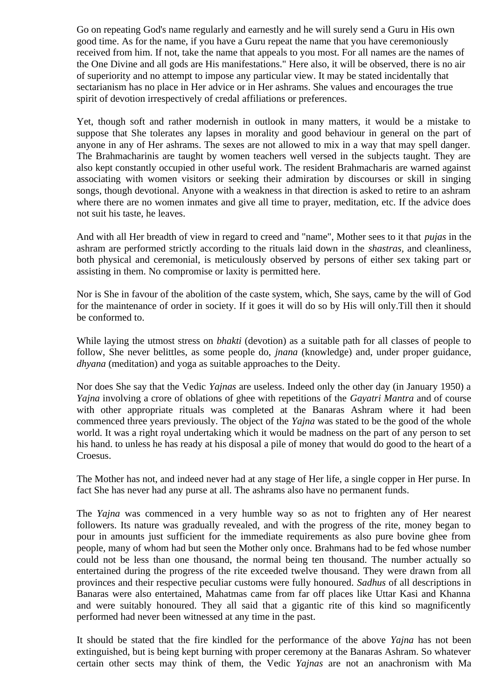Go on repeating God's name regularly and earnestly and he will surely send a Guru in His own good time. As for the name, if you have a Guru repeat the name that you have ceremoniously received from him. If not, take the name that appeals to you most. For all names are the names of the One Divine and all gods are His manifestations." Here also, it will be observed, there is no air of superiority and no attempt to impose any particular view. It may be stated incidentally that sectarianism has no place in Her advice or in Her ashrams. She values and encourages the true spirit of devotion irrespectively of credal affiliations or preferences.

Yet, though soft and rather modernish in outlook in many matters, it would be a mistake to suppose that She tolerates any lapses in morality and good behaviour in general on the part of anyone in any of Her ashrams. The sexes are not allowed to mix in a way that may spell danger. The Brahmacharinis are taught by women teachers well versed in the subjects taught. They are also kept constantly occupied in other useful work. The resident Brahmacharis are warned against associating with women visitors or seeking their admiration by discourses or skill in singing songs, though devotional. Anyone with a weakness in that direction is asked to retire to an ashram where there are no women inmates and give all time to prayer, meditation, etc. If the advice does not suit his taste, he leaves.

And with all Her breadth of view in regard to creed and "name", Mother sees to it that *pujas* in the ashram are performed strictly according to the rituals laid down in the *shastras,* and cleanliness, both physical and ceremonial, is meticulously observed by persons of either sex taking part or assisting in them. No compromise or laxity is permitted here.

Nor is She in favour of the abolition of the caste system, which, She says, came by the will of God for the maintenance of order in society. If it goes it will do so by His will only.Till then it should be conformed to.

While laying the utmost stress on *bhakti* (devotion) as a suitable path for all classes of people to follow, She never belittles, as some people do, *jnana* (knowledge) and, under proper guidance, *dhyana* (meditation) and yoga as suitable approaches to the Deity.

Nor does She say that the Vedic *Yajnas* are useless. Indeed only the other day (in January 1950) a *Yajna* involving a crore of oblations of ghee with repetitions of the *Gayatri Mantra* and of course with other appropriate rituals was completed at the Banaras Ashram where it had been commenced three years previously. The object of the *Yajna* was stated to be the good of the whole world. It was a right royal undertaking which it would be madness on the part of any person to set his hand. to unless he has ready at his disposal a pile of money that would do good to the heart of a Croesus.

The Mother has not, and indeed never had at any stage of Her life, a single copper in Her purse. In fact She has never had any purse at all. The ashrams also have no permanent funds.

The *Yajna* was commenced in a very humble way so as not to frighten any of Her nearest followers. Its nature was gradually revealed, and with the progress of the rite, money began to pour in amounts just sufficient for the immediate requirements as also pure bovine ghee from people, many of whom had but seen the Mother only once. Brahmans had to be fed whose number could not be less than one thousand, the normal being ten thousand. The number actually so entertained during the progress of the rite exceeded twelve thousand. They were drawn from all provinces and their respective peculiar customs were fully honoured. *Sadhus* of all descriptions in Banaras were also entertained, Mahatmas came from far off places like Uttar Kasi and Khanna and were suitably honoured. They all said that a gigantic rite of this kind so magnificently performed had never been witnessed at any time in the past.

It should be stated that the fire kindled for the performance of the above *Yajna* has not been extinguished, but is being kept burning with proper ceremony at the Banaras Ashram. So whatever certain other sects may think of them, the Vedic *Yajnas* are not an anachronism with Ma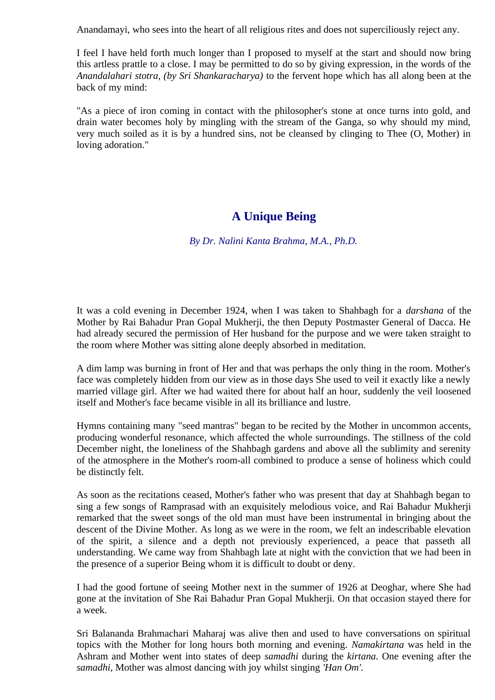Anandamayi, who sees into the heart of all religious rites and does not superciliously reject any.

I feel I have held forth much longer than I proposed to myself at the start and should now bring this artless prattle to a close. I may be permitted to do so by giving expression, in the words of the *Anandalahari stotra, (by Sri Shankaracharya)* to the fervent hope which has all along been at the back of my mind:

"As a piece of iron coming in contact with the philosopher's stone at once turns into gold, and drain water becomes holy by mingling with the stream of the Ganga, so why should my mind, very much soiled as it is by a hundred sins, not be cleansed by clinging to Thee (O, Mother) in loving adoration."

# <span id="page-33-0"></span>**A Unique Being**

*By Dr. Nalini Kanta Brahma, M.A., Ph.D.*

It was a cold evening in December 1924, when I was taken to Shahbagh for a *darshana* of the Mother by Rai Bahadur Pran Gopal Mukherji, the then Deputy Postmaster General of Dacca. He had already secured the permission of Her husband for the purpose and we were taken straight to the room where Mother was sitting alone deeply absorbed in meditation.

A dim lamp was burning in front of Her and that was perhaps the only thing in the room. Mother's face was completely hidden from our view as in those days She used to veil it exactly like a newly married village girl. After we had waited there for about half an hour, suddenly the veil loosened itself and Mother's face became visible in all its brilliance and lustre.

Hymns containing many "seed mantras" began to be recited by the Mother in uncommon accents, producing wonderful resonance, which affected the whole surroundings. The stillness of the cold December night, the loneliness of the Shahbagh gardens and above all the sublimity and serenity of the atmosphere in the Mother's room-all combined to produce a sense of holiness which could be distinctly felt.

As soon as the recitations ceased, Mother's father who was present that day at Shahbagh began to sing a few songs of Ramprasad with an exquisitely melodious voice, and Rai Bahadur Mukherji remarked that the sweet songs of the old man must have been instrumental in bringing about the descent of the Divine Mother. As long as we were in the room, we felt an indescribable elevation of the spirit, a silence and a depth not previously experienced, a peace that passeth all understanding. We came way from Shahbagh late at night with the conviction that we had been in the presence of a superior Being whom it is difficult to doubt or deny.

I had the good fortune of seeing Mother next in the summer of 1926 at Deoghar, where She had gone at the invitation of She Rai Bahadur Pran Gopal Mukherji. On that occasion stayed there for a week.

Sri Balananda Brahmachari Maharaj was alive then and used to have conversations on spiritual topics with the Mother for long hours both morning and evening. *Namakirtana* was held in the Ashram and Mother went into states of deep *samadhi* during the *kirtana.* One evening after the *samadhi,* Mother was almost dancing with joy whilst singing *'Han Om'.*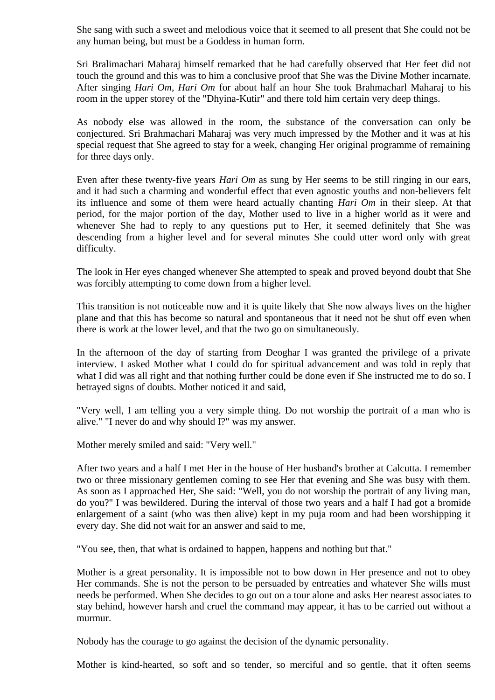She sang with such a sweet and melodious voice that it seemed to all present that She could not be any human being, but must be a Goddess in human form.

Sri Bralimachari Maharaj himself remarked that he had carefully observed that Her feet did not touch the ground and this was to him a conclusive proof that She was the Divine Mother incarnate. After singing *Hari Om, Hari Om* for about half an hour She took Brahmacharl Maharaj to his room in the upper storey of the "Dhyina-Kutir" and there told him certain very deep things.

As nobody else was allowed in the room, the substance of the conversation can only be conjectured. Sri Brahmachari Maharaj was very much impressed by the Mother and it was at his special request that She agreed to stay for a week, changing Her original programme of remaining for three days only.

Even after these twenty-five years *Hari Om* as sung by Her seems to be still ringing in our ears, and it had such a charming and wonderful effect that even agnostic youths and non-believers felt its influence and some of them were heard actually chanting *Hari Om* in their sleep. At that period, for the major portion of the day, Mother used to live in a higher world as it were and whenever She had to reply to any questions put to Her, it seemed definitely that She was descending from a higher level and for several minutes She could utter word only with great difficulty.

The look in Her eyes changed whenever She attempted to speak and proved beyond doubt that She was forcibly attempting to come down from a higher level.

This transition is not noticeable now and it is quite likely that She now always lives on the higher plane and that this has become so natural and spontaneous that it need not be shut off even when there is work at the lower level, and that the two go on simultaneously.

In the afternoon of the day of starting from Deoghar I was granted the privilege of a private interview. I asked Mother what I could do for spiritual advancement and was told in reply that what I did was all right and that nothing further could be done even if She instructed me to do so. I betrayed signs of doubts. Mother noticed it and said,

"Very well, I am telling you a very simple thing. Do not worship the portrait of a man who is alive." "I never do and why should I?" was my answer.

Mother merely smiled and said: "Very well."

After two years and a half I met Her in the house of Her husband's brother at Calcutta. I remember two or three missionary gentlemen coming to see Her that evening and She was busy with them. As soon as I approached Her, She said: "Well, you do not worship the portrait of any living man, do you?" I was bewildered. During the interval of those two years and a half I had got a bromide enlargement of a saint (who was then alive) kept in my puja room and had been worshipping it every day. She did not wait for an answer and said to me,

"You see, then, that what is ordained to happen, happens and nothing but that."

Mother is a great personality. It is impossible not to bow down in Her presence and not to obey Her commands. She is not the person to be persuaded by entreaties and whatever She wills must needs be performed. When She decides to go out on a tour alone and asks Her nearest associates to stay behind, however harsh and cruel the command may appear, it has to be carried out without a murmur.

Nobody has the courage to go against the decision of the dynamic personality.

Mother is kind-hearted, so soft and so tender, so merciful and so gentle, that it often seems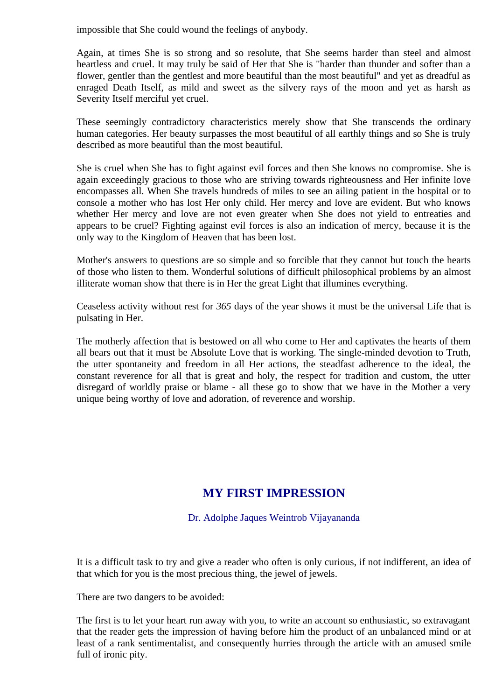impossible that She could wound the feelings of anybody.

Again, at times She is so strong and so resolute, that She seems harder than steel and almost heartless and cruel. It may truly be said of Her that She is "harder than thunder and softer than a flower, gentler than the gentlest and more beautiful than the most beautiful" and yet as dreadful as enraged Death Itself, as mild and sweet as the silvery rays of the moon and yet as harsh as Severity Itself merciful yet cruel.

These seemingly contradictory characteristics merely show that She transcends the ordinary human categories. Her beauty surpasses the most beautiful of all earthly things and so She is truly described as more beautiful than the most beautiful.

She is cruel when She has to fight against evil forces and then She knows no compromise. She is again exceedingly gracious to those who are striving towards righteousness and Her infinite love encompasses all. When She travels hundreds of miles to see an ailing patient in the hospital or to console a mother who has lost Her only child. Her mercy and love are evident. But who knows whether Her mercy and love are not even greater when She does not yield to entreaties and appears to be cruel? Fighting against evil forces is also an indication of mercy, because it is the only way to the Kingdom of Heaven that has been lost.

Mother's answers to questions are so simple and so forcible that they cannot but touch the hearts of those who listen to them. Wonderful solutions of difficult philosophical problems by an almost illiterate woman show that there is in Her the great Light that illumines everything.

Ceaseless activity without rest for *365* days of the year shows it must be the universal Life that is pulsating in Her.

The motherly affection that is bestowed on all who come to Her and captivates the hearts of them all bears out that it must be Absolute Love that is working. The single-minded devotion to Truth, the utter spontaneity and freedom in all Her actions, the steadfast adherence to the ideal, the constant reverence for all that is great and holy, the respect for tradition and custom, the utter disregard of worldly praise or blame - all these go to show that we have in the Mother a very unique being worthy of love and adoration, of reverence and worship.

# <span id="page-35-0"></span>**MY FIRST IMPRESSION**

Dr. Adolphe Jaques Weintrob Vijayananda

It is a difficult task to try and give a reader who often is only curious, if not indifferent, an idea of that which for you is the most precious thing, the jewel of jewels.

There are two dangers to be avoided:

The first is to let your heart run away with you, to write an account so enthusiastic, so extravagant that the reader gets the impression of having before him the product of an unbalanced mind or at least of a rank sentimentalist, and consequently hurries through the article with an amused smile full of ironic pity.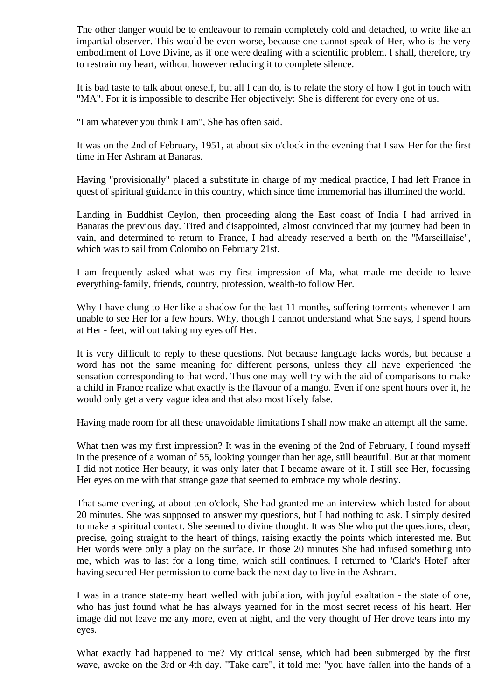The other danger would be to endeavour to remain completely cold and detached, to write like an impartial observer. This would be even worse, because one cannot speak of Her, who is the very embodiment of Love Divine, as if one were dealing with a scientific problem. I shall, therefore, try to restrain my heart, without however reducing it to complete silence.

It is bad taste to talk about oneself, but all I can do, is to relate the story of how I got in touch with "MA". For it is impossible to describe Her objectively: She is different for every one of us.

"I am whatever you think I am", She has often said.

It was on the 2nd of February, 1951, at about six o'clock in the evening that I saw Her for the first time in Her Ashram at Banaras.

Having "provisionally" placed a substitute in charge of my medical practice, I had left France in quest of spiritual guidance in this country, which since time immemorial has illumined the world.

Landing in Buddhist Ceylon, then proceeding along the East coast of India I had arrived in Banaras the previous day. Tired and disappointed, almost convinced that my journey had been in vain, and determined to return to France, I had already reserved a berth on the "Marseillaise", which was to sail from Colombo on February 21st.

I am frequently asked what was my first impression of Ma, what made me decide to leave everything-family, friends, country, profession, wealth-to follow Her.

Why I have clung to Her like a shadow for the last 11 months, suffering torments whenever I am unable to see Her for a few hours. Why, though I cannot understand what She says, I spend hours at Her - feet, without taking my eyes off Her.

It is very difficult to reply to these questions. Not because language lacks words, but because a word has not the same meaning for different persons, unless they all have experienced the sensation corresponding to that word. Thus one may well try with the aid of comparisons to make a child in France realize what exactly is the flavour of a mango. Even if one spent hours over it, he would only get a very vague idea and that also most likely false.

Having made room for all these unavoidable limitations I shall now make an attempt all the same.

What then was my first impression? It was in the evening of the 2nd of February, I found myseff in the presence of a woman of 55, looking younger than her age, still beautiful. But at that moment I did not notice Her beauty, it was only later that I became aware of it. I still see Her, focussing Her eyes on me with that strange gaze that seemed to embrace my whole destiny.

That same evening, at about ten o'clock, She had granted me an interview which lasted for about 20 minutes. She was supposed to answer my questions, but I had nothing to ask. I simply desired to make a spiritual contact. She seemed to divine thought. It was She who put the questions, clear, precise, going straight to the heart of things, raising exactly the points which interested me. But Her words were only a play on the surface. In those 20 minutes She had infused something into me, which was to last for a long time, which still continues. I returned to 'Clark's Hotel' after having secured Her permission to come back the next day to live in the Ashram.

I was in a trance state-my heart welled with jubilation, with joyful exaltation - the state of one, who has just found what he has always yearned for in the most secret recess of his heart. Her image did not leave me any more, even at night, and the very thought of Her drove tears into my eyes.

What exactly had happened to me? My critical sense, which had been submerged by the first wave, awoke on the 3rd or 4th day. "Take care", it told me: "you have fallen into the hands of a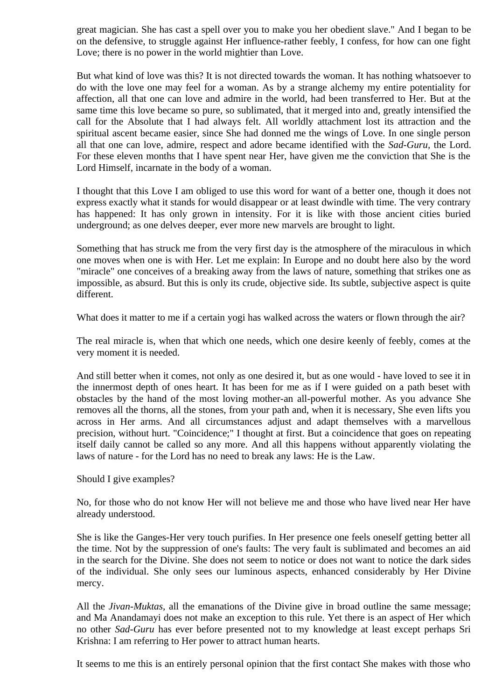great magician. She has cast a spell over you to make you her obedient slave." And I began to be on the defensive, to struggle against Her influence-rather feebly, I confess, for how can one fight Love; there is no power in the world mightier than Love.

But what kind of love was this? It is not directed towards the woman. It has nothing whatsoever to do with the love one may feel for a woman. As by a strange alchemy my entire potentiality for affection, all that one can love and admire in the world, had been transferred to Her. But at the same time this love became so pure, so sublimated, that it merged into and, greatly intensified the call for the Absolute that I had always felt. All worldly attachment lost its attraction and the spiritual ascent became easier, since She had donned me the wings of Love. In one single person all that one can love, admire, respect and adore became identified with the *Sad-Guru,* the Lord. For these eleven months that I have spent near Her, have given me the conviction that She is the Lord Himself, incarnate in the body of a woman.

I thought that this Love I am obliged to use this word for want of a better one, though it does not express exactly what it stands for would disappear or at least dwindle with time. The very contrary has happened: It has only grown in intensity. For it is like with those ancient cities buried underground; as one delves deeper, ever more new marvels are brought to light.

Something that has struck me from the very first day is the atmosphere of the miraculous in which one moves when one is with Her. Let me explain: In Europe and no doubt here also by the word "miracle" one conceives of a breaking away from the laws of nature, something that strikes one as impossible, as absurd. But this is only its crude, objective side. Its subtle, subjective aspect is quite different.

What does it matter to me if a certain yogi has walked across the waters or flown through the air?

The real miracle is, when that which one needs, which one desire keenly of feebly, comes at the very moment it is needed.

And still better when it comes, not only as one desired it, but as one would - have loved to see it in the innermost depth of ones heart. It has been for me as if I were guided on a path beset with obstacles by the hand of the most loving mother-an all-powerful mother. As you advance She removes all the thorns, all the stones, from your path and, when it is necessary, She even lifts you across in Her arms. And all circumstances adjust and adapt themselves with a marvellous precision, without hurt. "Coincidence;" I thought at first. But a coincidence that goes on repeating itself daily cannot be called so any more. And all this happens without apparently violating the laws of nature - for the Lord has no need to break any laws: He is the Law.

Should I give examples?

No, for those who do not know Her will not believe me and those who have lived near Her have already understood.

She is like the Ganges-Her very touch purifies. In Her presence one feels oneself getting better all the time. Not by the suppression of one's faults: The very fault is sublimated and becomes an aid in the search for the Divine. She does not seem to notice or does not want to notice the dark sides of the individual. She only sees our luminous aspects, enhanced considerably by Her Divine mercy.

All the *Jivan-Muktas,* all the emanations of the Divine give in broad outline the same message; and Ma Anandamayi does not make an exception to this rule. Yet there is an aspect of Her which no other *Sad-Guru* has ever before presented not to my knowledge at least except perhaps Sri Krishna: I am referring to Her power to attract human hearts.

It seems to me this is an entirely personal opinion that the first contact She makes with those who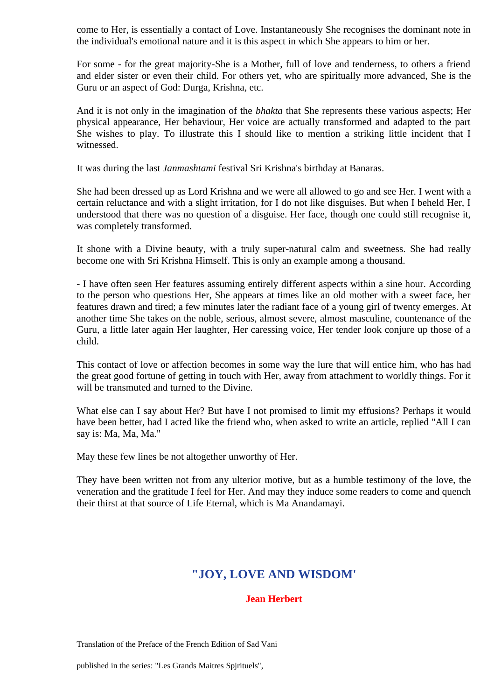come to Her, is essentially a contact of Love. Instantaneously She recognises the dominant note in the individual's emotional nature and it is this aspect in which She appears to him or her.

For some - for the great majority-She is a Mother, full of love and tenderness, to others a friend and elder sister or even their child. For others yet, who are spiritually more advanced, She is the Guru or an aspect of God: Durga, Krishna, etc.

And it is not only in the imagination of the *bhakta* that She represents these various aspects; Her physical appearance, Her behaviour, Her voice are actually transformed and adapted to the part She wishes to play. To illustrate this I should like to mention a striking little incident that I witnessed.

It was during the last *Janmashtami* festival Sri Krishna's birthday at Banaras.

She had been dressed up as Lord Krishna and we were all allowed to go and see Her. I went with a certain reluctance and with a slight irritation, for I do not like disguises. But when I beheld Her, I understood that there was no question of a disguise. Her face, though one could still recognise it, was completely transformed.

It shone with a Divine beauty, with a truly super-natural calm and sweetness. She had really become one with Sri Krishna Himself. This is only an example among a thousand.

- I have often seen Her features assuming entirely different aspects within a sine hour. According to the person who questions Her, She appears at times like an old mother with a sweet face, her features drawn and tired; a few minutes later the radiant face of a young girl of twenty emerges. At another time She takes on the noble, serious, almost severe, almost masculine, countenance of the Guru, a little later again Her laughter, Her caressing voice, Her tender look conjure up those of a child.

This contact of love or affection becomes in some way the lure that will entice him, who has had the great good fortune of getting in touch with Her, away from attachment to worldly things. For it will be transmuted and turned to the Divine.

What else can I say about Her? But have I not promised to limit my effusions? Perhaps it would have been better, had I acted like the friend who, when asked to write an article, replied "All I can say is: Ma, Ma, Ma."

May these few lines be not altogether unworthy of Her.

They have been written not from any ulterior motive, but as a humble testimony of the love, the veneration and the gratitude I feel for Her. And may they induce some readers to come and quench their thirst at that source of Life Eternal, which is Ma Anandamayi.

## **"JOY, LOVE AND WISDOM'**

#### **Jean Herbert**

Translation of the Preface of the French Edition of Sad Vani

published in the series: "Les Grands Maitres Spjrituels",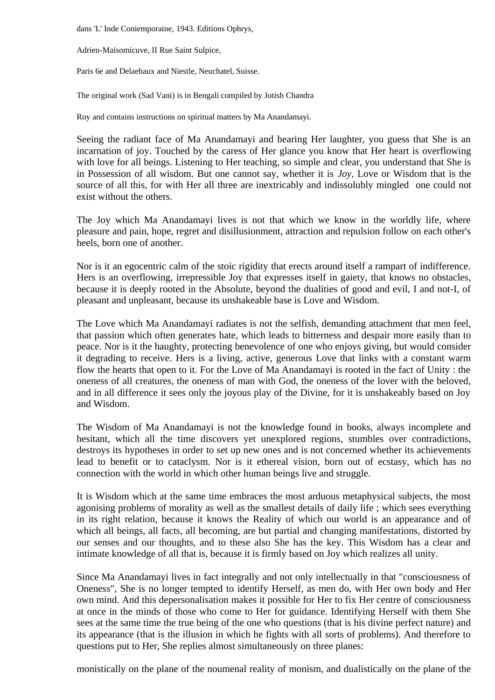dans 'L' Inde Coniemporaine, 1943. Editions Ophrys,

Adrien-Maisomicuve, II Rue Saint Sulpice,

Paris 6e and Delaehaux and Niestle, Neuchatel, Suisse.

The original work (Sad Vani) is in Bengali compiled by Jotish Chandra

Roy and contains instructions on spiritual matters by Ma Anandamayi.

Seeing the radiant face of Ma Anandamayi and hearing Her laughter, you guess that She is an incarnation of joy. Touched by the caress of Her glance you know that Her heart is overflowing with love for all beings. Listening to Her teaching, so simple and clear, you understand that She is in Possession of all wisdom. But one cannot say, whether it is *Joy,* Love or Wisdom that is the source of all this, for with Her all three are inextricably and indissolubly mingled one could not exist without the others.

The Joy which Ma Anandamayi lives is not that which we know in the worldly life, where pleasure and pain, hope, regret and disillusionment, attraction and repulsion follow on each other's heels, born one of another.

Nor is it an egocentric calm of the stoic rigidity that erects around itself a rampart of indifference. Hers is an overflowing, irrepressible Joy that expresses itself in gaiety, that knows no obstacles, because it is deeply rooted in the Absolute, beyond the dualities of good and evil, I and not-I, of pleasant and unpleasant, because its unshakeable base is Love and Wisdom.

The Love which Ma Anandamayi radiates is not the selfish, demanding attachment that men feel, that passion which often generates hate, which leads to bitterness and despair more easily than to peace. Nor is it the haughty, protecting benevolence of one who enjoys giving, but would consider it degrading to receive. Hers is a living, active, generous Love that links with a constant warm flow the hearts that open to it. For the Love of Ma Anandamayi is rooted in the fact of Unity : the oneness of all creatures, the oneness of man with God, the oneness of the lover with the beloved, and in all difference it sees only the joyous play of the Divine, for it is unshakeably based on Joy and Wisdom.

The Wisdom of Ma Anandamayi is not the knowledge found in books, always incomplete and hesitant, which all the time discovers yet unexplored regions, stumbles over contradictions, destroys its hypotheses in order to set up new ones and is not concerned whether its achievements lead to benefit or to cataclysm. Nor is it ethereal vision, born out of ecstasy, which has no connection with the world in which other human beings live and struggle.

It is Wisdom which at the same time embraces the most arduous metaphysical subjects, the most agonising problems of morality as well as the smallest details of daily life ; which sees everything in its right relation, because it knows the Reality of which our world is an appearance and of which all beings, all facts, all becoming, are but partial and changing manifestations, distorted by our senses and our thoughts, and to these also She has the key. This Wisdom has a clear and intimate knowledge of all that is, because it is firmly based on Joy which realizes all unity.

Since Ma Anandamayi lives in fact integrally and not only intellectually in that "consciousness of Oneness", She is no longer tempted to identify Herself, as men do, with Her own body and Her own mind. And this depersonalisation makes it possible for Her to fix Her centre of consciousness at once in the minds of those who come to Her for guidance. Identifying Herself with them She sees at the same time the true being of the one who questions (that is his divine perfect nature) and its appearance (that is the illusion in which he fights with all sorts of problems). And therefore to questions put to Her, She replies almost simultaneously on three planes:

monistically on the plane of the noumenal reality of monism, and dualistically on the plane of the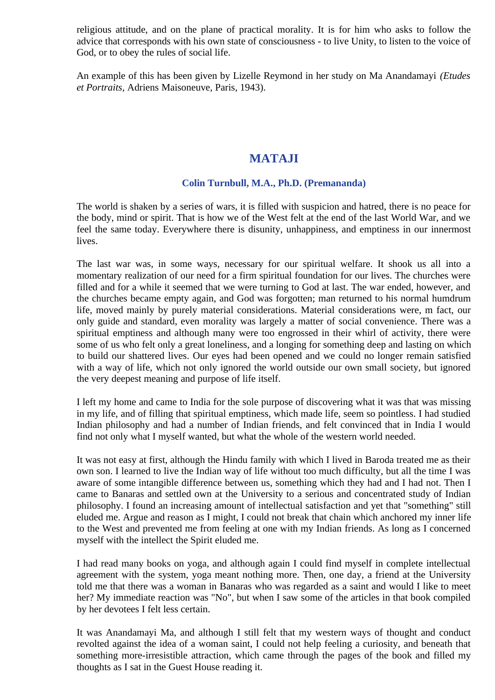religious attitude, and on the plane of practical morality. It is for him who asks to follow the advice that corresponds with his own state of consciousness - to live Unity, to listen to the voice of God, or to obey the rules of social life.

An example of this has been given by Lizelle Reymond in her study on Ma Anandamayi *(Etudes et Portraits,* Adriens Maisoneuve, Paris, 1943).

### **MATAJI**

#### **Colin Turnbull, M.A., Ph.D. (Premananda)**

The world is shaken by a series of wars, it is filled with suspicion and hatred, there is no peace for the body, mind or spirit. That is how we of the West felt at the end of the last World War, and we feel the same today. Everywhere there is disunity, unhappiness, and emptiness in our innermost lives.

The last war was, in some ways, necessary for our spiritual welfare. It shook us all into a momentary realization of our need for a firm spiritual foundation for our lives. The churches were filled and for a while it seemed that we were turning to God at last. The war ended, however, and the churches became empty again, and God was forgotten; man returned to his normal humdrum life, moved mainly by purely material considerations. Material considerations were, m fact, our only guide and standard, even morality was largely a matter of social convenience. There was a spiritual emptiness and although many were too engrossed in their whirl of activity, there were some of us who felt only a great loneliness, and a longing for something deep and lasting on which to build our shattered lives. Our eyes had been opened and we could no longer remain satisfied with a way of life, which not only ignored the world outside our own small society, but ignored the very deepest meaning and purpose of life itself.

I left my home and came to India for the sole purpose of discovering what it was that was missing in my life, and of filling that spiritual emptiness, which made life, seem so pointless. I had studied Indian philosophy and had a number of Indian friends, and felt convinced that in India I would find not only what I myself wanted, but what the whole of the western world needed.

It was not easy at first, although the Hindu family with which I lived in Baroda treated me as their own son. I learned to live the Indian way of life without too much difficulty, but all the time I was aware of some intangible difference between us, something which they had and I had not. Then I came to Banaras and settled own at the University to a serious and concentrated study of Indian philosophy. I found an increasing amount of intellectual satisfaction and yet that "something" still eluded me. Argue and reason as I might, I could not break that chain which anchored my inner life to the West and prevented me from feeling at one with my Indian friends. As long as I concerned myself with the intellect the Spirit eluded me.

I had read many books on yoga, and although again I could find myself in complete intellectual agreement with the system, yoga meant nothing more. Then, one day, a friend at the University told me that there was a woman in Banaras who was regarded as a saint and would I like to meet her? My immediate reaction was "No", but when I saw some of the articles in that book compiled by her devotees I felt less certain.

It was Anandamayi Ma, and although I still felt that my western ways of thought and conduct revolted against the idea of a woman saint, I could not help feeling a curiosity, and beneath that something more-irresistible attraction, which came through the pages of the book and filled my thoughts as I sat in the Guest House reading it.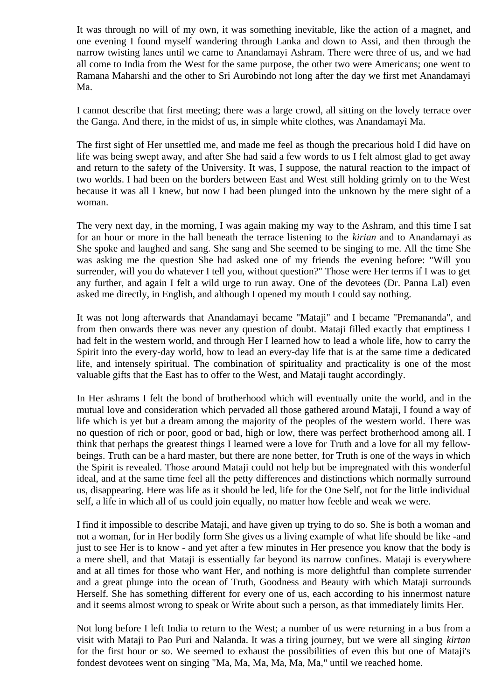It was through no will of my own, it was something inevitable, like the action of a magnet, and one evening I found myself wandering through Lanka and down to Assi, and then through the narrow twisting lanes until we came to Anandamayi Ashram. There were three of us, and we had all come to India from the West for the same purpose, the other two were Americans; one went to Ramana Maharshi and the other to Sri Aurobindo not long after the day we first met Anandamayi Ma.

I cannot describe that first meeting; there was a large crowd, all sitting on the lovely terrace over the Ganga. And there, in the midst of us, in simple white clothes, was Anandamayi Ma.

The first sight of Her unsettled me, and made me feel as though the precarious hold I did have on life was being swept away, and after She had said a few words to us I felt almost glad to get away and return to the safety of the University. It was, I suppose, the natural reaction to the impact of two worlds. I had been on the borders between East and West still holding grimly on to the West because it was all I knew, but now I had been plunged into the unknown by the mere sight of a woman.

The very next day, in the morning, I was again making my way to the Ashram, and this time I sat for an hour or more in the hall beneath the terrace listening to the *kirian* and to Anandamayi as She spoke and laughed and sang. She sang and She seemed to be singing to me. All the time She was asking me the question She had asked one of my friends the evening before: "Will you surrender, will you do whatever I tell you, without question?" Those were Her terms if I was to get any further, and again I felt a wild urge to run away. One of the devotees (Dr. Panna Lal) even asked me directly, in English, and although I opened my mouth I could say nothing.

It was not long afterwards that Anandamayi became "Mataji" and I became "Premananda", and from then onwards there was never any question of doubt. Mataji filled exactly that emptiness I had felt in the western world, and through Her I learned how to lead a whole life, how to carry the Spirit into the every-day world, how to lead an every-day life that is at the same time a dedicated life, and intensely spiritual. The combination of spirituality and practicality is one of the most valuable gifts that the East has to offer to the West, and Mataji taught accordingly.

In Her ashrams I felt the bond of brotherhood which will eventually unite the world, and in the mutual love and consideration which pervaded all those gathered around Mataji, I found a way of life which is yet but a dream among the majority of the peoples of the western world. There was no question of rich or poor, good or bad, high or low, there was perfect brotherhood among all. I think that perhaps the greatest things I learned were a love for Truth and a love for all my fellowbeings. Truth can be a hard master, but there are none better, for Truth is one of the ways in which the Spirit is revealed. Those around Mataji could not help but be impregnated with this wonderful ideal, and at the same time feel all the petty differences and distinctions which normally surround us, disappearing. Here was life as it should be led, life for the One Self, not for the little individual self, a life in which all of us could join equally, no matter how feeble and weak we were.

I find it impossible to describe Mataji, and have given up trying to do so. She is both a woman and not a woman, for in Her bodily form She gives us a living example of what life should be like -and just to see Her is to know - and yet after a few minutes in Her presence you know that the body is a mere shell, and that Mataji is essentially far beyond its narrow confines. Mataji is everywhere and at all times for those who want Her, and nothing is more delightful than complete surrender and a great plunge into the ocean of Truth, Goodness and Beauty with which Mataji surrounds Herself. She has something different for every one of us, each according to his innermost nature and it seems almost wrong to speak or Write about such a person, as that immediately limits Her.

Not long before I left India to return to the West; a number of us were returning in a bus from a visit with Mataji to Pao Puri and Nalanda. It was a tiring journey, but we were all singing *kirtan* for the first hour or so. We seemed to exhaust the possibilities of even this but one of Mataji's fondest devotees went on singing "Ma, Ma, Ma, Ma, Ma, Ma," until we reached home.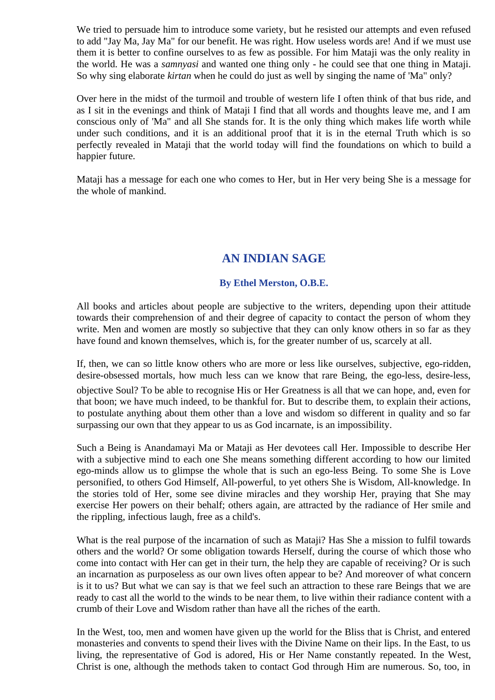We tried to persuade him to introduce some variety, but he resisted our attempts and even refused to add "Jay Ma, Jay Ma" for our benefit. He was right. How useless words are! And if we must use them it is better to confine ourselves to as few as possible. For him Mataji was the only reality in the world. He was a *samnyasi* and wanted one thing only - he could see that one thing in Mataji. So why sing elaborate *kirtan* when he could do just as well by singing the name of 'Ma" only?

Over here in the midst of the turmoil and trouble of western life I often think of that bus ride, and as I sit in the evenings and think of Mataji I find that all words and thoughts leave me, and I am conscious only of 'Ma" and all She stands for. It is the only thing which makes life worth while under such conditions, and it is an additional proof that it is in the eternal Truth which is so perfectly revealed in Mataji that the world today will find the foundations on which to build a happier future.

Mataji has a message for each one who comes to Her, but in Her very being She is a message for the whole of mankind.

### **AN INDIAN SAGE**

#### **By Ethel Merston, O.B.E.**

All books and articles about people are subjective to the writers, depending upon their attitude towards their comprehension of and their degree of capacity to contact the person of whom they write. Men and women are mostly so subjective that they can only know others in so far as they have found and known themselves, which is, for the greater number of us, scarcely at all.

If, then, we can so little know others who are more or less like ourselves, subjective, ego-ridden, desire-obsessed mortals, how much less can we know that rare Being, the ego-less, desire-less,

objective Soul? To be able to recognise His or Her Greatness is all that we can hope, and, even for that boon; we have much indeed, to be thankful for. But to describe them, to explain their actions, to postulate anything about them other than a love and wisdom so different in quality and so far surpassing our own that they appear to us as God incarnate, is an impossibility.

Such a Being is Anandamayi Ma or Mataji as Her devotees call Her. Impossible to describe Her with a subjective mind to each one She means something different according to how our limited ego-minds allow us to glimpse the whole that is such an ego-less Being. To some She is Love personified, to others God Himself, All-powerful, to yet others She is Wisdom, All-knowledge. In the stories told of Her, some see divine miracles and they worship Her, praying that She may exercise Her powers on their behalf; others again, are attracted by the radiance of Her smile and the rippling, infectious laugh, free as a child's.

What is the real purpose of the incarnation of such as Mataji? Has She a mission to fulfil towards others and the world? Or some obligation towards Herself, during the course of which those who come into contact with Her can get in their turn, the help they are capable of receiving? Or is such an incarnation as purposeless as our own lives often appear to be? And moreover of what concern is it to us? But what we can say is that we feel such an attraction to these rare Beings that we are ready to cast all the world to the winds to be near them, to live within their radiance content with a crumb of their Love and Wisdom rather than have all the riches of the earth.

In the West, too, men and women have given up the world for the Bliss that is Christ, and entered monasteries and convents to spend their lives with the Divine Name on their lips. In the East, to us living, the representative of God is adored, His or Her Name constantly repeated. In the West, Christ is one, although the methods taken to contact God through Him are numerous. So, too, in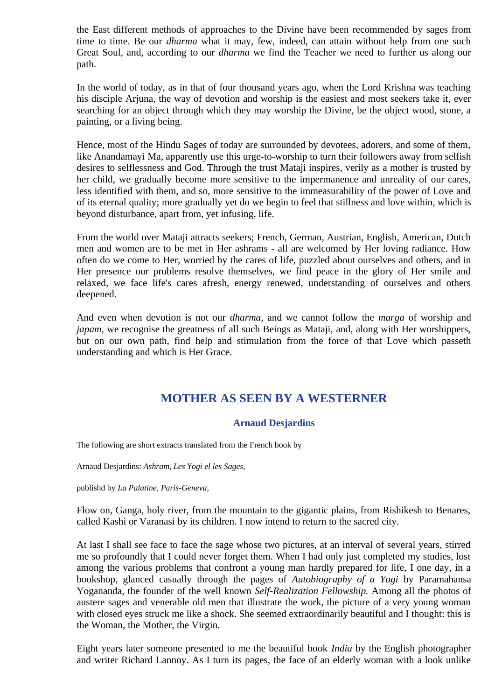the East different methods of approaches to the Divine have been recommended by sages from time to time. Be our *dharma* what it may, few, indeed, can attain without help from one such Great Soul, and, according to our *dharma* we find the Teacher we need to further us along our path.

In the world of today, as in that of four thousand years ago, when the Lord Krishna was teaching his disciple Arjuna, the way of devotion and worship is the easiest and most seekers take it, ever searching for an object through which they may worship the Divine, be the object wood, stone, a painting, or a living being.

Hence, most of the Hindu Sages of today are surrounded by devotees, adorers, and some of them, like Anandamayi Ma, apparently use this urge-to-worship to turn their followers away from selfish desires to selflessness and God. Through the trust Mataji inspires, verily as a mother is trusted by her child, we gradually become more sensitive to the impermanence and unreality of our cares, less identified with them, and so, more sensitive to the immeasurability of the power of Love and of its eternal quality; more gradually yet do we begin to feel that stillness and love within, which is beyond disturbance, apart from, yet infusing, life.

From the world over Mataji attracts seekers; French, German, Austrian, English, American, Dutch men and women are to be met in Her ashrams - all are welcomed by Her loving radiance. How often do we come to Her, worried by the cares of life, puzzled about ourselves and others, and in Her presence our problems resolve themselves, we find peace in the glory of Her smile and relaxed, we face life's cares afresh, energy renewed, understanding of ourselves and others deepened.

And even when devotion is not our *dharma,* and we cannot follow the *marga* of worship and *japam,* we recognise the greatness of all such Beings as Mataji, and, along with Her worshippers, but on our own path, find help and stimulation from the force of that Love which passeth understanding and which is Her Grace.

### **MOTHER AS SEEN BY A WESTERNER**

#### **Arnaud Desjardins**

The following are short extracts translated from the French book by

Arnaud Desjardins: *Ashram, Les Yogi el les Sages,* 

publishd by *La Palatine, Paris-Geneva,*

Flow on, Ganga, holy river, from the mountain to the gigantic plains, from Rishikesh to Benares, called Kashi or Varanasi by its children. I now intend to return to the sacred city.

At last I shall see face to face the sage whose two pictures, at an interval of several years, stirred me so profoundly that I could never forget them. When I had only just completed my studies, lost among the various problems that confront a young man hardly prepared for life, I one day, in a bookshop, glanced casually through the pages of *Autobiography of a Yogi* by Paramahansa Yogananda, the founder of the well known *Self-Realization Fellowship.* Among all the photos of austere sages and venerable old men that illustrate the work, the picture of a very young woman with closed eyes struck me like a shock. She seemed extraordinarily beautiful and I thought: this is the Woman, the Mother, the Virgin.

Eight years later someone presented to me the beautiful book *India* by the English photographer and writer Richard Lannoy. As I turn its pages, the face of an elderly woman with a look unlike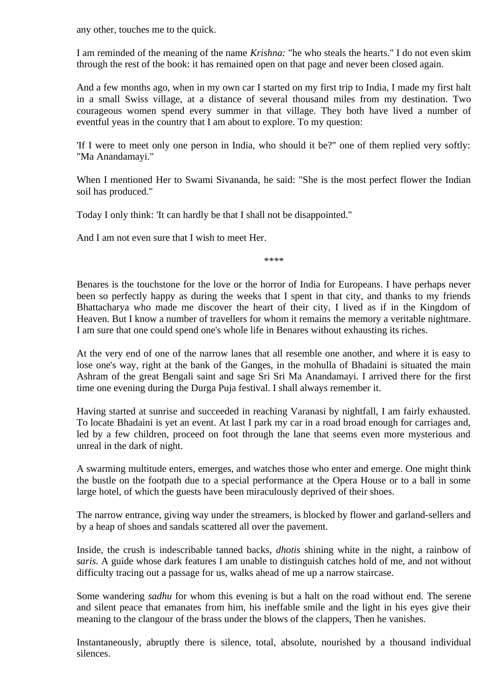any other, touches me to the quick.

I am reminded of the meaning of the name *Krishna:* "he who steals the hearts." I do not even skim through the rest of the book: it has remained open on that page and never been closed again.

And a few months ago, when in my own car I started on my first trip to India, I made my first halt in a small Swiss village, at a distance of several thousand miles from my destination. Two courageous women spend every summer in that village. They both have lived a number of eventful yeas in the country that I am about to explore. To my question:

'If I were to meet only one person in India, who should it be?" one of them replied very softly: "Ma Anandamayi."

When I mentioned Her to Swami Sivananda, he said: "She is the most perfect flower the Indian soil has produced."

Today I only think: 'It can hardly be that I shall not be disappointed."

And I am not even sure that I wish to meet Her.

\*\*\*\*

Benares is the touchstone for the love or the horror of India for Europeans. I have perhaps never been so perfectly happy as during the weeks that I spent in that city, and thanks to my friends Bhattacharya who made me discover the heart of their city, I lived as if in the Kingdom of Heaven. But I know a number of travellers for whom it remains the memory a veritable nightmare. I am sure that one could spend one's whole life in Benares without exhausting its riches.

At the very end of one of the narrow lanes that all resemble one another, and where it is easy to lose one's way, right at the bank of the Ganges, in the mohulla of Bhadaini is situated the main Ashram of the great Bengali saint and sage Sri Sri Ma Anandamayi. I arrived there for the first time one evening during the Durga Puja festival. I shall always remember it.

Having started at sunrise and succeeded in reaching Varanasi by nightfall, I am fairly exhausted. To locate Bhadaini is yet an event. At last I park my car in a road broad enough for carriages and, led by a few children, proceed on foot through the lane that seems even more mysterious and unreal in the dark of night.

A swarming multitude enters, emerges, and watches those who enter and emerge. One might think the bustle on the footpath due to a special performance at the Opera House or to a ball in some large hotel, of which the guests have been miraculously deprived of their shoes.

The narrow entrance, giving way under the streamers, is blocked by flower and garland-sellers and by a heap of shoes and sandals scattered all over the pavement.

Inside, the crush is indescribable tanned backs, *dhotis* shining white in the night, a rainbow of *saris.* A guide whose dark features I am unable to distinguish catches hold of me, and not without difficulty tracing out a passage for us, walks ahead of me up a narrow staircase.

Some wandering *sadhu* for whom this evening is but a halt on the road without end. The serene and silent peace that emanates from him, his ineffable smile and the light in his eyes give their meaning to the clangour of the brass under the blows of the clappers, Then he vanishes.

Instantaneously, abruptly there is silence, total, absolute, nourished by a thousand individual silences.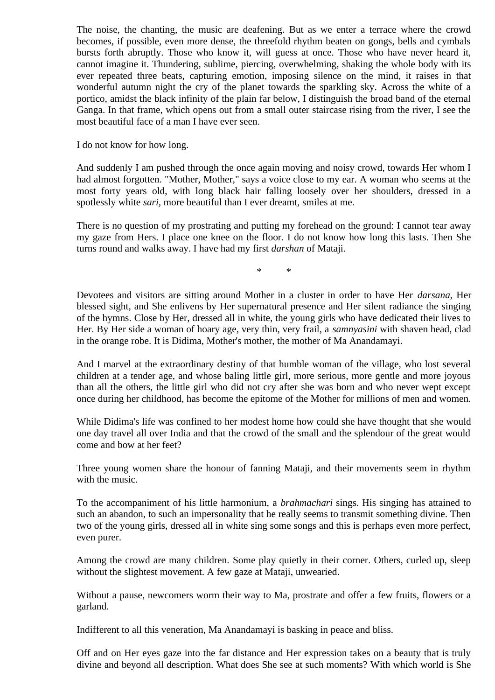The noise, the chanting, the music are deafening. But as we enter a terrace where the crowd becomes, if possible, even more dense, the threefold rhythm beaten on gongs, bells and cymbals bursts forth abruptly. Those who know it, will guess at once. Those who have never heard it, cannot imagine it. Thundering, sublime, piercing, overwhelming, shaking the whole body with its ever repeated three beats, capturing emotion, imposing silence on the mind, it raises in that wonderful autumn night the cry of the planet towards the sparkling sky. Across the white of a portico, amidst the black infinity of the plain far below, I distinguish the broad band of the eternal Ganga. In that frame, which opens out from a small outer staircase rising from the river, I see the most beautiful face of a man I have ever seen.

I do not know for how long.

And suddenly I am pushed through the once again moving and noisy crowd, towards Her whom I had almost forgotten. "Mother, Mother," says a voice close to my ear. A woman who seems at the most forty years old, with long black hair falling loosely over her shoulders, dressed in a spotlessly white *sari,* more beautiful than I ever dreamt, smiles at me.

There is no question of my prostrating and putting my forehead on the ground: I cannot tear away my gaze from Hers. I place one knee on the floor. I do not know how long this lasts. Then She turns round and walks away. I have had my first *darshan* of Mataji.

\* \*

Devotees and visitors are sitting around Mother in a cluster in order to have Her *darsana,* Her blessed sight, and She enlivens by Her supernatural presence and Her silent radiance the singing of the hymns. Close by Her, dressed all in white, the young girls who have dedicated their lives to Her. By Her side a woman of hoary age, very thin, very frail, a *samnyasini* with shaven head, clad in the orange robe. It is Didima, Mother's mother, the mother of Ma Anandamayi.

And I marvel at the extraordinary destiny of that humble woman of the village, who lost several children at a tender age, and whose baling little girl, more serious, more gentle and more joyous than all the others, the little girl who did not cry after she was born and who never wept except once during her childhood, has become the epitome of the Mother for millions of men and women.

While Didima's life was confined to her modest home how could she have thought that she would one day travel all over India and that the crowd of the small and the splendour of the great would come and bow at her feet?

Three young women share the honour of fanning Mataji, and their movements seem in rhythm with the music.

To the accompaniment of his little harmonium, a *brahmachari* sings. His singing has attained to such an abandon, to such an impersonality that he really seems to transmit something divine. Then two of the young girls, dressed all in white sing some songs and this is perhaps even more perfect, even purer.

Among the crowd are many children. Some play quietly in their corner. Others, curled up, sleep without the slightest movement. A few gaze at Mataji, unwearied.

Without a pause, newcomers worm their way to Ma, prostrate and offer a few fruits, flowers or a garland.

Indifferent to all this veneration, Ma Anandamayi is basking in peace and bliss.

Off and on Her eyes gaze into the far distance and Her expression takes on a beauty that is truly divine and beyond all description. What does She see at such moments? With which world is She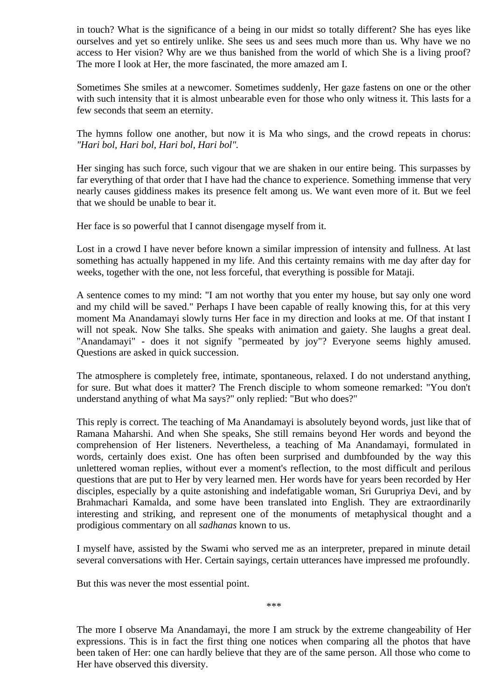in touch? What is the significance of a being in our midst so totally different? She has eyes like ourselves and yet so entirely unlike. She sees us and sees much more than us. Why have we no access to Her vision? Why are we thus banished from the world of which She is a living proof? The more I look at Her, the more fascinated, the more amazed am I.

Sometimes She smiles at a newcomer. Sometimes suddenly, Her gaze fastens on one or the other with such intensity that it is almost unbearable even for those who only witness it. This lasts for a few seconds that seem an eternity.

The hymns follow one another, but now it is Ma who sings, and the crowd repeats in chorus: *"Hari bol, Hari bol, Hari bol, Hari bol".*

Her singing has such force, such vigour that we are shaken in our entire being. This surpasses by far everything of that order that I have had the chance to experience. Something immense that very nearly causes giddiness makes its presence felt among us. We want even more of it. But we feel that we should be unable to bear it.

Her face is so powerful that I cannot disengage myself from it.

Lost in a crowd I have never before known a similar impression of intensity and fullness. At last something has actually happened in my life. And this certainty remains with me day after day for weeks, together with the one, not less forceful, that everything is possible for Mataji.

A sentence comes to my mind: "I am not worthy that you enter my house, but say only one word and my child will be saved." Perhaps I have been capable of really knowing this, for at this very moment Ma Anandamayi slowly turns Her face in my direction and looks at me. Of that instant I will not speak. Now She talks. She speaks with animation and gaiety. She laughs a great deal. "Anandamayi" - does it not signify "permeated by joy"? Everyone seems highly amused. Questions are asked in quick succession.

The atmosphere is completely free, intimate, spontaneous, relaxed. I do not understand anything, for sure. But what does it matter? The French disciple to whom someone remarked: "You don't understand anything of what Ma says?" only replied: "But who does?"

This reply is correct. The teaching of Ma Anandamayi is absolutely beyond words, just like that of Ramana Maharshi. And when She speaks, She still remains beyond Her words and beyond the comprehension of Her listeners. Nevertheless, a teaching of Ma Anandamayi, formulated in words, certainly does exist. One has often been surprised and dumbfounded by the way this unlettered woman replies, without ever a moment's reflection, to the most difficult and perilous questions that are put to Her by very learned men. Her words have for years been recorded by Her disciples, especially by a quite astonishing and indefatigable woman, Sri Gurupriya Devi, and by Brahmachari Kamalda, and some have been translated into English. They are extraordinarily interesting and striking, and represent one of the monuments of metaphysical thought and a prodigious commentary on all *sadhanas* known to us.

I myself have, assisted by the Swami who served me as an interpreter, prepared in minute detail several conversations with Her. Certain sayings, certain utterances have impressed me profoundly.

But this was never the most essential point.

\*\*\*

The more I observe Ma Anandamayi, the more I am struck by the extreme changeability of Her expressions. This is in fact the first thing one notices when comparing all the photos that have been taken of Her: one can hardly believe that they are of the same person. All those who come to Her have observed this diversity.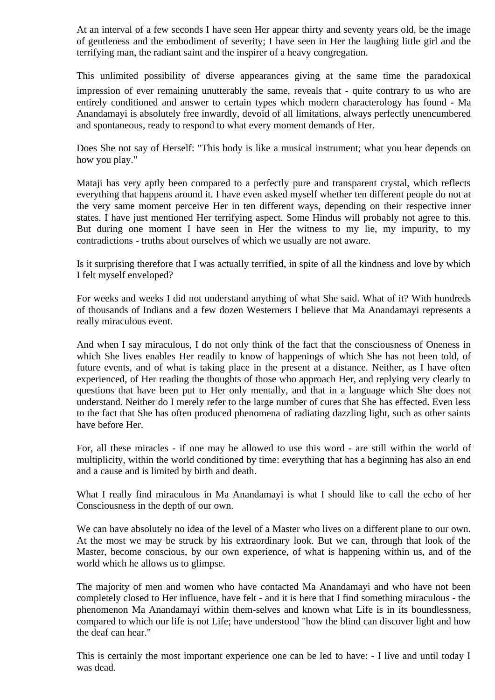At an interval of a few seconds I have seen Her appear thirty and seventy years old, be the image of gentleness and the embodiment of severity; I have seen in Her the laughing little girl and the terrifying man, the radiant saint and the inspirer of a heavy congregation.

This unlimited possibility of diverse appearances giving at the same time the paradoxical impression of ever remaining unutterably the same, reveals that - quite contrary to us who are entirely conditioned and answer to certain types which modern characterology has found - Ma Anandamayi is absolutely free inwardly, devoid of all limitations, always perfectly unencumbered and spontaneous, ready to respond to what every moment demands of Her.

Does She not say of Herself: "This body is like a musical instrument; what you hear depends on how you play."

Mataji has very aptly been compared to a perfectly pure and transparent crystal, which reflects everything that happens around it. I have even asked myself whether ten different people do not at the very same moment perceive Her in ten different ways, depending on their respective inner states. I have just mentioned Her terrifying aspect. Some Hindus will probably not agree to this. But during one moment I have seen in Her the witness to my lie, my impurity, to my contradictions - truths about ourselves of which we usually are not aware.

Is it surprising therefore that I was actually terrified, in spite of all the kindness and love by which I felt myself enveloped?

For weeks and weeks I did not understand anything of what She said. What of it? With hundreds of thousands of Indians and a few dozen Westerners I believe that Ma Anandamayi represents a really miraculous event.

And when I say miraculous, I do not only think of the fact that the consciousness of Oneness in which She lives enables Her readily to know of happenings of which She has not been told, of future events, and of what is taking place in the present at a distance. Neither, as I have often experienced, of Her reading the thoughts of those who approach Her, and replying very clearly to questions that have been put to Her only mentally, and that in a language which She does not understand. Neither do I merely refer to the large number of cures that She has effected. Even less to the fact that She has often produced phenomena of radiating dazzling light, such as other saints have before Her.

For, all these miracles - if one may be allowed to use this word - are still within the world of multiplicity, within the world conditioned by time: everything that has a beginning has also an end and a cause and is limited by birth and death.

What I really find miraculous in Ma Anandamayi is what I should like to call the echo of her Consciousness in the depth of our own.

We can have absolutely no idea of the level of a Master who lives on a different plane to our own. At the most we may be struck by his extraordinary look. But we can, through that look of the Master, become conscious, by our own experience, of what is happening within us, and of the world which he allows us to glimpse.

The majority of men and women who have contacted Ma Anandamayi and who have not been completely closed to Her influence, have felt - and it is here that I find something miraculous - the phenomenon Ma Anandamayi within them-selves and known what Life is in its boundlessness, compared to which our life is not Life; have understood "how the blind can discover light and how the deaf can hear."

This is certainly the most important experience one can be led to have: - I live and until today I was dead.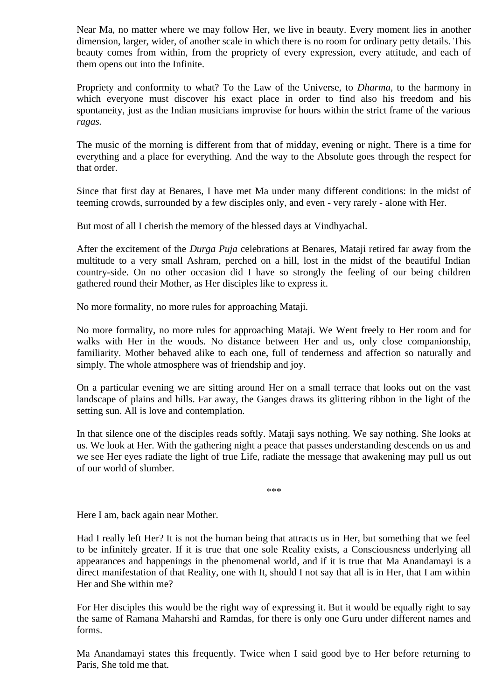Near Ma, no matter where we may follow Her, we live in beauty. Every moment lies in another dimension, larger, wider, of another scale in which there is no room for ordinary petty details. This beauty comes from within, from the propriety of every expression, every attitude, and each of them opens out into the Infinite.

Propriety and conformity to what? To the Law of the Universe, to *Dharma,* to the harmony in which everyone must discover his exact place in order to find also his freedom and his spontaneity, just as the Indian musicians improvise for hours within the strict frame of the various *ragas.*

The music of the morning is different from that of midday, evening or night. There is a time for everything and a place for everything. And the way to the Absolute goes through the respect for that order.

Since that first day at Benares, I have met Ma under many different conditions: in the midst of teeming crowds, surrounded by a few disciples only, and even - very rarely - alone with Her.

But most of all I cherish the memory of the blessed days at Vindhyachal.

After the excitement of the *Durga Puja* celebrations at Benares, Mataji retired far away from the multitude to a very small Ashram, perched on a hill, lost in the midst of the beautiful Indian country-side. On no other occasion did I have so strongly the feeling of our being children gathered round their Mother, as Her disciples like to express it.

No more formality, no more rules for approaching Mataji.

No more formality, no more rules for approaching Mataji. We Went freely to Her room and for walks with Her in the woods. No distance between Her and us, only close companionship, familiarity. Mother behaved alike to each one, full of tenderness and affection so naturally and simply. The whole atmosphere was of friendship and joy.

On a particular evening we are sitting around Her on a small terrace that looks out on the vast landscape of plains and hills. Far away, the Ganges draws its glittering ribbon in the light of the setting sun. All is love and contemplation.

In that silence one of the disciples reads softly. Mataji says nothing. We say nothing. She looks at us. We look at Her. With the gathering night a peace that passes understanding descends on us and we see Her eyes radiate the light of true Life, radiate the message that awakening may pull us out of our world of slumber.

\*\*\*

Here I am, back again near Mother.

Had I really left Her? It is not the human being that attracts us in Her, but something that we feel to be infinitely greater. If it is true that one sole Reality exists, a Consciousness underlying all appearances and happenings in the phenomenal world, and if it is true that Ma Anandamayi is a direct manifestation of that Reality, one with It, should I not say that all is in Her, that I am within Her and She within me?

For Her disciples this would be the right way of expressing it. But it would be equally right to say the same of Ramana Maharshi and Ramdas, for there is only one Guru under different names and forms.

Ma Anandamayi states this frequently. Twice when I said good bye to Her before returning to Paris, She told me that.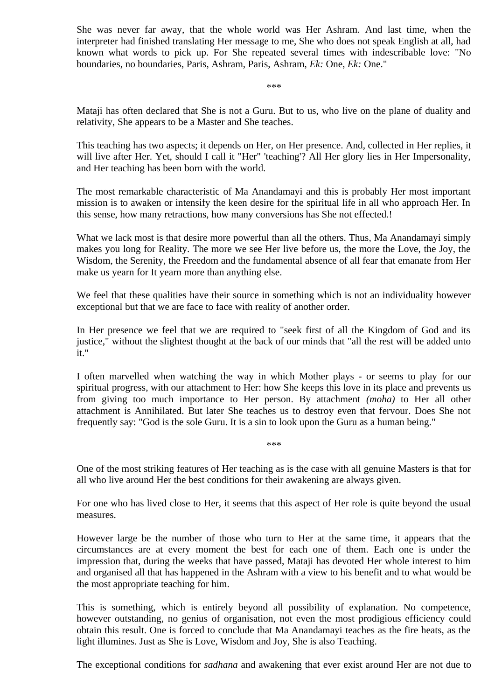She was never far away, that the whole world was Her Ashram. And last time, when the interpreter had finished translating Her message to me, She who does not speak English at all, had known what words to pick up. For She repeated several times with indescribable love: "No boundaries, no boundaries, Paris, Ashram, Paris, Ashram, *Ek:* One, *Ek:* One."

\*\*\*

Mataji has often declared that She is not a Guru. But to us, who live on the plane of duality and relativity, She appears to be a Master and She teaches.

This teaching has two aspects; it depends on Her, on Her presence. And, collected in Her replies, it will live after Her. Yet, should I call it "Her" 'teaching'? All Her glory lies in Her Impersonality, and Her teaching has been born with the world.

The most remarkable characteristic of Ma Anandamayi and this is probably Her most important mission is to awaken or intensify the keen desire for the spiritual life in all who approach Her. In this sense, how many retractions, how many conversions has She not effected.!

What we lack most is that desire more powerful than all the others. Thus, Ma Anandamayi simply makes you long for Reality. The more we see Her live before us, the more the Love, the Joy, the Wisdom, the Serenity, the Freedom and the fundamental absence of all fear that emanate from Her make us yearn for It yearn more than anything else.

We feel that these qualities have their source in something which is not an individuality however exceptional but that we are face to face with reality of another order.

In Her presence we feel that we are required to "seek first of all the Kingdom of God and its justice," without the slightest thought at the back of our minds that "all the rest will be added unto it."

I often marvelled when watching the way in which Mother plays - or seems to play for our spiritual progress, with our attachment to Her: how She keeps this love in its place and prevents us from giving too much importance to Her person. By attachment *(moha)* to Her all other attachment is Annihilated. But later She teaches us to destroy even that fervour. Does She not frequently say: "God is the sole Guru. It is a sin to look upon the Guru as a human being."

One of the most striking features of Her teaching as is the case with all genuine Masters is that for all who live around Her the best conditions for their awakening are always given.

\*\*\*

For one who has lived close to Her, it seems that this aspect of Her role is quite beyond the usual measures.

However large be the number of those who turn to Her at the same time, it appears that the circumstances are at every moment the best for each one of them. Each one is under the impression that, during the weeks that have passed, Mataji has devoted Her whole interest to him and organised all that has happened in the Ashram with a view to his benefit and to what would be the most appropriate teaching for him.

This is something, which is entirely beyond all possibility of explanation. No competence, however outstanding, no genius of organisation, not even the most prodigious efficiency could obtain this result. One is forced to conclude that Ma Anandamayi teaches as the fire heats, as the light illumines. Just as She is Love, Wisdom and Joy, She is also Teaching.

The exceptional conditions for *sadhana* and awakening that ever exist around Her are not due to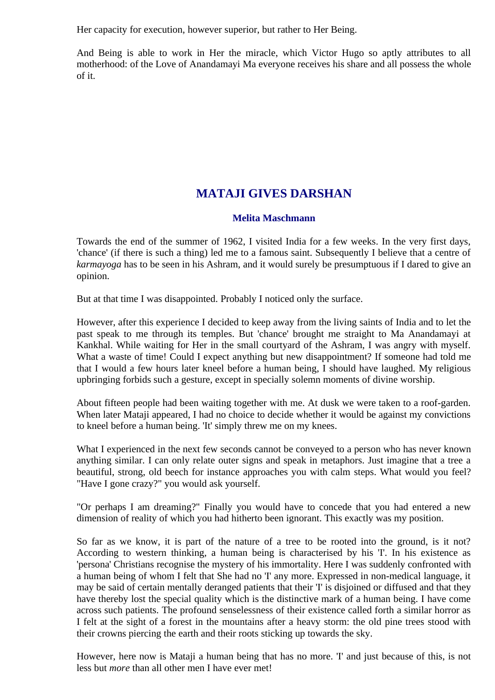Her capacity for execution, however superior, but rather to Her Being.

And Being is able to work in Her the miracle, which Victor Hugo so aptly attributes to all motherhood: of the Love of Anandamayi Ma everyone receives his share and all possess the whole of it.

# **MATAJI GIVES DARSHAN**

#### **Melita Maschmann**

Towards the end of the summer of 1962, I visited India for a few weeks. In the very first days, 'chance' (if there is such a thing) led me to a famous saint. Subsequently I believe that a centre of *karmayoga* has to be seen in his Ashram, and it would surely be presumptuous if I dared to give an opinion.

But at that time I was disappointed. Probably I noticed only the surface.

However, after this experience I decided to keep away from the living saints of India and to let the past speak to me through its temples. But 'chance' brought me straight to Ma Anandamayi at Kankhal. While waiting for Her in the small courtyard of the Ashram, I was angry with myself. What a waste of time! Could I expect anything but new disappointment? If someone had told me that I would a few hours later kneel before a human being, I should have laughed. My religious upbringing forbids such a gesture, except in specially solemn moments of divine worship.

About fifteen people had been waiting together with me. At dusk we were taken to a roof-garden. When later Mataji appeared, I had no choice to decide whether it would be against my convictions to kneel before a human being. 'It' simply threw me on my knees.

What I experienced in the next few seconds cannot be conveyed to a person who has never known anything similar. I can only relate outer signs and speak in metaphors. Just imagine that a tree a beautiful, strong, old beech for instance approaches you with calm steps. What would you feel? "Have I gone crazy?" you would ask yourself.

"Or perhaps I am dreaming?" Finally you would have to concede that you had entered a new dimension of reality of which you had hitherto been ignorant. This exactly was my position.

So far as we know, it is part of the nature of a tree to be rooted into the ground, is it not? According to western thinking, a human being is characterised by his 'I'. In his existence as 'persona' Christians recognise the mystery of his immortality. Here I was suddenly confronted with a human being of whom I felt that She had no 'I' any more. Expressed in non-medical language, it may be said of certain mentally deranged patients that their 'I' is disjoined or diffused and that they have thereby lost the special quality which is the distinctive mark of a human being. I have come across such patients. The profound senselessness of their existence called forth a similar horror as I felt at the sight of a forest in the mountains after a heavy storm: the old pine trees stood with their crowns piercing the earth and their roots sticking up towards the sky.

However, here now is Mataji a human being that has no more. 'I' and just because of this, is not less but *more* than all other men I have ever met!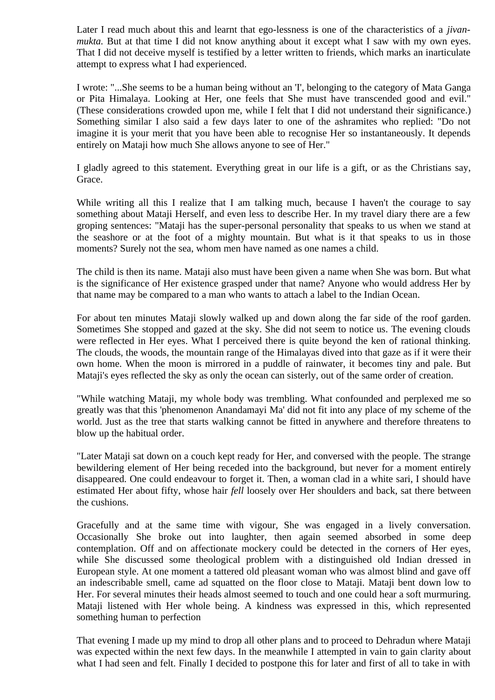Later I read much about this and learnt that ego-lessness is one of the characteristics of a *jivanmukta*. But at that time I did not know anything about it except what I saw with my own eyes. That I did not deceive myself is testified by a letter written to friends, which marks an inarticulate attempt to express what I had experienced.

I wrote: "...She seems to be a human being without an 'I', belonging to the category of Mata Ganga or Pita Himalaya. Looking at Her, one feels that She must have transcended good and evil." (These considerations crowded upon me, while I felt that I did not understand their significance.) Something similar I also said a few days later to one of the ashramites who replied: "Do not imagine it is your merit that you have been able to recognise Her so instantaneously. It depends entirely on Mataji how much She allows anyone to see of Her."

I gladly agreed to this statement. Everything great in our life is a gift, or as the Christians say, Grace.

While writing all this I realize that I am talking much, because I haven't the courage to say something about Mataji Herself, and even less to describe Her. In my travel diary there are a few groping sentences: "Mataji has the super-personal personality that speaks to us when we stand at the seashore or at the foot of a mighty mountain. But what is it that speaks to us in those moments? Surely not the sea, whom men have named as one names a child.

The child is then its name. Mataji also must have been given a name when She was born. But what is the significance of Her existence grasped under that name? Anyone who would address Her by that name may be compared to a man who wants to attach a label to the Indian Ocean.

For about ten minutes Mataji slowly walked up and down along the far side of the roof garden. Sometimes She stopped and gazed at the sky. She did not seem to notice us. The evening clouds were reflected in Her eyes. What I perceived there is quite beyond the ken of rational thinking. The clouds, the woods, the mountain range of the Himalayas dived into that gaze as if it were their own home. When the moon is mirrored in a puddle of rainwater, it becomes tiny and pale. But Mataji's eyes reflected the sky as only the ocean can sisterly, out of the same order of creation.

"While watching Mataji, my whole body was trembling. What confounded and perplexed me so greatly was that this 'phenomenon Anandamayi Ma' did not fit into any place of my scheme of the world. Just as the tree that starts walking cannot be fitted in anywhere and therefore threatens to blow up the habitual order.

"Later Mataji sat down on a couch kept ready for Her, and conversed with the people. The strange bewildering element of Her being receded into the background, but never for a moment entirely disappeared. One could endeavour to forget it. Then, a woman clad in a white sari, I should have estimated Her about fifty, whose hair *fell* loosely over Her shoulders and back, sat there between the cushions.

Gracefully and at the same time with vigour, She was engaged in a lively conversation. Occasionally She broke out into laughter, then again seemed absorbed in some deep contemplation. Off and on affectionate mockery could be detected in the corners of Her eyes, while She discussed some theological problem with a distinguished old Indian dressed in European style. At one moment a tattered old pleasant woman who was almost blind and gave off an indescribable smell, came ad squatted on the floor close to Mataji. Mataji bent down low to Her. For several minutes their heads almost seemed to touch and one could hear a soft murmuring. Mataji listened with Her whole being. A kindness was expressed in this, which represented something human to perfection

That evening I made up my mind to drop all other plans and to proceed to Dehradun where Mataji was expected within the next few days. In the meanwhile I attempted in vain to gain clarity about what I had seen and felt. Finally I decided to postpone this for later and first of all to take in with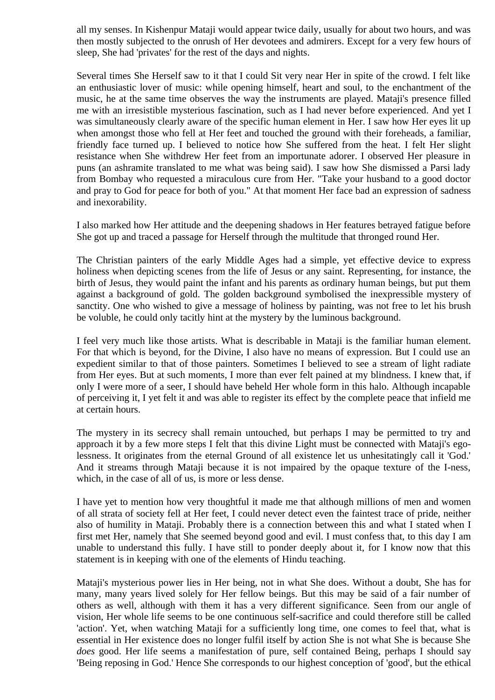all my senses. In Kishenpur Mataji would appear twice daily, usually for about two hours, and was then mostly subjected to the onrush of Her devotees and admirers. Except for a very few hours of sleep, She had 'privates' for the rest of the days and nights.

Several times She Herself saw to it that I could Sit very near Her in spite of the crowd. I felt like an enthusiastic lover of music: while opening himself, heart and soul, to the enchantment of the music, he at the same time observes the way the instruments are played. Mataji's presence filled me with an irresistible mysterious fascination, such as I had never before experienced. And yet I was simultaneously clearly aware of the specific human element in Her. I saw how Her eyes lit up when amongst those who fell at Her feet and touched the ground with their foreheads, a familiar, friendly face turned up. I believed to notice how She suffered from the heat. I felt Her slight resistance when She withdrew Her feet from an importunate adorer. I observed Her pleasure in puns (an ashramite translated to me what was being said). I saw how She dismissed a Parsi lady from Bombay who requested a miraculous cure from Her. "Take your husband to a good doctor and pray to God for peace for both of you." At that moment Her face bad an expression of sadness and inexorability.

I also marked how Her attitude and the deepening shadows in Her features betrayed fatigue before She got up and traced a passage for Herself through the multitude that thronged round Her.

The Christian painters of the early Middle Ages had a simple, yet effective device to express holiness when depicting scenes from the life of Jesus or any saint. Representing, for instance, the birth of Jesus, they would paint the infant and his parents as ordinary human beings, but put them against a background of gold. The golden background symbolised the inexpressible mystery of sanctity. One who wished to give a message of holiness by painting, was not free to let his brush be voluble, he could only tacitly hint at the mystery by the luminous background.

I feel very much like those artists. What is describable in Mataji is the familiar human element. For that which is beyond, for the Divine, I also have no means of expression. But I could use an expedient similar to that of those painters. Sometimes I believed to see a stream of light radiate from Her eyes. But at such moments, I more than ever felt pained at my blindness. I knew that, if only I were more of a seer, I should have beheld Her whole form in this halo. Although incapable of perceiving it, I yet felt it and was able to register its effect by the complete peace that infield me at certain hours.

The mystery in its secrecy shall remain untouched, but perhaps I may be permitted to try and approach it by a few more steps I felt that this divine Light must be connected with Mataji's egolessness. It originates from the eternal Ground of all existence let us unhesitatingly call it 'God.' And it streams through Mataji because it is not impaired by the opaque texture of the I-ness, which, in the case of all of us, is more or less dense.

I have yet to mention how very thoughtful it made me that although millions of men and women of all strata of society fell at Her feet, I could never detect even the faintest trace of pride, neither also of humility in Mataji. Probably there is a connection between this and what I stated when I first met Her, namely that She seemed beyond good and evil. I must confess that, to this day I am unable to understand this fully. I have still to ponder deeply about it, for I know now that this statement is in keeping with one of the elements of Hindu teaching.

Mataji's mysterious power lies in Her being, not in what She does. Without a doubt, She has for many, many years lived solely for Her fellow beings. But this may be said of a fair number of others as well, although with them it has a very different significance. Seen from our angle of vision, Her whole life seems to be one continuous self-sacrifice and could therefore still be called 'action'. Yet, when watching Mataji for a sufficiently long time, one comes to feel that, what is essential in Her existence does no longer fulfil itself by action She is not what She is because She *does* good. Her life seems a manifestation of pure, self contained Being, perhaps I should say 'Being reposing in God.' Hence She corresponds to our highest conception of 'good', but the ethical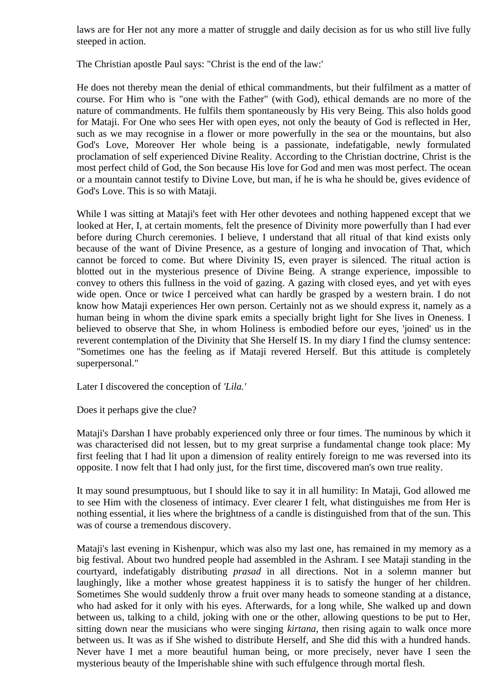laws are for Her not any more a matter of struggle and daily decision as for us who still live fully steeped in action.

The Christian apostle Paul says: "Christ is the end of the law:'

He does not thereby mean the denial of ethical commandments, but their fulfilment as a matter of course. For Him who is "one with the Father" (with God), ethical demands are no more of the nature of commandments. He fulfils them spontaneously by His very Being. This also holds good for Mataji. For One who sees Her with open eyes, not only the beauty of God is reflected in Her, such as we may recognise in a flower or more powerfully in the sea or the mountains, but also God's Love, Moreover Her whole being is a passionate, indefatigable, newly formulated proclamation of self experienced Divine Reality. According to the Christian doctrine, Christ is the most perfect child of God, the Son because His love for God and men was most perfect. The ocean or a mountain cannot testify to Divine Love, but man, if he is wha he should be, gives evidence of God's Love. This is so with Mataji.

While I was sitting at Mataji's feet with Her other devotees and nothing happened except that we looked at Her, I, at certain moments, felt the presence of Divinity more powerfully than I had ever before during Church ceremonies. I believe, I understand that all ritual of that kind exists only because of the want of Divine Presence, as a gesture of longing and invocation of That, which cannot be forced to come. But where Divinity IS, even prayer is silenced. The ritual action is blotted out in the mysterious presence of Divine Being. A strange experience, impossible to convey to others this fullness in the void of gazing. A gazing with closed eyes, and yet with eyes wide open. Once or twice I perceived what can hardly be grasped by a western brain. I do not know how Mataji experiences Her own person. Certainly not as we should express it, namely as a human being in whom the divine spark emits a specially bright light for She lives in Oneness. I believed to observe that She, in whom Holiness is embodied before our eyes, 'joined' us in the reverent contemplation of the Divinity that She Herself IS. In my diary I find the clumsy sentence: "Sometimes one has the feeling as if Mataji revered Herself. But this attitude is completely superpersonal."

Later I discovered the conception of *'Lila.'*

Does it perhaps give the clue?

Mataji's Darshan I have probably experienced only three or four times. The numinous by which it was characterised did not lessen, but to my great surprise a fundamental change took place: My first feeling that I had lit upon a dimension of reality entirely foreign to me was reversed into its opposite. I now felt that I had only just, for the first time, discovered man's own true reality.

It may sound presumptuous, but I should like to say it in all humility: In Mataji, God allowed me to see Him with the closeness of intimacy. Ever clearer I felt, what distinguishes me from Her is nothing essential, it lies where the brightness of a candle is distinguished from that of the sun. This was of course a tremendous discovery.

Mataji's last evening in Kishenpur, which was also my last one, has remained in my memory as a big festival. About two hundred people had assembled in the Ashram. I see Mataji standing in the courtyard, indefatigably distributing *prasad* in all directions. Not in a solemn manner but laughingly, like a mother whose greatest happiness it is to satisfy the hunger of her children. Sometimes She would suddenly throw a fruit over many heads to someone standing at a distance, who had asked for it only with his eyes. Afterwards, for a long while, She walked up and down between us, talking to a child, joking with one or the other, allowing questions to be put to Her, sitting down near the musicians who were singing *kirtana,* then rising again to walk once more between us. It was as if She wished to distribute Herself, and She did this with a hundred hands. Never have I met a more beautiful human being, or more precisely, never have I seen the mysterious beauty of the Imperishable shine with such effulgence through mortal flesh.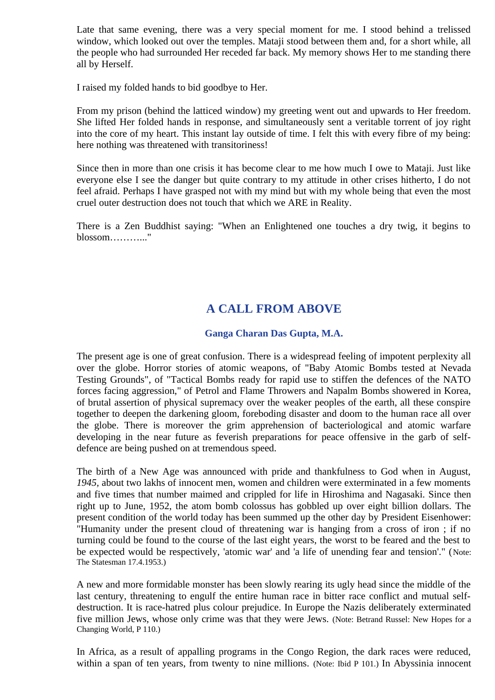Late that same evening, there was a very special moment for me. I stood behind a trelissed window, which looked out over the temples. Mataji stood between them and, for a short while, all the people who had surrounded Her receded far back. My memory shows Her to me standing there all by Herself.

I raised my folded hands to bid goodbye to Her.

From my prison (behind the latticed window) my greeting went out and upwards to Her freedom. She lifted Her folded hands in response, and simultaneously sent a veritable torrent of joy right into the core of my heart. This instant lay outside of time. I felt this with every fibre of my being: here nothing was threatened with transitoriness!

Since then in more than one crisis it has become clear to me how much I owe to Mataji. Just like everyone else I see the danger but quite contrary to my attitude in other crises hitherto, I do not feel afraid. Perhaps I have grasped not with my mind but with my whole being that even the most cruel outer destruction does not touch that which we ARE in Reality.

There is a Zen Buddhist saying: "When an Enlightened one touches a dry twig, it begins to blossom………..."

# **A CALL FROM ABOVE**

### **Ganga Charan Das Gupta, M.A.**

The present age is one of great confusion. There is a widespread feeling of impotent perplexity all over the globe. Horror stories of atomic weapons, of "Baby Atomic Bombs tested at Nevada Testing Grounds", of "Tactical Bombs ready for rapid use to stiffen the defences of the NATO forces facing aggression," of Petrol and Flame Throwers and Napalm Bombs showered in Korea, of brutal assertion of physical supremacy over the weaker peoples of the earth, all these conspire together to deepen the darkening gloom, foreboding disaster and doom to the human race all over the globe. There is moreover the grim apprehension of bacteriological and atomic warfare developing in the near future as feverish preparations for peace offensive in the garb of selfdefence are being pushed on at tremendous speed.

The birth of a New Age was announced with pride and thankfulness to God when in August, *1945,* about two lakhs of innocent men, women and children were exterminated in a few moments and five times that number maimed and crippled for life in Hiroshima and Nagasaki. Since then right up to June, 1952, the atom bomb colossus has gobbled up over eight billion dollars. The present condition of the world today has been summed up the other day by President Eisenhower: "Humanity under the present cloud of threatening war is hanging from a cross of iron ; if no turning could be found to the course of the last eight years, the worst to be feared and the best to be expected would be respectively, 'atomic war' and 'a life of unending fear and tension'." (Note: The Statesman 17.4.1953.)

A new and more formidable monster has been slowly rearing its ugly head since the middle of the last century, threatening to engulf the entire human race in bitter race conflict and mutual selfdestruction. It is race-hatred plus colour prejudice. In Europe the Nazis deliberately exterminated five million Jews, whose only crime was that they were Jews. (Note: Betrand Russel: New Hopes for a Changing World, P 110.)

In Africa, as a result of appalling programs in the Congo Region, the dark races were reduced, within a span of ten years, from twenty to nine millions. (Note: Ibid P 101.) In Abyssinia innocent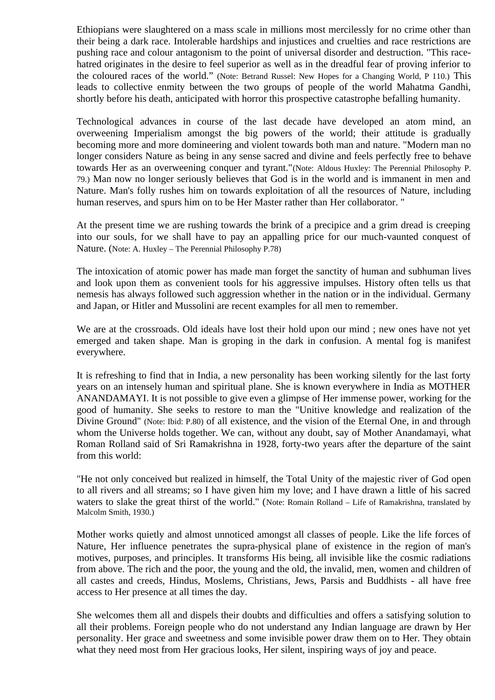Ethiopians were slaughtered on a mass scale in millions most mercilessly for no crime other than their being a dark race. Intolerable hardships and injustices and cruelties and race restrictions are pushing race and colour antagonism to the point of universal disorder and destruction. "This racehatred originates in the desire to feel superior as well as in the dreadful fear of proving inferior to the coloured races of the world." (Note: Betrand Russel: New Hopes for a Changing World, P 110.) This leads to collective enmity between the two groups of people of the world Mahatma Gandhi, shortly before his death, anticipated with horror this prospective catastrophe befalling humanity.

Technological advances in course of the last decade have developed an atom mind, an overweening Imperialism amongst the big powers of the world; their attitude is gradually becoming more and more domineering and violent towards both man and nature. "Modern man no longer considers Nature as being in any sense sacred and divine and feels perfectly free to behave towards Her as an overweening conquer and tyrant."(Note: Aldous Huxley: The Perennial Philosophy P. 79.) Man now no longer seriously believes that God is in the world and is immanent in men and Nature. Man's folly rushes him on towards exploitation of all the resources of Nature, including human reserves, and spurs him on to be Her Master rather than Her collaborator. "

At the present time we are rushing towards the brink of a precipice and a grim dread is creeping into our souls, for we shall have to pay an appalling price for our much-vaunted conquest of Nature. (Note: A. Huxley – The Perennial Philosophy P.78)

The intoxication of atomic power has made man forget the sanctity of human and subhuman lives and look upon them as convenient tools for his aggressive impulses. History often tells us that nemesis has always followed such aggression whether in the nation or in the individual. Germany and Japan, or Hitler and Mussolini are recent examples for all men to remember.

We are at the crossroads. Old ideals have lost their hold upon our mind ; new ones have not yet emerged and taken shape. Man is groping in the dark in confusion. A mental fog is manifest everywhere.

It is refreshing to find that in India, a new personality has been working silently for the last forty years on an intensely human and spiritual plane. She is known everywhere in India as MOTHER ANANDAMAYI. It is not possible to give even a glimpse of Her immense power, working for the good of humanity. She seeks to restore to man the "Unitive knowledge and realization of the Divine Ground" (Note: Ibid: P.80) of all existence, and the vision of the Eternal One, in and through whom the Universe holds together. We can, without any doubt, say of Mother Anandamayi, what Roman Rolland said of Sri Ramakrishna in 1928, forty-two years after the departure of the saint from this world:

"He not only conceived but realized in himself, the Total Unity of the majestic river of God open to all rivers and all streams; so I have given him my love; and I have drawn a little of his sacred waters to slake the great thirst of the world." (Note: Romain Rolland – Life of Ramakrishna, translated by Malcolm Smith, 1930.)

Mother works quietly and almost unnoticed amongst all classes of people. Like the life forces of Nature, Her influence penetrates the supra-physical plane of existence in the region of man's motives, purposes, and principles. It transforms His being, all invisible like the cosmic radiations from above. The rich and the poor, the young and the old, the invalid, men, women and children of all castes and creeds, Hindus, Moslems, Christians, Jews, Parsis and Buddhists - all have free access to Her presence at all times the day.

She welcomes them all and dispels their doubts and difficulties and offers a satisfying solution to all their problems. Foreign people who do not understand any Indian language are drawn by Her personality. Her grace and sweetness and some invisible power draw them on to Her. They obtain what they need most from Her gracious looks, Her silent, inspiring ways of joy and peace.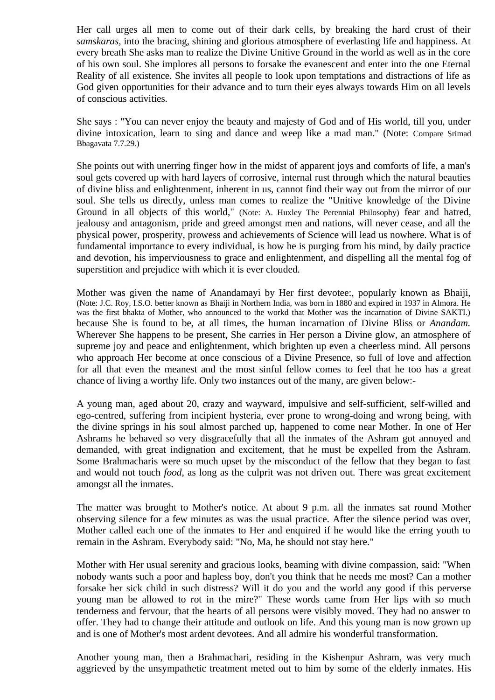Her call urges all men to come out of their dark cells, by breaking the hard crust of their *samskaras*, into the bracing, shining and glorious atmosphere of everlasting life and happiness. At every breath She asks man to realize the Divine Unitive Ground in the world as well as in the core of his own soul. She implores all persons to forsake the evanescent and enter into the one Eternal Reality of all existence. She invites all people to look upon temptations and distractions of life as God given opportunities for their advance and to turn their eyes always towards Him on all levels of conscious activities.

She says : "You can never enjoy the beauty and majesty of God and of His world, till you, under divine intoxication, learn to sing and dance and weep like a mad man." (Note: Compare Srimad Bbagavata 7.7.29.)

She points out with unerring finger how in the midst of apparent joys and comforts of life, a man's soul gets covered up with hard layers of corrosive, internal rust through which the natural beauties of divine bliss and enlightenment, inherent in us, cannot find their way out from the mirror of our soul. She tells us directly, unless man comes to realize the "Unitive knowledge of the Divine Ground in all objects of this world," (Note: A. Huxley The Perennial Philosophy) fear and hatred, jealousy and antagonism, pride and greed amongst men and nations, will never cease, and all the physical power, prosperity, prowess and achievements of Science will lead us nowhere. What is of fundamental importance to every individual, is how he is purging from his mind, by daily practice and devotion, his imperviousness to grace and enlightenment, and dispelling all the mental fog of superstition and prejudice with which it is ever clouded.

Mother was given the name of Anandamayi by Her first devotee:, popularly known as Bhaiji, (Note: J.C. Roy, I.S.O. better known as Bhaiji in Northern India, was born in 1880 and expired in 1937 in Almora. He was the first bhakta of Mother, who announced to the workd that Mother was the incarnation of Divine SAKTI.) because She is found to be, at all times, the human incarnation of Divine Bliss or *Anandam.* Wherever She happens to be present, She carries in Her person a Divine glow, an atmosphere of supreme joy and peace and enlightenment, which brighten up even a cheerless mind. All persons who approach Her become at once conscious of a Divine Presence, so full of love and affection for all that even the meanest and the most sinful fellow comes to feel that he too has a great chance of living a worthy life. Only two instances out of the many, are given below:-

A young man, aged about 20, crazy and wayward, impulsive and self-sufficient, self-willed and ego-centred, suffering from incipient hysteria, ever prone to wrong-doing and wrong being, with the divine springs in his soul almost parched up, happened to come near Mother. In one of Her Ashrams he behaved so very disgracefully that all the inmates of the Ashram got annoyed and demanded, with great indignation and excitement, that he must be expelled from the Ashram. Some Brahmacharis were so much upset by the misconduct of the fellow that they began to fast and would not touch *food,* as long as the culprit was not driven out. There was great excitement amongst all the inmates.

The matter was brought to Mother's notice. At about 9 p.m. all the inmates sat round Mother observing silence for a few minutes as was the usual practice. After the silence period was over, Mother called each one of the inmates to Her and enquired if he would like the erring youth to remain in the Ashram. Everybody said: "No, Ma, he should not stay here."

Mother with Her usual serenity and gracious looks, beaming with divine compassion, said: "When nobody wants such a poor and hapless boy, don't you think that he needs me most? Can a mother forsake her sick child in such distress? Will it do you and the world any good if this perverse young man be allowed to rot in the mire?" These words came from Her lips with so much tenderness and fervour, that the hearts of all persons were visibly moved. They had no answer to offer. They had to change their attitude and outlook on life. And this young man is now grown up and is one of Mother's most ardent devotees. And all admire his wonderful transformation.

Another young man, then a Brahmachari, residing in the Kishenpur Ashram, was very much aggrieved by the unsympathetic treatment meted out to him by some of the elderly inmates. His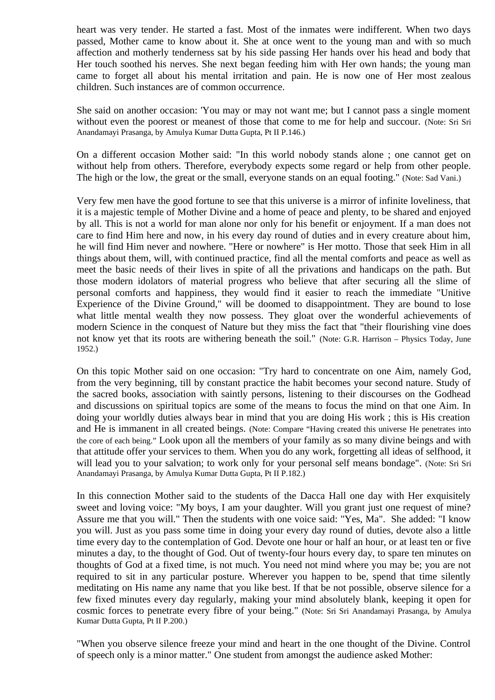heart was very tender. He started a fast. Most of the inmates were indifferent. When two days passed, Mother came to know about it. She at once went to the young man and with so much affection and motherly tenderness sat by his side passing Her hands over his head and body that Her touch soothed his nerves. She next began feeding him with Her own hands; the young man came to forget all about his mental irritation and pain. He is now one of Her most zealous children. Such instances are of common occurrence.

She said on another occasion: 'You may or may not want me; but I cannot pass a single moment without even the poorest or meanest of those that come to me for help and succour. (Note: Sri Sri Anandamayi Prasanga, by Amulya Kumar Dutta Gupta, Pt II P.146.)

On a different occasion Mother said: "In this world nobody stands alone ; one cannot get on without help from others. Therefore, everybody expects some regard or help from other people. The high or the low, the great or the small, everyone stands on an equal footing." (Note: Sad Vani.)

Very few men have the good fortune to see that this universe is a mirror of infinite loveliness, that it is a majestic temple of Mother Divine and a home of peace and plenty, to be shared and enjoyed by all. This is not a world for man alone nor only for his benefit or enjoyment. If a man does not care to find Him here and now, in his every day round of duties and in every creature about him, he will find Him never and nowhere. "Here or nowhere" is Her motto. Those that seek Him in all things about them, will, with continued practice, find all the mental comforts and peace as well as meet the basic needs of their lives in spite of all the privations and handicaps on the path. But those modern idolators of material progress who believe that after securing all the slime of personal comforts and happiness, they would find it easier to reach the immediate "Unitive Experience of the Divine Ground," will be doomed to disappointment. They are bound to lose what little mental wealth they now possess. They gloat over the wonderful achievements of modern Science in the conquest of Nature but they miss the fact that "their flourishing vine does not know yet that its roots are withering beneath the soil." (Note: G.R. Harrison – Physics Today, June 1952.)

On this topic Mother said on one occasion: "Try hard to concentrate on one Aim, namely God, from the very beginning, till by constant practice the habit becomes your second nature. Study of the sacred books, association with saintly persons, listening to their discourses on the Godhead and discussions on spiritual topics are some of the means to focus the mind on that one Aim. In doing your worldly duties always bear in mind that you are doing His work ; this is His creation and He is immanent in all created beings. (Note: Compare "Having created this universe He penetrates into the core of each being." Look upon all the members of your family as so many divine beings and with that attitude offer your services to them. When you do any work, forgetting all ideas of selfhood, it will lead you to your salvation; to work only for your personal self means bondage". (Note: Sri Sri Anandamayi Prasanga, by Amulya Kumar Dutta Gupta, Pt II P.182.)

In this connection Mother said to the students of the Dacca Hall one day with Her exquisitely sweet and loving voice: "My boys, I am your daughter. Will you grant just one request of mine? Assure me that you will." Then the students with one voice said: "Yes, Ma". She added: "I know you will. Just as you pass some time in doing your every day round of duties, devote also a little time every day to the contemplation of God. Devote one hour or half an hour, or at least ten or five minutes a day, to the thought of God. Out of twenty-four hours every day, to spare ten minutes on thoughts of God at a fixed time, is not much. You need not mind where you may be; you are not required to sit in any particular posture. Wherever you happen to be, spend that time silently meditating on His name any name that you like best. If that be not possible, observe silence for a few fixed minutes every day regularly, making your mind absolutely blank, keeping it open for cosmic forces to penetrate every fibre of your being." (Note: Sri Sri Anandamayi Prasanga, by Amulya Kumar Dutta Gupta, Pt II P.200.)

"When you observe silence freeze your mind and heart in the one thought of the Divine. Control of speech only is a minor matter." One student from amongst the audience asked Mother: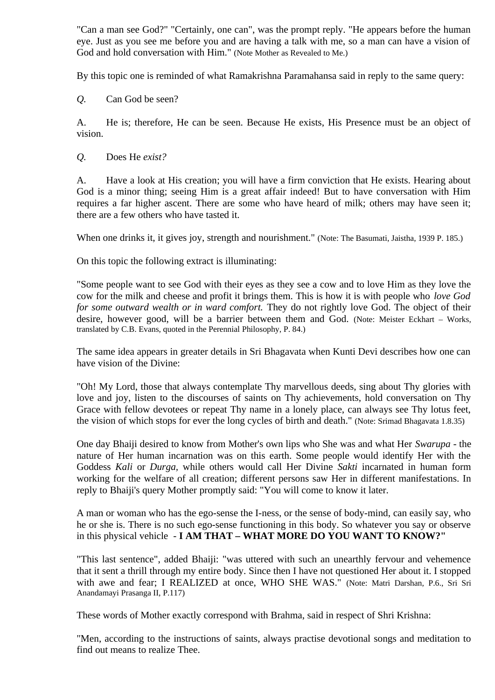"Can a man see God?" "Certainly, one can", was the prompt reply. "He appears before the human eye. Just as you see me before you and are having a talk with me, so a man can have a vision of God and hold conversation with Him." (Note Mother as Revealed to Me.)

By this topic one is reminded of what Ramakrishna Paramahansa said in reply to the same query:

*Q.* Can God be seen?

A. He is; therefore, He can be seen. Because He exists, His Presence must be an object of vision.

*Q.* Does He *exist?*

A. Have a look at His creation; you will have a firm conviction that He exists. Hearing about God is a minor thing; seeing Him is a great affair indeed! But to have conversation with Him requires a far higher ascent. There are some who have heard of milk; others may have seen it; there are a few others who have tasted it.

When one drinks it, it gives joy, strength and nourishment." (Note: The Basumati, Jaistha, 1939 P. 185.)

On this topic the following extract is illuminating:

"Some people want to see God with their eyes as they see a cow and to love Him as they love the cow for the milk and cheese and profit it brings them. This is how it is with people who *love God for some outward wealth or in ward comfort.* They do not rightly love God. The object of their desire, however good, will be a barrier between them and God. (Note: Meister Eckhart – Works, translated by C.B. Evans, quoted in the Perennial Philosophy, P. 84.)

The same idea appears in greater details in Sri Bhagavata when Kunti Devi describes how one can have vision of the Divine:

"Oh! My Lord, those that always contemplate Thy marvellous deeds, sing about Thy glories with love and joy, listen to the discourses of saints on Thy achievements, hold conversation on Thy Grace with fellow devotees or repeat Thy name in a lonely place, can always see Thy lotus feet, the vision of which stops for ever the long cycles of birth and death." (Note: Srimad Bhagavata 1.8.35)

One day Bhaiji desired to know from Mother's own lips who She was and what Her *Swarupa* - the nature of Her human incarnation was on this earth. Some people would identify Her with the Goddess *Kali* or *Durga,* while others would call Her Divine *Sakti* incarnated in human form working for the welfare of all creation; different persons saw Her in different manifestations. In reply to Bhaiji's query Mother promptly said: "You will come to know it later.

A man or woman who has the ego-sense the I-ness, or the sense of body-mind, can easily say, who he or she is. There is no such ego-sense functioning in this body. So whatever you say or observe in this physical vehicle - **I AM THAT – WHAT MORE DO YOU WANT TO KNOW?"**

"This last sentence", added Bhaiji: "was uttered with such an unearthly fervour and vehemence that it sent a thrill through my entire body. Since then I have not questioned Her about it. I stopped with awe and fear; I REALIZED at once, WHO SHE WAS." (Note: Matri Darshan, P.6., Sri Sri Anandamayi Prasanga II, P.117)

These words of Mother exactly correspond with Brahma, said in respect of Shri Krishna:

"Men, according to the instructions of saints, always practise devotional songs and meditation to find out means to realize Thee.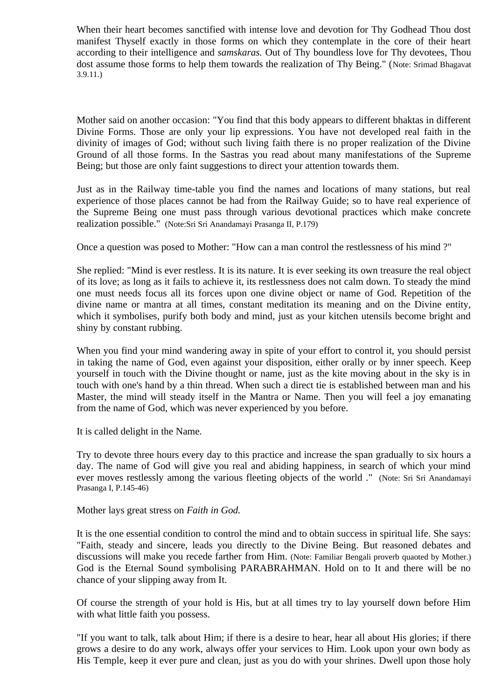When their heart becomes sanctified with intense love and devotion for Thy Godhead Thou dost manifest Thyself exactly in those forms on which they contemplate in the core of their heart according to their intelligence and *samskaras.* Out of Thy boundless love for Thy devotees, Thou dost assume those forms to help them towards the realization of Thy Being." (Note: Srimad Bhagavat 3.9.11.)

Mother said on another occasion: "You find that this body appears to different bhaktas in different Divine Forms. Those are only your lip expressions. You have not developed real faith in the divinity of images of God; without such living faith there is no proper realization of the Divine Ground of all those forms. In the Sastras you read about many manifestations of the Supreme Being; but those are only faint suggestions to direct your attention towards them.

Just as in the Railway time-table you find the names and locations of many stations, but real experience of those places cannot be had from the Railway Guide; so to have real experience of the Supreme Being one must pass through various devotional practices which make concrete realization possible." (Note:Sri Sri Anandamayi Prasanga II, P.179)

Once a question was posed to Mother: "How can a man control the restlessness of his mind ?"

She replied: "Mind is ever restless. It is its nature. It is ever seeking its own treasure the real object of its love; as long as it fails to achieve it, its restlessness does not calm down. To steady the mind one must needs focus all its forces upon one divine object or name of God. Repetition of the divine name or mantra at all times, constant meditation its meaning and on the Divine entity, which it symbolises, purify both body and mind, just as your kitchen utensils become bright and shiny by constant rubbing.

When you find your mind wandering away in spite of your effort to control it, you should persist in taking the name of God, even against your disposition, either orally or by inner speech. Keep yourself in touch with the Divine thought or name, just as the kite moving about in the sky is in touch with one's hand by a thin thread. When such a direct tie is established between man and his Master, the mind will steady itself in the Mantra or Name. Then you will feel a joy emanating from the name of God, which was never experienced by you before.

It is called delight in the Name.

Try to devote three hours every day to this practice and increase the span gradually to six hours a day. The name of God will give you real and abiding happiness, in search of which your mind ever moves restlessly among the various fleeting objects of the world ." (Note: Sri Sri Anandamayi Prasanga I, P.145-46)

Mother lays great stress on *Faith in God.* 

It is the one essential condition to control the mind and to obtain success in spiritual life. She says: "Faith, steady and sincere, leads you directly to the Divine Being. But reasoned debates and discussions will make you recede farther from Him. (Note: Familiar Bengali proverb quaoted by Mother.) God is the Eternal Sound symbolising PARABRAHMAN. Hold on to It and there will be no chance of your slipping away from It.

Of course the strength of your hold is His, but at all times try to lay yourself down before Him with what little faith you possess.

"If you want to talk, talk about Him; if there is a desire to hear, hear all about His glories; if there grows a desire to do any work, always offer your services to Him. Look upon your own body as His Temple, keep it ever pure and clean, just as you do with your shrines. Dwell upon those holy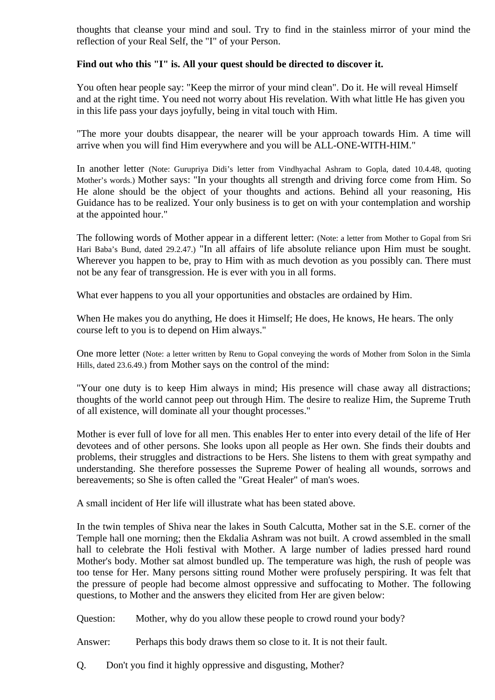thoughts that cleanse your mind and soul. Try to find in the stainless mirror of your mind the reflection of your Real Self, the "I" of your Person.

#### **Find out who this "I" is. All your quest should be directed to discover it.**

You often hear people say: "Keep the mirror of your mind clean". Do it. He will reveal Himself and at the right time. You need not worry about His revelation. With what little He has given you in this life pass your days joyfully, being in vital touch with Him.

"The more your doubts disappear, the nearer will be your approach towards Him. A time will arrive when you will find Him everywhere and you will be ALL-ONE-WITH-HIM."

In another letter (Note: Gurupriya Didi's letter from Vindhyachal Ashram to Gopla, dated 10.4.48, quoting Mother's words.) Mother says: "In your thoughts all strength and driving force come from Him. So He alone should be the object of your thoughts and actions. Behind all your reasoning, His Guidance has to be realized. Your only business is to get on with your contemplation and worship at the appointed hour."

The following words of Mother appear in a different letter: (Note: a letter from Mother to Gopal from Sri Hari Baba's Bund, dated 29.2.47.) "In all affairs of life absolute reliance upon Him must be sought. Wherever you happen to be, pray to Him with as much devotion as you possibly can. There must not be any fear of transgression. He is ever with you in all forms.

What ever happens to you all your opportunities and obstacles are ordained by Him.

When He makes you do anything, He does it Himself; He does, He knows, He hears. The only course left to you is to depend on Him always."

One more letter (Note: a letter written by Renu to Gopal conveying the words of Mother from Solon in the Simla Hills, dated 23.6.49.) from Mother says on the control of the mind:

"Your one duty is to keep Him always in mind; His presence will chase away all distractions; thoughts of the world cannot peep out through Him. The desire to realize Him, the Supreme Truth of all existence, will dominate all your thought processes."

Mother is ever full of love for all men. This enables Her to enter into every detail of the life of Her devotees and of other persons. She looks upon all people as Her own. She finds their doubts and problems, their struggles and distractions to be Hers. She listens to them with great sympathy and understanding. She therefore possesses the Supreme Power of healing all wounds, sorrows and bereavements; so She is often called the "Great Healer" of man's woes.

A small incident of Her life will illustrate what has been stated above.

In the twin temples of Shiva near the lakes in South Calcutta, Mother sat in the S.E. corner of the Temple hall one morning; then the Ekdalia Ashram was not built. A crowd assembled in the small hall to celebrate the Holi festival with Mother. A large number of ladies pressed hard round Mother's body. Mother sat almost bundled up. The temperature was high, the rush of people was too tense for Her. Many persons sitting round Mother were profusely perspiring. It was felt that the pressure of people had become almost oppressive and suffocating to Mother. The following questions, to Mother and the answers they elicited from Her are given below:

Question: Mother, why do you allow these people to crowd round your body?

Answer: Perhaps this body draws them so close to it. It is not their fault.

Q. Don't you find it highly oppressive and disgusting, Mother?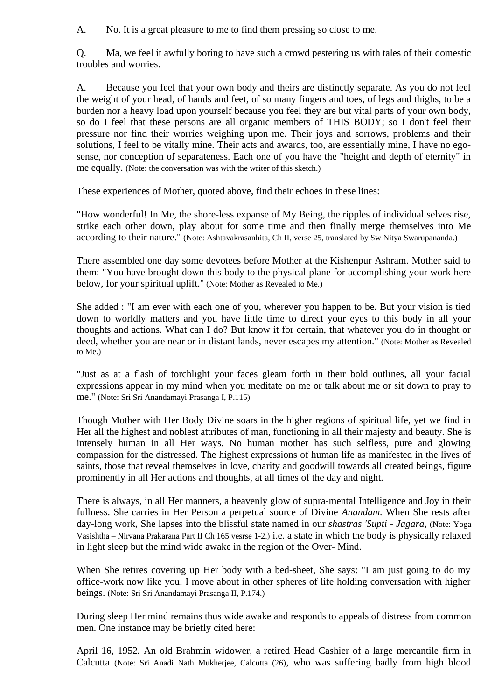A. No. It is a great pleasure to me to find them pressing so close to me.

Q. Ma, we feel it awfully boring to have such a crowd pestering us with tales of their domestic troubles and worries.

A. Because you feel that your own body and theirs are distinctly separate. As you do not feel the weight of your head, of hands and feet, of so many fingers and toes, of legs and thighs, to be a burden nor a heavy load upon yourself because you feel they are but vital parts of your own body, so do I feel that these persons are all organic members of THIS BODY; so I don't feel their pressure nor find their worries weighing upon me. Their joys and sorrows, problems and their solutions, I feel to be vitally mine. Their acts and awards, too, are essentially mine, I have no egosense, nor conception of separateness. Each one of you have the "height and depth of eternity" in me equally. (Note: the conversation was with the writer of this sketch.)

These experiences of Mother, quoted above, find their echoes in these lines:

"How wonderful! In Me, the shore-less expanse of My Being, the ripples of individual selves rise, strike each other down, play about for some time and then finally merge themselves into Me according to their nature." (Note: Ashtavakrasanhita, Ch II, verse 25, translated by Sw Nitya Swarupananda.)

There assembled one day some devotees before Mother at the Kishenpur Ashram. Mother said to them: "You have brought down this body to the physical plane for accomplishing your work here below, for your spiritual uplift." (Note: Mother as Revealed to Me.)

She added : "I am ever with each one of you, wherever you happen to be. But your vision is tied down to worldly matters and you have little time to direct your eyes to this body in all your thoughts and actions. What can I do? But know it for certain, that whatever you do in thought or deed, whether you are near or in distant lands, never escapes my attention." (Note: Mother as Revealed to Me.)

"Just as at a flash of torchlight your faces gleam forth in their bold outlines, all your facial expressions appear in my mind when you meditate on me or talk about me or sit down to pray to me." (Note: Sri Sri Anandamayi Prasanga I, P.115)

Though Mother with Her Body Divine soars in the higher regions of spiritual life, yet we find in Her all the highest and noblest attributes of man, functioning in all their majesty and beauty. She is intensely human in all Her ways. No human mother has such selfless, pure and glowing compassion for the distressed. The highest expressions of human life as manifested in the lives of saints, those that reveal themselves in love, charity and goodwill towards all created beings, figure prominently in all Her actions and thoughts, at all times of the day and night.

There is always, in all Her manners, a heavenly glow of supra-mental Intelligence and Joy in their fullness. She carries in Her Person a perpetual source of Divine *Anandam.* When She rests after day-long work, She lapses into the blissful state named in our *shastras 'Supti - Jagara,* (Note: Yoga Vasishtha – Nirvana Prakarana Part II Ch 165 vesrse 1-2.) i.e. a state in which the body is physically relaxed in light sleep but the mind wide awake in the region of the Over- Mind.

When She retires covering up Her body with a bed-sheet, She says: "I am just going to do my office-work now like you. I move about in other spheres of life holding conversation with higher beings. (Note: Sri Sri Anandamayi Prasanga II, P.174.)

During sleep Her mind remains thus wide awake and responds to appeals of distress from common men. One instance may be briefly cited here:

April 16, 1952*.* An old Brahmin widower, a retired Head Cashier of a large mercantile firm in Calcutta (Note: Sri Anadi Nath Mukherjee, Calcutta (26), who was suffering badly from high blood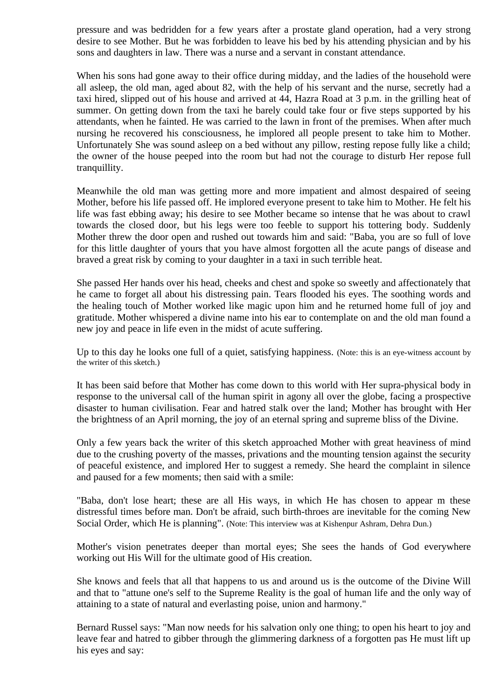pressure and was bedridden for a few years after a prostate gland operation, had a very strong desire to see Mother. But he was forbidden to leave his bed by his attending physician and by his sons and daughters in law. There was a nurse and a servant in constant attendance.

When his sons had gone away to their office during midday, and the ladies of the household were all asleep, the old man, aged about 82, with the help of his servant and the nurse, secretly had a taxi hired, slipped out of his house and arrived at 44, Hazra Road at 3 p.m. in the grilling heat of summer. On getting down from the taxi he barely could take four or five steps supported by his attendants, when he fainted. He was carried to the lawn in front of the premises. When after much nursing he recovered his consciousness, he implored all people present to take him to Mother. Unfortunately She was sound asleep on a bed without any pillow, resting repose fully like a child; the owner of the house peeped into the room but had not the courage to disturb Her repose full tranquillity.

Meanwhile the old man was getting more and more impatient and almost despaired of seeing Mother, before his life passed off. He implored everyone present to take him to Mother. He felt his life was fast ebbing away; his desire to see Mother became so intense that he was about to crawl towards the closed door, but his legs were too feeble to support his tottering body. Suddenly Mother threw the door open and rushed out towards him and said: "Baba, you are so full of love for this little daughter of yours that you have almost forgotten all the acute pangs of disease and braved a great risk by coming to your daughter in a taxi in such terrible heat.

She passed Her hands over his head, cheeks and chest and spoke so sweetly and affectionately that he came to forget all about his distressing pain. Tears flooded his eyes. The soothing words and the healing touch of Mother worked like magic upon him and he returned home full of joy and gratitude. Mother whispered a divine name into his ear to contemplate on and the old man found a new joy and peace in life even in the midst of acute suffering.

Up to this day he looks one full of a quiet, satisfying happiness. (Note: this is an eye-witness account by the writer of this sketch.)

It has been said before that Mother has come down to this world with Her supra-physical body in response to the universal call of the human spirit in agony all over the globe, facing a prospective disaster to human civilisation. Fear and hatred stalk over the land; Mother has brought with Her the brightness of an April morning, the joy of an eternal spring and supreme bliss of the Divine.

Only a few years back the writer of this sketch approached Mother with great heaviness of mind due to the crushing poverty of the masses, privations and the mounting tension against the security of peaceful existence, and implored Her to suggest a remedy. She heard the complaint in silence and paused for a few moments; then said with a smile:

"Baba, don't lose heart; these are all His ways, in which He has chosen to appear m these distressful times before man. Don't be afraid, such birth-throes are inevitable for the coming New Social Order, which He is planning". (Note: This interview was at Kishenpur Ashram, Dehra Dun.)

Mother's vision penetrates deeper than mortal eyes; She sees the hands of God everywhere working out His Will for the ultimate good of His creation.

She knows and feels that all that happens to us and around us is the outcome of the Divine Will and that to "attune one's self to the Supreme Reality is the goal of human life and the only way of attaining to a state of natural and everlasting poise, union and harmony."

Bernard Russel says: "Man now needs for his salvation only one thing; to open his heart to joy and leave fear and hatred to gibber through the glimmering darkness of a forgotten pas He must lift up his eyes and say: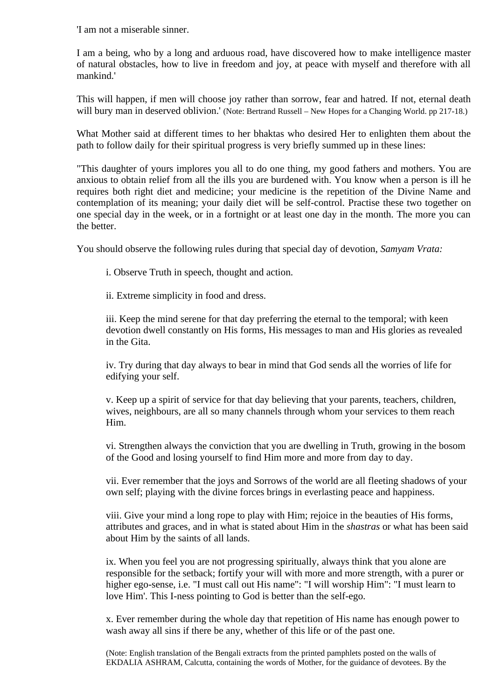'I am not a miserable sinner.

I am a being, who by a long and arduous road, have discovered how to make intelligence master of natural obstacles, how to live in freedom and joy, at peace with myself and therefore with all mankind.'

This will happen, if men will choose joy rather than sorrow, fear and hatred. If not, eternal death will bury man in deserved oblivion.' (Note: Bertrand Russell – New Hopes for a Changing World. pp 217-18.)

What Mother said at different times to her bhaktas who desired Her to enlighten them about the path to follow daily for their spiritual progress is very briefly summed up in these lines:

"This daughter of yours implores you all to do one thing, my good fathers and mothers. You are anxious to obtain relief from all the ills you are burdened with. You know when a person is ill he requires both right diet and medicine; your medicine is the repetition of the Divine Name and contemplation of its meaning; your daily diet will be self-control. Practise these two together on one special day in the week, or in a fortnight or at least one day in the month. The more you can the better.

You should observe the following rules during that special day of devotion, *Samyam Vrata:*

- i. Observe Truth in speech, thought and action.
- ii. Extreme simplicity in food and dress.

iii. Keep the mind serene for that day preferring the eternal to the temporal; with keen devotion dwell constantly on His forms, His messages to man and His glories as revealed in the Gita.

iv. Try during that day always to bear in mind that God sends all the worries of life for edifying your self.

v. Keep up a spirit of service for that day believing that your parents, teachers, children, wives, neighbours, are all so many channels through whom your services to them reach Him.

vi. Strengthen always the conviction that you are dwelling in Truth, growing in the bosom of the Good and losing yourself to find Him more and more from day to day.

vii. Ever remember that the joys and Sorrows of the world are all fleeting shadows of your own self; playing with the divine forces brings in everlasting peace and happiness.

viii. Give your mind a long rope to play with Him; rejoice in the beauties of His forms, attributes and graces, and in what is stated about Him in the *shastras* or what has been said about Him by the saints of all lands.

ix. When you feel you are not progressing spiritually, always think that you alone are responsible for the setback; fortify your will with more and more strength, with a purer or higher ego-sense, i.e. "I must call out His name": "I will worship Him": "I must learn to love Him'. This I-ness pointing to God is better than the self-ego.

x. Ever remember during the whole day that repetition of His name has enough power to wash away all sins if there be any, whether of this life or of the past one.

(Note: English translation of the Bengali extracts from the printed pamphlets posted on the walls of EKDALIA ASHRAM, Calcutta, containing the words of Mother, for the guidance of devotees. By the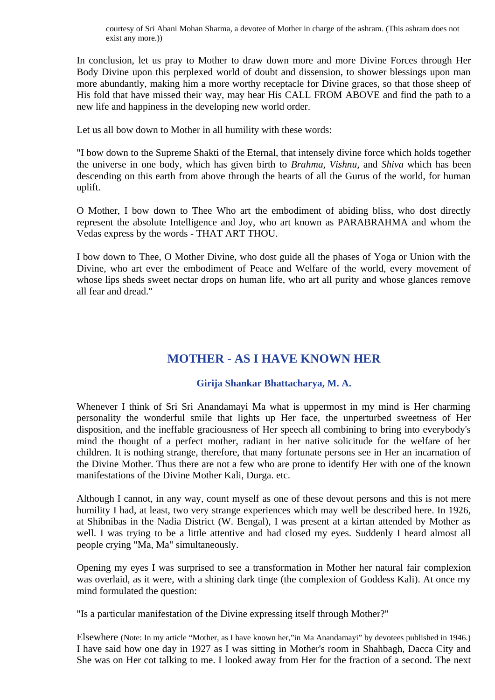In conclusion, let us pray to Mother to draw down more and more Divine Forces through Her Body Divine upon this perplexed world of doubt and dissension, to shower blessings upon man more abundantly, making him a more worthy receptacle for Divine graces, so that those sheep of His fold that have missed their way, may hear His CALL FROM ABOVE and find the path to a new life and happiness in the developing new world order.

Let us all bow down to Mother in all humility with these words:

"I bow down to the Supreme Shakti of the Eternal, that intensely divine force which holds together the universe in one body, which has given birth to *Brahma, Vishnu,* and *Shiva* which has been descending on this earth from above through the hearts of all the Gurus of the world, for human uplift.

O Mother, I bow down to Thee Who art the embodiment of abiding bliss, who dost directly represent the absolute Intelligence and Joy, who art known as PARABRAHMA and whom the Vedas express by the words - THAT ART THOU.

I bow down to Thee, O Mother Divine, who dost guide all the phases of Yoga or Union with the Divine, who art ever the embodiment of Peace and Welfare of the world, every movement of whose lips sheds sweet nectar drops on human life, who art all purity and whose glances remove all fear and dread."

## **MOTHER - AS I HAVE KNOWN HER**

### **Girija Shankar Bhattacharya, M. A.**

Whenever I think of Sri Sri Anandamayi Ma what is uppermost in my mind is Her charming personality the wonderful smile that lights up Her face, the unperturbed sweetness of Her disposition, and the ineffable graciousness of Her speech all combining to bring into everybody's mind the thought of a perfect mother, radiant in her native solicitude for the welfare of her children. It is nothing strange, therefore, that many fortunate persons see in Her an incarnation of the Divine Mother. Thus there are not a few who are prone to identify Her with one of the known manifestations of the Divine Mother Kali, Durga. etc.

Although I cannot, in any way, count myself as one of these devout persons and this is not mere humility I had, at least, two very strange experiences which may well be described here. In 1926, at Shibnibas in the Nadia District (W. Bengal), I was present at a kirtan attended by Mother as well. I was trying to be a little attentive and had closed my eyes. Suddenly I heard almost all people crying "Ma, Ma" simultaneously.

Opening my eyes I was surprised to see a transformation in Mother her natural fair complexion was overlaid, as it were, with a shining dark tinge (the complexion of Goddess Kali). At once my mind formulated the question:

"Is a particular manifestation of the Divine expressing itself through Mother?"

Elsewhere (Note: In my article "Mother, as I have known her,"in Ma Anandamayi" by devotees published in 1946.) I have said how one day in 1927 as I was sitting in Mother's room in Shahbagh, Dacca City and She was on Her cot talking to me. I looked away from Her for the fraction of a second. The next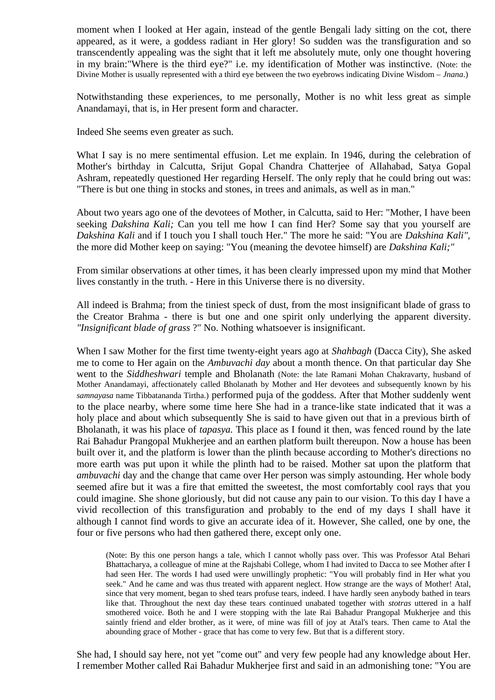moment when I looked at Her again, instead of the gentle Bengali lady sitting on the cot, there appeared, as it were, a goddess radiant in Her glory! So sudden was the transfiguration and so transcendently appealing was the sight that it left me absolutely mute, only one thought hovering in my brain:"Where is the third eye?" i.e. my identification of Mother was instinctive. (Note: the Divine Mother is usually represented with a third eye between the two eyebrows indicating Divine Wisdom – *Jnana*.)

Notwithstanding these experiences, to me personally, Mother is no whit less great as simple Anandamayi, that is, in Her present form and character.

Indeed She seems even greater as such.

What I say is no mere sentimental effusion. Let me explain. In 1946, during the celebration of Mother's birthday in Calcutta, Srijut Gopal Chandra Chatterjee of Allahabad, Satya Gopal Ashram, repeatedly questioned Her regarding Herself. The only reply that he could bring out was: "There is but one thing in stocks and stones, in trees and animals, as well as in man."

About two years ago one of the devotees of Mother, in Calcutta, said to Her: "Mother, I have been seeking *Dakshina Kali;* Can you tell me how I can find Her? Some say that you yourself are *Dakshina Kali* and if I touch you I shall touch Her." The more he said: "You are *Dakshina Kali",* the more did Mother keep on saying: "You (meaning the devotee himself) are *Dakshina Kali;"*

From similar observations at other times, it has been clearly impressed upon my mind that Mother lives constantly in the truth. - Here in this Universe there is no diversity.

All indeed is Brahma; from the tiniest speck of dust, from the most insignificant blade of grass to the Creator Brahma - there is but one and one spirit only underlying the apparent diversity. *"Insignificant blade of grass* ?" No. Nothing whatsoever is insignificant.

When I saw Mother for the first time twenty-eight years ago at *Shahbagh* (Dacca City), She asked me to come to Her again on the *Ambuvachi day* about a month thence. On that particular day She went to the *Siddheshwari* temple and Bholanath (Note: the late Ramani Mohan Chakravarty, husband of Mother Anandamayi, affectionately called Bholanath by Mother and Her devotees and subsequently known by his *samnayasa* name Tibbatananda Tirtha.) performed puja of the goddess. After that Mother suddenly went to the place nearby, where some time here She had in a trance-like state indicated that it was a holy place and about which subsequently She is said to have given out that in a previous birth of Bholanath, it was his place of *tapasya.* This place as I found it then, was fenced round by the late Rai Bahadur Prangopal Mukherjee and an earthen platform built thereupon. Now a house has been built over it, and the platform is lower than the plinth because according to Mother's directions no more earth was put upon it while the plinth had to be raised. Mother sat upon the platform that *ambuvachi* day and the change that came over Her person was simply astounding. Her whole body seemed afire but it was a fire that emitted the sweetest, the most comfortably cool rays that you could imagine. She shone gloriously, but did not cause any pain to our vision. To this day I have a vivid recollection of this transfiguration and probably to the end of my days I shall have it although I cannot find words to give an accurate idea of it. However, She called, one by one, the four or five persons who had then gathered there, except only one.

(Note: By this one person hangs a tale, which I cannot wholly pass over. This was Professor Atal Behari Bhattacharya, a colleague of mine at the Rajshabi College, whom I had invited to Dacca to see Mother after I had seen Her. The words I had used were unwillingly prophetic: "You will probably find in Her what you seek." And he came and was thus treated with apparent neglect. How strange are the ways of Mother! Atal, since that very moment, began to shed tears profuse tears, indeed. I have hardly seen anybody bathed in tears like that. Throughout the next day these tears continued unabated together with *stotras* uttered in a half smothered voice. Both he and I were stopping with the late Rai Bahadur Prangopal Mukherjee and this saintly friend and elder brother, as it were, of mine was fill of joy at Atal's tears. Then came to Atal the abounding grace of Mother - grace that has come to very few. But that is a different story.

She had, I should say here, not yet "come out" and very few people had any knowledge about Her. I remember Mother called Rai Bahadur Mukherjee first and said in an admonishing tone: "You are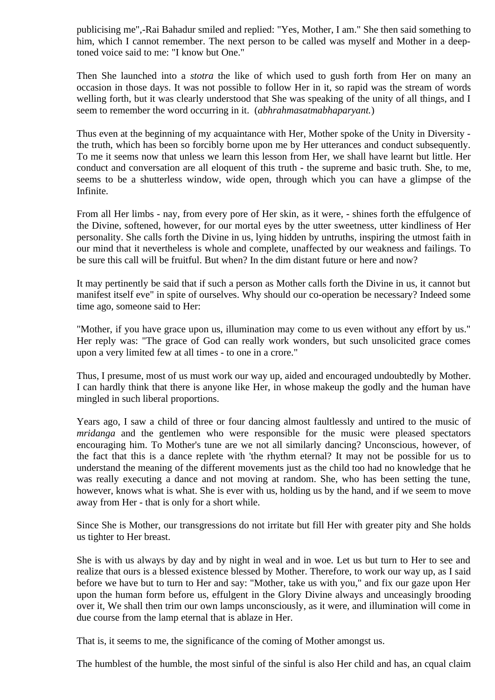publicising me",-Rai Bahadur smiled and replied: "Yes, Mother, I am." She then said something to him, which I cannot remember. The next person to be called was myself and Mother in a deeptoned voice said to me: "I know but One."

Then She launched into a *stotra* the like of which used to gush forth from Her on many an occasion in those days. It was not possible to follow Her in it, so rapid was the stream of words welling forth, but it was clearly understood that She was speaking of the unity of all things, and I seem to remember the word occurring in it. (*abhrahmasatmabhaparyant.*)

Thus even at the beginning of my acquaintance with Her, Mother spoke of the Unity in Diversity the truth, which has been so forcibly borne upon me by Her utterances and conduct subsequently. To me it seems now that unless we learn this lesson from Her, we shall have learnt but little. Her conduct and conversation are all eloquent of this truth - the supreme and basic truth. She, to me, seems to be a shutterless window, wide open, through which you can have a glimpse of the Infinite.

From all Her limbs - nay, from every pore of Her skin, as it were, - shines forth the effulgence of the Divine, softened, however, for our mortal eyes by the utter sweetness, utter kindliness of Her personality. She calls forth the Divine in us, lying hidden by untruths, inspiring the utmost faith in our mind that it nevertheless is whole and complete, unaffected by our weakness and failings. To be sure this call will be fruitful. But when? In the dim distant future or here and now?

It may pertinently be said that if such a person as Mother calls forth the Divine in us, it cannot but manifest itself eve" in spite of ourselves. Why should our co-operation be necessary? Indeed some time ago, someone said to Her:

"Mother, if you have grace upon us, illumination may come to us even without any effort by us." Her reply was: "The grace of God can really work wonders, but such unsolicited grace comes upon a very limited few at all times - to one in a crore."

Thus, I presume, most of us must work our way up, aided and encouraged undoubtedly by Mother. I can hardly think that there is anyone like Her, in whose makeup the godly and the human have mingled in such liberal proportions.

Years ago, I saw a child of three or four dancing almost faultlessly and untired to the music of *mridanga* and the gentlemen who were responsible for the music were pleased spectators encouraging him. To Mother's tune are we not all similarly dancing? Unconscious, however, of the fact that this is a dance replete with 'the rhythm eternal? It may not be possible for us to understand the meaning of the different movements just as the child too had no knowledge that he was really executing a dance and not moving at random. She, who has been setting the tune, however, knows what is what. She is ever with us, holding us by the hand, and if we seem to move away from Her - that is only for a short while.

Since She is Mother, our transgressions do not irritate but fill Her with greater pity and She holds us tighter to Her breast.

She is with us always by day and by night in weal and in woe. Let us but turn to Her to see and realize that ours is a blessed existence blessed by Mother. Therefore, to work our way up, as I said before we have but to turn to Her and say: "Mother, take us with you," and fix our gaze upon Her upon the human form before us, effulgent in the Glory Divine always and unceasingly brooding over it, We shall then trim our own lamps unconsciously, as it were, and illumination will come in due course from the lamp eternal that is ablaze in Her.

That is, it seems to me, the significance of the coming of Mother amongst us.

The humblest of the humble, the most sinful of the sinful is also Her child and has, an cqual claim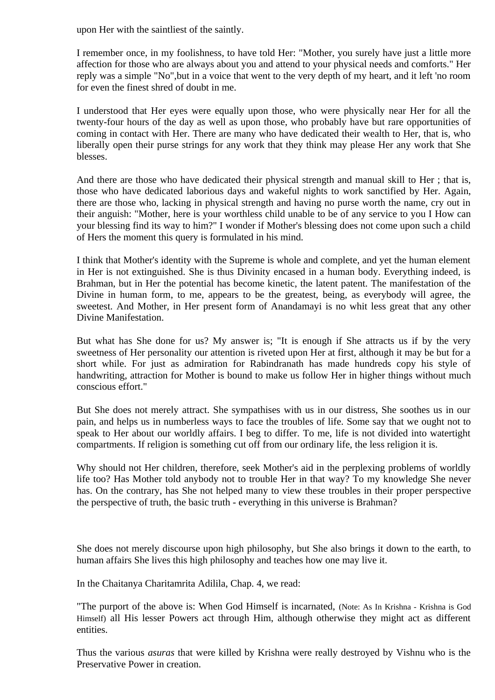upon Her with the saintliest of the saintly.

I remember once, in my foolishness, to have told Her: "Mother, you surely have just a little more affection for those who are always about you and attend to your physical needs and comforts." Her reply was a simple "No",but in a voice that went to the very depth of my heart, and it left 'no room for even the finest shred of doubt in me.

I understood that Her eyes were equally upon those, who were physically near Her for all the twenty-four hours of the day as well as upon those, who probably have but rare opportunities of coming in contact with Her. There are many who have dedicated their wealth to Her, that is, who liberally open their purse strings for any work that they think may please Her any work that She blesses.

And there are those who have dedicated their physical strength and manual skill to Her ; that is, those who have dedicated laborious days and wakeful nights to work sanctified by Her. Again, there are those who, lacking in physical strength and having no purse worth the name, cry out in their anguish: "Mother, here is your worthless child unable to be of any service to you I How can your blessing find its way to him?" I wonder if Mother's blessing does not come upon such a child of Hers the moment this query is formulated in his mind.

I think that Mother's identity with the Supreme is whole and complete, and yet the human element in Her is not extinguished. She is thus Divinity encased in a human body. Everything indeed, is Brahman, but in Her the potential has become kinetic, the latent patent. The manifestation of the Divine in human form, to me, appears to be the greatest, being, as everybody will agree, the sweetest. And Mother, in Her present form of Anandamayi is no whit less great that any other Divine Manifestation.

But what has She done for us? My answer is; "It is enough if She attracts us if by the very sweetness of Her personality our attention is riveted upon Her at first, although it may be but for a short while. For just as admiration for Rabindranath has made hundreds copy his style of handwriting, attraction for Mother is bound to make us follow Her in higher things without much conscious effort."

But She does not merely attract. She sympathises with us in our distress, She soothes us in our pain, and helps us in numberless ways to face the troubles of life. Some say that we ought not to speak to Her about our worldly affairs. I beg to differ. To me, life is not divided into watertight compartments. If religion is something cut off from our ordinary life, the less religion it is.

Why should not Her children, therefore, seek Mother's aid in the perplexing problems of worldly life too? Has Mother told anybody not to trouble Her in that way? To my knowledge She never has. On the contrary, has She not helped many to view these troubles in their proper perspective the perspective of truth, the basic truth - everything in this universe is Brahman?

She does not merely discourse upon high philosophy, but She also brings it down to the earth, to human affairs She lives this high philosophy and teaches how one may live it.

In the Chaitanya Charitamrita Adilila, Chap. 4, we read:

"The purport of the above is: When God Himself is incarnated, (Note: As In Krishna - Krishna is God Himself) all His lesser Powers act through Him, although otherwise they might act as different entities.

Thus the various *asuras* that were killed by Krishna were really destroyed by Vishnu who is the Preservative Power in creation.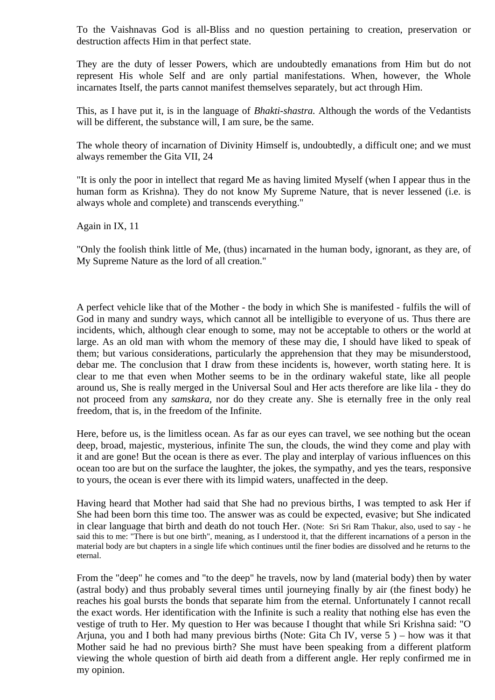To the Vaishnavas God is all-Bliss and no question pertaining to creation, preservation or destruction affects Him in that perfect state.

They are the duty of lesser Powers, which are undoubtedly emanations from Him but do not represent His whole Self and are only partial manifestations. When, however, the Whole incarnates Itself, the parts cannot manifest themselves separately, but act through Him.

This, as I have put it, is in the language of *Bhakti-shastra.* Although the words of the Vedantists will be different, the substance will, I am sure, be the same.

The whole theory of incarnation of Divinity Himself is, undoubtedly, a difficult one; and we must always remember the Gita VII, 24

"It is only the poor in intellect that regard Me as having limited Myself (when I appear thus in the human form as Krishna). They do not know My Supreme Nature, that is never lessened (i.e. is always whole and complete) and transcends everything."

Again in IX, 11

"Only the foolish think little of Me, (thus) incarnated in the human body, ignorant, as they are, of My Supreme Nature as the lord of all creation."

A perfect vehicle like that of the Mother - the body in which She is manifested - fulfils the will of God in many and sundry ways, which cannot all be intelligible to everyone of us. Thus there are incidents, which, although clear enough to some, may not be acceptable to others or the world at large. As an old man with whom the memory of these may die, I should have liked to speak of them; but various considerations, particularly the apprehension that they may be misunderstood, debar me. The conclusion that I draw from these incidents is, however, worth stating here. It is clear to me that even when Mother seems to be in the ordinary wakeful state, like all people around us, She is really merged in the Universal Soul and Her acts therefore are like lila - they do not proceed from any *samskara,* nor do they create any. She is eternally free in the only real freedom, that is, in the freedom of the Infinite.

Here, before us, is the limitless ocean. As far as our eyes can travel, we see nothing but the ocean deep, broad, majestic, mysterious, infinite The sun, the clouds, the wind they come and play with it and are gone! But the ocean is there as ever. The play and interplay of various influences on this ocean too are but on the surface the laughter, the jokes, the sympathy, and yes the tears, responsive to yours, the ocean is ever there with its limpid waters, unaffected in the deep.

Having heard that Mother had said that She had no previous births, I was tempted to ask Her if She had been born this time too. The answer was as could be expected, evasive; but She indicated in clear language that birth and death do not touch Her. (Note: Sri Sri Ram Thakur, also, used to say - he said this to me: "There is but one birth", meaning, as I understood it, that the different incarnations of a person in the material body are but chapters in a single life which continues until the finer bodies are dissolved and he returns to the eternal.

From the "deep" he comes and "to the deep" he travels, now by land (material body) then by water (astral body) and thus probably several times until journeying finally by air (the finest body) he reaches his goal bursts the bonds that separate him from the eternal. Unfortunately I cannot recall the exact words. Her identification with the Infinite is such a reality that nothing else has even the vestige of truth to Her. My question to Her was because I thought that while Sri Krishna said: "O Arjuna, you and I both had many previous births (Note: Gita Ch IV, verse 5 ) – how was it that Mother said he had no previous birth? She must have been speaking from a different platform viewing the whole question of birth aid death from a different angle. Her reply confirmed me in my opinion.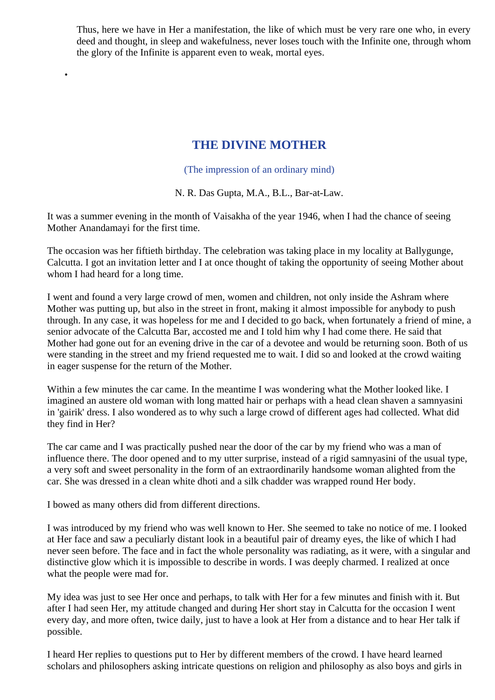Thus, here we have in Her a manifestation, the like of which must be very rare one who, in every deed and thought, in sleep and wakefulness, never loses touch with the Infinite one, through whom the glory of the Infinite is apparent even to weak, mortal eyes.

### **THE DIVINE MOTHER**

(The impression of an ordinary mind)

N. R. Das Gupta, M.A., B.L., Bar-at-Law.

It was a summer evening in the month of Vaisakha of the year 1946, when I had the chance of seeing Mother Anandamayi for the first time.

The occasion was her fiftieth birthday. The celebration was taking place in my locality at Ballygunge, Calcutta. I got an invitation letter and I at once thought of taking the opportunity of seeing Mother about whom I had heard for a long time.

I went and found a very large crowd of men, women and children, not only inside the Ashram where Mother was putting up, but also in the street in front, making it almost impossible for anybody to push through. In any case, it was hopeless for me and I decided to go back, when fortunately a friend of mine, a senior advocate of the Calcutta Bar, accosted me and I told him why I had come there. He said that Mother had gone out for an evening drive in the car of a devotee and would be returning soon. Both of us were standing in the street and my friend requested me to wait. I did so and looked at the crowd waiting in eager suspense for the return of the Mother.

Within a few minutes the car came. In the meantime I was wondering what the Mother looked like. I imagined an austere old woman with long matted hair or perhaps with a head clean shaven a samnyasini in 'gairik' dress. I also wondered as to why such a large crowd of different ages had collected. What did they find in Her?

The car came and I was practically pushed near the door of the car by my friend who was a man of influence there. The door opened and to my utter surprise, instead of a rigid samnyasini of the usual type, a very soft and sweet personality in the form of an extraordinarily handsome woman alighted from the car. She was dressed in a clean white dhoti and a silk chadder was wrapped round Her body.

I bowed as many others did from different directions.

•

I was introduced by my friend who was well known to Her. She seemed to take no notice of me. I looked at Her face and saw a peculiarly distant look in a beautiful pair of dreamy eyes, the like of which I had never seen before. The face and in fact the whole personality was radiating, as it were, with a singular and distinctive glow which it is impossible to describe in words. I was deeply charmed. I realized at once what the people were mad for.

My idea was just to see Her once and perhaps, to talk with Her for a few minutes and finish with it. But after I had seen Her, my attitude changed and during Her short stay in Calcutta for the occasion I went every day, and more often, twice daily, just to have a look at Her from a distance and to hear Her talk if possible.

I heard Her replies to questions put to Her by different members of the crowd. I have heard learned scholars and philosophers asking intricate questions on religion and philosophy as also boys and girls in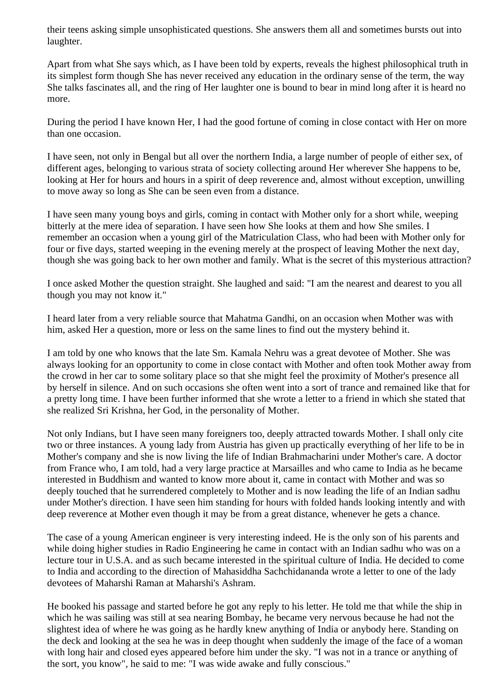their teens asking simple unsophisticated questions. She answers them all and sometimes bursts out into laughter.

Apart from what She says which, as I have been told by experts, reveals the highest philosophical truth in its simplest form though She has never received any education in the ordinary sense of the term, the way She talks fascinates all, and the ring of Her laughter one is bound to bear in mind long after it is heard no more.

During the period I have known Her, I had the good fortune of coming in close contact with Her on more than one occasion.

I have seen, not only in Bengal but all over the northern India, a large number of people of either sex, of different ages, belonging to various strata of society collecting around Her wherever She happens to be, looking at Her for hours and hours in a spirit of deep reverence and, almost without exception, unwilling to move away so long as She can be seen even from a distance.

I have seen many young boys and girls, coming in contact with Mother only for a short while, weeping bitterly at the mere idea of separation. I have seen how She looks at them and how She smiles. I remember an occasion when a young girl of the Matriculation Class, who had been with Mother only for four or five days, started weeping in the evening merely at the prospect of leaving Mother the next day, though she was going back to her own mother and family. What is the secret of this mysterious attraction?

I once asked Mother the question straight. She laughed and said: "I am the nearest and dearest to you all though you may not know it."

I heard later from a very reliable source that Mahatma Gandhi, on an occasion when Mother was with him, asked Her a question, more or less on the same lines to find out the mystery behind it.

I am told by one who knows that the late Sm. Kamala Nehru was a great devotee of Mother. She was always looking for an opportunity to come in close contact with Mother and often took Mother away from the crowd in her car to some solitary place so that she might feel the proximity of Mother's presence all by herself in silence. And on such occasions she often went into a sort of trance and remained like that for a pretty long time. I have been further informed that she wrote a letter to a friend in which she stated that she realized Sri Krishna, her God, in the personality of Mother.

Not only Indians, but I have seen many foreigners too, deeply attracted towards Mother. I shall only cite two or three instances. A young lady from Austria has given up practically everything of her life to be in Mother's company and she is now living the life of Indian Brahmacharini under Mother's care. A doctor from France who, I am told, had a very large practice at Marsailles and who came to India as he became interested in Buddhism and wanted to know more about it, came in contact with Mother and was so deeply touched that he surrendered completely to Mother and is now leading the life of an Indian sadhu under Mother's direction. I have seen him standing for hours with folded hands looking intently and with deep reverence at Mother even though it may be from a great distance, whenever he gets a chance.

The case of a young American engineer is very interesting indeed. He is the only son of his parents and while doing higher studies in Radio Engineering he came in contact with an Indian sadhu who was on a lecture tour in U.S.A. and as such became interested in the spiritual culture of India. He decided to come to India and according to the direction of Mahasiddha Sachchidananda wrote a letter to one of the lady devotees of Maharshi Raman at Maharshi's Ashram.

He booked his passage and started before he got any reply to his letter. He told me that while the ship in which he was sailing was still at sea nearing Bombay, he became very nervous because he had not the slightest idea of where he was going as he hardly knew anything of India or anybody here. Standing on the deck and looking at the sea he was in deep thought when suddenly the image of the face of a woman with long hair and closed eyes appeared before him under the sky. "I was not in a trance or anything of the sort, you know", he said to me: "I was wide awake and fully conscious."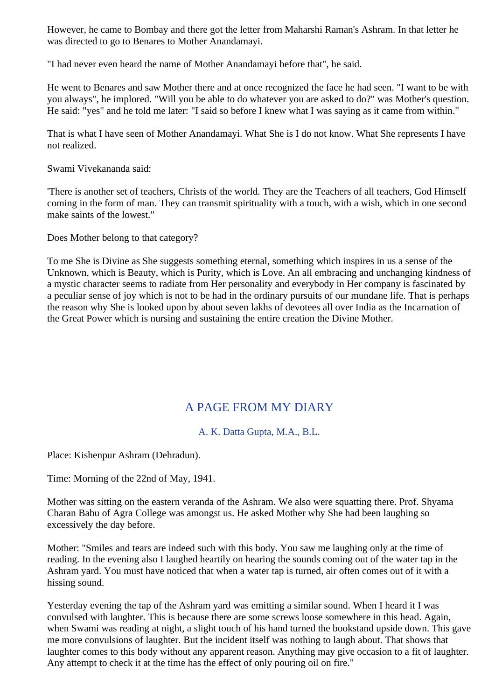However, he came to Bombay and there got the letter from Maharshi Raman's Ashram. In that letter he was directed to go to Benares to Mother Anandamayi.

"I had never even heard the name of Mother Anandamayi before that", he said.

He went to Benares and saw Mother there and at once recognized the face he had seen. "I want to be with you always", he implored. "Will you be able to do whatever you are asked to do?" was Mother's question. He said: "yes" and he told me later: "I said so before I knew what I was saying as it came from within."

That is what I have seen of Mother Anandamayi. What She is I do not know. What She represents I have not realized.

Swami Vivekananda said:

'There is another set of teachers, Christs of the world. They are the Teachers of all teachers, God Himself coming in the form of man. They can transmit spirituality with a touch, with a wish, which in one second make saints of the lowest."

Does Mother belong to that category?

To me She is Divine as She suggests something eternal, something which inspires in us a sense of the Unknown, which is Beauty, which is Purity, which is Love. An all embracing and unchanging kindness of a mystic character seems to radiate from Her personality and everybody in Her company is fascinated by a peculiar sense of joy which is not to be had in the ordinary pursuits of our mundane life. That is perhaps the reason why She is looked upon by about seven lakhs of devotees all over India as the Incarnation of the Great Power which is nursing and sustaining the entire creation the Divine Mother.

### A PAGE FROM MY DIARY

A. K. Datta Gupta, M.A., B.L.

Place: Kishenpur Ashram (Dehradun).

Time: Morning of the 22nd of May, 1941.

Mother was sitting on the eastern veranda of the Ashram. We also were squatting there. Prof. Shyama Charan Babu of Agra College was amongst us. He asked Mother why She had been laughing so excessively the day before.

Mother: "Smiles and tears are indeed such with this body. You saw me laughing only at the time of reading. In the evening also I laughed heartily on hearing the sounds coming out of the water tap in the Ashram yard. You must have noticed that when a water tap is turned, air often comes out of it with a hissing sound.

Yesterday evening the tap of the Ashram yard was emitting a similar sound. When I heard it I was convulsed with laughter. This is because there are some screws loose somewhere in this head. Again, when Swami was reading at night, a slight touch of his hand turned the bookstand upside down. This gave me more convulsions of laughter. But the incident itself was nothing to laugh about. That shows that laughter comes to this body without any apparent reason. Anything may give occasion to a fit of laughter. Any attempt to check it at the time has the effect of only pouring oil on fire."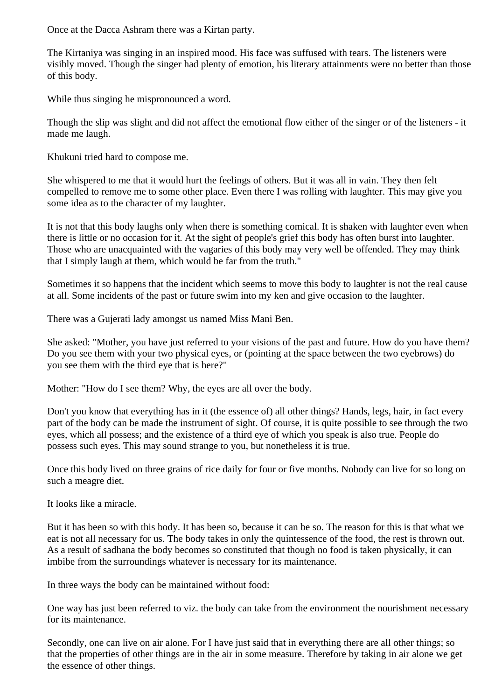Once at the Dacca Ashram there was a Kirtan party.

The Kirtaniya was singing in an inspired mood. His face was suffused with tears. The listeners were visibly moved. Though the singer had plenty of emotion, his literary attainments were no better than those of this body.

While thus singing he mispronounced a word.

Though the slip was slight and did not affect the emotional flow either of the singer or of the listeners - it made me laugh.

Khukuni tried hard to compose me.

She whispered to me that it would hurt the feelings of others. But it was all in vain. They then felt compelled to remove me to some other place. Even there I was rolling with laughter. This may give you some idea as to the character of my laughter.

It is not that this body laughs only when there is something comical. It is shaken with laughter even when there is little or no occasion for it. At the sight of people's grief this body has often burst into laughter. Those who are unacquainted with the vagaries of this body may very well be offended. They may think that I simply laugh at them, which would be far from the truth."

Sometimes it so happens that the incident which seems to move this body to laughter is not the real cause at all. Some incidents of the past or future swim into my ken and give occasion to the laughter.

There was a Gujerati lady amongst us named Miss Mani Ben.

She asked: "Mother, you have just referred to your visions of the past and future. How do you have them? Do you see them with your two physical eyes, or (pointing at the space between the two eyebrows) do you see them with the third eye that is here?"

Mother: "How do I see them? Why, the eyes are all over the body.

Don't you know that everything has in it (the essence of) all other things? Hands, legs, hair, in fact every part of the body can be made the instrument of sight. Of course, it is quite possible to see through the two eyes, which all possess; and the existence of a third eye of which you speak is also true. People do possess such eyes. This may sound strange to you, but nonetheless it is true.

Once this body lived on three grains of rice daily for four or five months. Nobody can live for so long on such a meagre diet.

It looks like a miracle.

But it has been so with this body. It has been so, because it can be so. The reason for this is that what we eat is not all necessary for us. The body takes in only the quintessence of the food, the rest is thrown out. As a result of sadhana the body becomes so constituted that though no food is taken physically, it can imbibe from the surroundings whatever is necessary for its maintenance.

In three ways the body can be maintained without food:

One way has just been referred to viz. the body can take from the environment the nourishment necessary for its maintenance.

Secondly, one can live on air alone. For I have just said that in everything there are all other things; so that the properties of other things are in the air in some measure. Therefore by taking in air alone we get the essence of other things.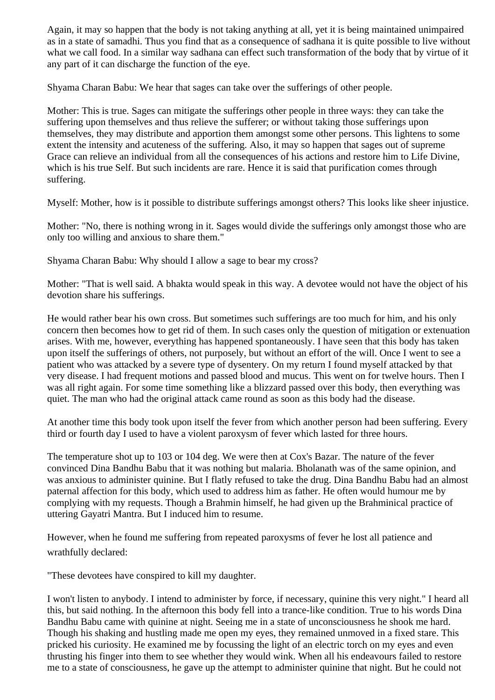Again, it may so happen that the body is not taking anything at all, yet it is being maintained unimpaired as in a state of samadhi. Thus you find that as a consequence of sadhana it is quite possible to live without what we call food. In a similar way sadhana can effect such transformation of the body that by virtue of it any part of it can discharge the function of the eye.

Shyama Charan Babu: We hear that sages can take over the sufferings of other people.

Mother: This is true. Sages can mitigate the sufferings other people in three ways: they can take the suffering upon themselves and thus relieve the sufferer; or without taking those sufferings upon themselves, they may distribute and apportion them amongst some other persons. This lightens to some extent the intensity and acuteness of the suffering. Also, it may so happen that sages out of supreme Grace can relieve an individual from all the consequences of his actions and restore him to Life Divine, which is his true Self. But such incidents are rare. Hence it is said that purification comes through suffering.

Myself: Mother, how is it possible to distribute sufferings amongst others? This looks like sheer injustice.

Mother: "No, there is nothing wrong in it. Sages would divide the sufferings only amongst those who are only too willing and anxious to share them."

Shyama Charan Babu: Why should I allow a sage to bear my cross?

Mother: "That is well said. A bhakta would speak in this way. A devotee would not have the object of his devotion share his sufferings.

He would rather bear his own cross. But sometimes such sufferings are too much for him, and his only concern then becomes how to get rid of them. In such cases only the question of mitigation or extenuation arises. With me, however, everything has happened spontaneously. I have seen that this body has taken upon itself the sufferings of others, not purposely, but without an effort of the will. Once I went to see a patient who was attacked by a severe type of dysentery. On my return I found myself attacked by that very disease. I had frequent motions and passed blood and mucus. This went on for twelve hours. Then I was all right again. For some time something like a blizzard passed over this body, then everything was quiet. The man who had the original attack came round as soon as this body had the disease.

At another time this body took upon itself the fever from which another person had been suffering. Every third or fourth day I used to have a violent paroxysm of fever which lasted for three hours.

The temperature shot up to 103 or 104 deg. We were then at Cox's Bazar. The nature of the fever convinced Dina Bandhu Babu that it was nothing but malaria. Bholanath was of the same opinion, and was anxious to administer quinine. But I flatly refused to take the drug. Dina Bandhu Babu had an almost paternal affection for this body, which used to address him as father. He often would humour me by complying with my requests. Though a Brahmin himself, he had given up the Brahminical practice of uttering Gayatri Mantra. But I induced him to resume.

However, when he found me suffering from repeated paroxysms of fever he lost all patience and wrathfully declared:

"These devotees have conspired to kill my daughter.

I won't listen to anybody. I intend to administer by force, if necessary, quinine this very night." I heard all this, but said nothing. In the afternoon this body fell into a trance-like condition. True to his words Dina Bandhu Babu came with quinine at night. Seeing me in a state of unconsciousness he shook me hard. Though his shaking and hustling made me open my eyes, they remained unmoved in a fixed stare. This pricked his curiosity. He examined me by focussing the light of an electric torch on my eyes and even thrusting his finger into them to see whether they would wink. When all his endeavours failed to restore me to a state of consciousness, he gave up the attempt to administer quinine that night. But he could not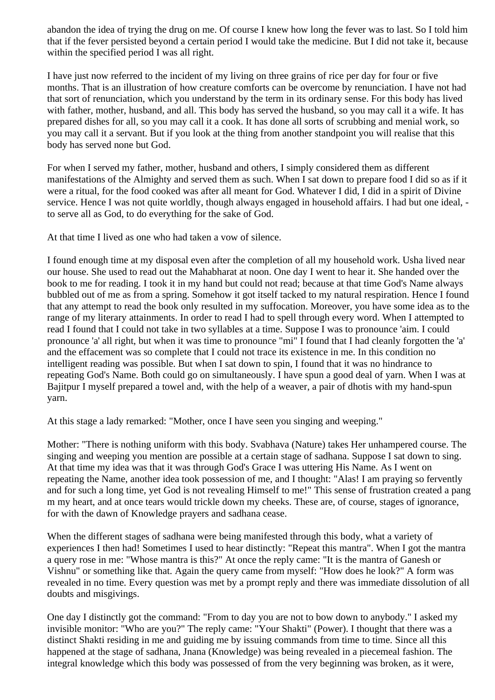abandon the idea of trying the drug on me. Of course I knew how long the fever was to last. So I told him that if the fever persisted beyond a certain period I would take the medicine. But I did not take it, because within the specified period I was all right.

I have just now referred to the incident of my living on three grains of rice per day for four or five months. That is an illustration of how creature comforts can be overcome by renunciation. I have not had that sort of renunciation, which you understand by the term in its ordinary sense. For this body has lived with father, mother, husband, and all. This body has served the husband, so you may call it a wife. It has prepared dishes for all, so you may call it a cook. It has done all sorts of scrubbing and menial work, so you may call it a servant. But if you look at the thing from another standpoint you will realise that this body has served none but God.

For when I served my father, mother, husband and others, I simply considered them as different manifestations of the Almighty and served them as such. When I sat down to prepare food I did so as if it were a ritual, for the food cooked was after all meant for God. Whatever I did, I did in a spirit of Divine service. Hence I was not quite worldly, though always engaged in household affairs. I had but one ideal, to serve all as God, to do everything for the sake of God.

At that time I lived as one who had taken a vow of silence.

I found enough time at my disposal even after the completion of all my household work. Usha lived near our house. She used to read out the Mahabharat at noon. One day I went to hear it. She handed over the book to me for reading. I took it in my hand but could not read; because at that time God's Name always bubbled out of me as from a spring. Somehow it got itself tacked to my natural respiration. Hence I found that any attempt to read the book only resulted in my suffocation. Moreover, you have some idea as to the range of my literary attainments. In order to read I had to spell through every word. When I attempted to read I found that I could not take in two syllables at a time. Suppose I was to pronounce 'aim. I could pronounce 'a' all right, but when it was time to pronounce "mi" I found that I had cleanly forgotten the 'a' and the effacement was so complete that I could not trace its existence in me. In this condition no intelligent reading was possible. But when I sat down to spin, I found that it was no hindrance to repeating God's Name. Both could go on simultaneously. I have spun a good deal of yarn. When I was at Bajitpur I myself prepared a towel and, with the help of a weaver, a pair of dhotis with my hand-spun yarn.

At this stage a lady remarked: "Mother, once I have seen you singing and weeping."

Mother: "There is nothing uniform with this body. Svabhava (Nature) takes Her unhampered course. The singing and weeping you mention are possible at a certain stage of sadhana. Suppose I sat down to sing. At that time my idea was that it was through God's Grace I was uttering His Name. As I went on repeating the Name, another idea took possession of me, and I thought: "Alas! I am praying so fervently and for such a long time, yet God is not revealing Himself to me!" This sense of frustration created a pang m my heart, and at once tears would trickle down my cheeks. These are, of course, stages of ignorance, for with the dawn of Knowledge prayers and sadhana cease.

When the different stages of sadhana were being manifested through this body, what a variety of experiences I then had! Sometimes I used to hear distinctly: "Repeat this mantra". When I got the mantra a query rose in me: "Whose mantra is this?" At once the reply came: "It is the mantra of Ganesh or Vishnu" or something like that. Again the query came from myself: "How does he look?" A form was revealed in no time. Every question was met by a prompt reply and there was immediate dissolution of all doubts and misgivings.

One day I distinctly got the command: "From to day you are not to bow down to anybody." I asked my invisible monitor: "Who are you?" The reply came: "Your Shakti" (Power). I thought that there was a distinct Shakti residing in me and guiding me by issuing commands from time to time. Since all this happened at the stage of sadhana, Jnana (Knowledge) was being revealed in a piecemeal fashion. The integral knowledge which this body was possessed of from the very beginning was broken, as it were,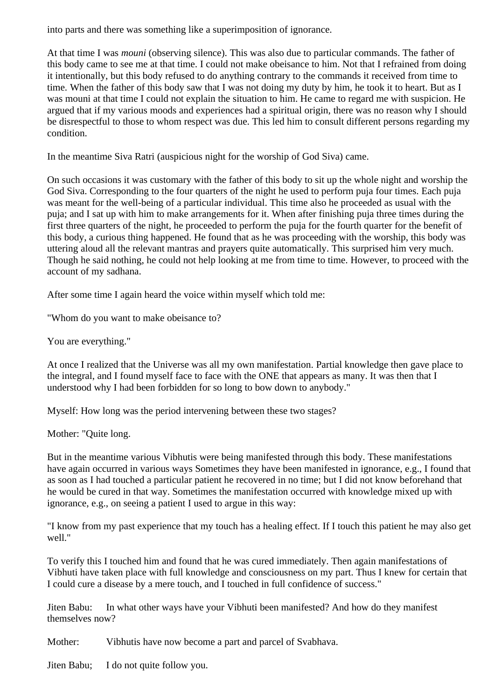into parts and there was something like a superimposition of ignorance.

At that time I was *mouni* (observing silence). This was also due to particular commands. The father of this body came to see me at that time. I could not make obeisance to him. Not that I refrained from doing it intentionally, but this body refused to do anything contrary to the commands it received from time to time. When the father of this body saw that I was not doing my duty by him, he took it to heart. But as I was mouni at that time I could not explain the situation to him. He came to regard me with suspicion. He argued that if my various moods and experiences had a spiritual origin, there was no reason why I should be disrespectful to those to whom respect was due. This led him to consult different persons regarding my condition.

In the meantime Siva Ratri (auspicious night for the worship of God Siva) came.

On such occasions it was customary with the father of this body to sit up the whole night and worship the God Siva. Corresponding to the four quarters of the night he used to perform puja four times. Each puja was meant for the well-being of a particular individual. This time also he proceeded as usual with the puja; and I sat up with him to make arrangements for it. When after finishing puja three times during the first three quarters of the night, he proceeded to perform the puja for the fourth quarter for the benefit of this body, a curious thing happened. He found that as he was proceeding with the worship, this body was uttering aloud all the relevant mantras and prayers quite automatically. This surprised him very much. Though he said nothing, he could not help looking at me from time to time. However, to proceed with the account of my sadhana.

After some time I again heard the voice within myself which told me:

"Whom do you want to make obeisance to?

You are everything."

At once I realized that the Universe was all my own manifestation. Partial knowledge then gave place to the integral, and I found myself face to face with the ONE that appears as many. It was then that I understood why I had been forbidden for so long to bow down to anybody."

Myself: How long was the period intervening between these two stages?

Mother: "Quite long.

But in the meantime various Vibhutis were being manifested through this body. These manifestations have again occurred in various ways Sometimes they have been manifested in ignorance, e.g., I found that as soon as I had touched a particular patient he recovered in no time; but I did not know beforehand that he would be cured in that way. Sometimes the manifestation occurred with knowledge mixed up with ignorance, e.g., on seeing a patient I used to argue in this way:

"I know from my past experience that my touch has a healing effect. If I touch this patient he may also get well."

To verify this I touched him and found that he was cured immediately. Then again manifestations of Vibhuti have taken place with full knowledge and consciousness on my part. Thus I knew for certain that I could cure a disease by a mere touch, and I touched in full confidence of success."

Jiten Babu: In what other ways have your Vibhuti been manifested? And how do they manifest themselves now?

Mother: Vibhutis have now become a part and parcel of Svabhava.

Jiten Babu; I do not quite follow you.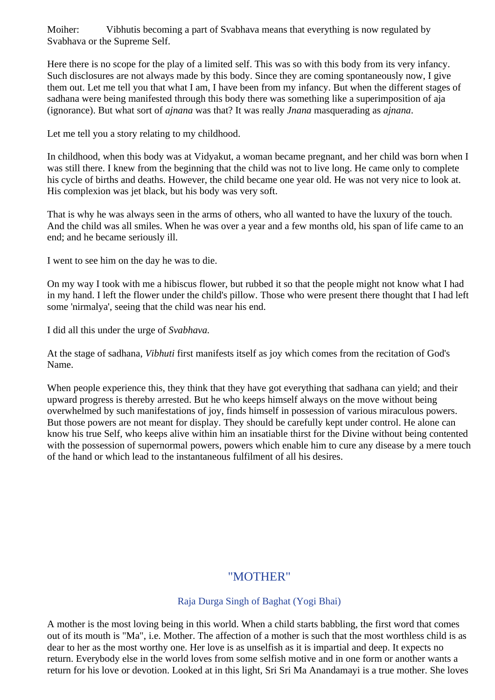Moiher: Vibhutis becoming a part of Svabhava means that everything is now regulated by Svabhava or the Supreme Self.

Here there is no scope for the play of a limited self. This was so with this body from its very infancy. Such disclosures are not always made by this body. Since they are coming spontaneously now, I give them out. Let me tell you that what I am, I have been from my infancy. But when the different stages of sadhana were being manifested through this body there was something like a superimposition of aja (ignorance). But what sort of *ajnana* was that? It was really *Jnana* masquerading as *ajnana*.

Let me tell you a story relating to my childhood.

In childhood, when this body was at Vidyakut, a woman became pregnant, and her child was born when I was still there. I knew from the beginning that the child was not to live long. He came only to complete his cycle of births and deaths. However, the child became one year old. He was not very nice to look at. His complexion was jet black, but his body was very soft.

That is why he was always seen in the arms of others, who all wanted to have the luxury of the touch. And the child was all smiles. When he was over a year and a few months old, his span of life came to an end; and he became seriously ill.

I went to see him on the day he was to die.

On my way I took with me a hibiscus flower, but rubbed it so that the people might not know what I had in my hand. I left the flower under the child's pillow. Those who were present there thought that I had left some 'nirmalya', seeing that the child was near his end.

I did all this under the urge of *Svabhava.*

At the stage of sadhana, *Vibhuti* first manifests itself as joy which comes from the recitation of God's Name.

When people experience this, they think that they have got everything that sadhana can yield; and their upward progress is thereby arrested. But he who keeps himself always on the move without being overwhelmed by such manifestations of joy, finds himself in possession of various miraculous powers. But those powers are not meant for display. They should be carefully kept under control. He alone can know his true Self, who keeps alive within him an insatiable thirst for the Divine without being contented with the possession of supernormal powers, powers which enable him to cure any disease by a mere touch of the hand or which lead to the instantaneous fulfilment of all his desires.

### "MOTHER"

#### Raja Durga Singh of Baghat (Yogi Bhai)

A mother is the most loving being in this world. When a child starts babbling, the first word that comes out of its mouth is "Ma", i.e. Mother. The affection of a mother is such that the most worthless child is as dear to her as the most worthy one. Her love is as unselfish as it is impartial and deep. It expects no return. Everybody else in the world loves from some selfish motive and in one form or another wants a return for his love or devotion. Looked at in this light, Sri Sri Ma Anandamayi is a true mother. She loves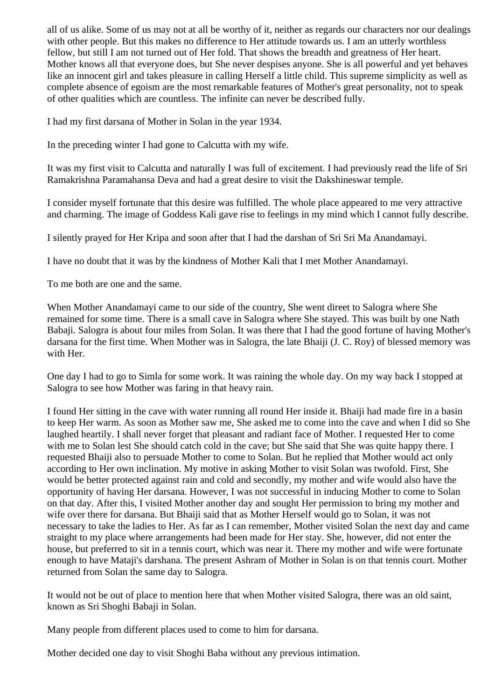all of us alike. Some of us may not at all be worthy of it, neither as regards our characters nor our dealings with other people. But this makes no difference to Her attitude towards us. I am an utterly worthless fellow, but still I am not turned out of Her fold. That shows the breadth and greatness of Her heart. Mother knows all that everyone does, but She never despises anyone. She is all powerful and yet behaves like an innocent girl and takes pleasure in calling Herself a little child. This supreme simplicity as well as complete absence of egoism are the most remarkable features of Mother's great personality, not to speak of other qualities which are countless. The infinite can never be described fully.

I had my first darsana of Mother in Solan in the year 1934.

In the preceding winter I had gone to Calcutta with my wife.

It was my first visit to Calcutta and naturally I was full of excitement. I had previously read the life of Sri Ramakrishna Paramahansa Deva and had a great desire to visit the Dakshineswar temple.

I consider myself fortunate that this desire was fulfilled. The whole place appeared to me very attractive and charming. The image of Goddess Kali gave rise to feelings in my mind which I cannot fully describe.

I silently prayed for Her Kripa and soon after that I had the darshan of Sri Sri Ma Anandamayi.

I have no doubt that it was by the kindness of Mother Kali that I met Mother Anandamayi.

To me both are one and the same.

When Mother Anandamayi came to our side of the country, She went direet to Salogra where She remained for some time. There is a small cave in Salogra where She stayed. This was built by one Nath Babaji. Salogra is about four miles from Solan. It was there that I had the good fortune of having Mother's darsana for the first time. When Mother was in Salogra, the late Bhaiji (J. C. Roy) of blessed memory was with Her.

One day I had to go to Simla for some work. It was raining the whole day. On my way back I stopped at Salogra to see how Mother was faring in that heavy rain.

I found Her sitting in the cave with water running all round Her inside it. Bhaiji had made fire in a basin to keep Her warm. As soon as Mother saw me, She asked me to come into the cave and when I did so She laughed heartily. I shall never forget that pleasant and radiant face of Mother. I requested Her to come with me to Solan lest She should catch cold in the cave; but She said that She was quite happy there. I requested Bhaiji also to persuade Mother to come to Solan. But he replied that Mother would act only according to Her own inclination. My motive in asking Mother to visit Solan was twofold. First, She would be better protected against rain and cold and secondly, my mother and wife would also have the opportunity of having Her darsana. However, I was not successful in inducing Mother to come to Solan on that day. After this, I visited Mother another day and sought Her permission to bring my mother and wife over there for darsana. But Bhaiji said that as Mother Herself would go to Solan, it was not necessary to take the ladies to Her. As far as I can remember, Mother visited Solan the next day and came straight to my place where arrangements had been made for Her stay. She, however, did not enter the house, but preferred to sit in a tennis court, which was near it. There my mother and wife were fortunate enough to have Mataji's darshana. The present Ashram of Mother in Solan is on that tennis court. Mother returned from Solan the same day to Salogra.

It would not be out of place to mention here that when Mother visited Salogra, there was an old saint, known as Sri Shoghi Babaji in Solan.

Many people from different places used to come to him for darsana.

Mother decided one day to visit Shoghi Baba without any previous intimation.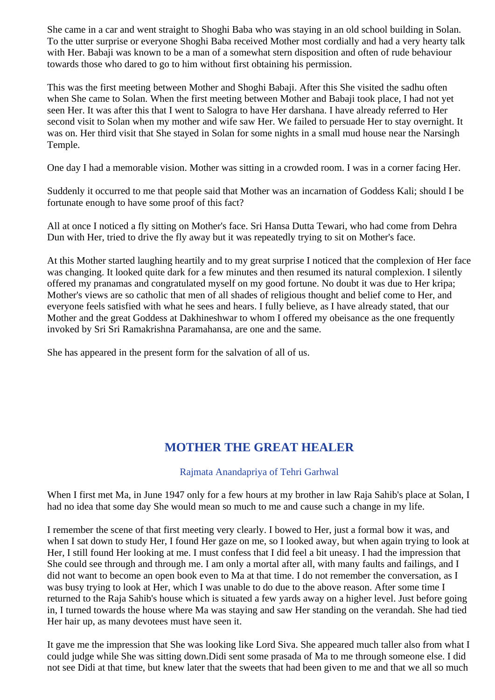She came in a car and went straight to Shoghi Baba who was staying in an old school building in Solan. To the utter surprise or everyone Shoghi Baba received Mother most cordially and had a very hearty talk with Her. Babaji was known to be a man of a somewhat stern disposition and often of rude behaviour towards those who dared to go to him without first obtaining his permission.

This was the first meeting between Mother and Shoghi Babaji. After this She visited the sadhu often when She came to Solan. When the first meeting between Mother and Babaji took place, I had not yet seen Her. It was after this that I went to Salogra to have Her darshana. I have already referred to Her second visit to Solan when my mother and wife saw Her. We failed to persuade Her to stay overnight. It was on. Her third visit that She stayed in Solan for some nights in a small mud house near the Narsingh Temple.

One day I had a memorable vision. Mother was sitting in a crowded room. I was in a corner facing Her.

Suddenly it occurred to me that people said that Mother was an incarnation of Goddess Kali; should I be fortunate enough to have some proof of this fact?

All at once I noticed a fly sitting on Mother's face. Sri Hansa Dutta Tewari, who had come from Dehra Dun with Her, tried to drive the fly away but it was repeatedly trying to sit on Mother's face.

At this Mother started laughing heartily and to my great surprise I noticed that the complexion of Her face was changing. It looked quite dark for a few minutes and then resumed its natural complexion. I silently offered my pranamas and congratulated myself on my good fortune. No doubt it was due to Her kripa; Mother's views are so catholic that men of all shades of religious thought and belief come to Her, and everyone feels satisfied with what he sees and hears. I fully believe, as I have already stated, that our Mother and the great Goddess at Dakhineshwar to whom I offered my obeisance as the one frequently invoked by Sri Sri Ramakrishna Paramahansa, are one and the same.

She has appeared in the present form for the salvation of all of us.

# **MOTHER THE GREAT HEALER**

#### Rajmata Anandapriya of Tehri Garhwal

When I first met Ma, in June 1947 only for a few hours at my brother in law Raja Sahib's place at Solan, I had no idea that some day She would mean so much to me and cause such a change in my life.

I remember the scene of that first meeting very clearly. I bowed to Her, just a formal bow it was, and when I sat down to study Her, I found Her gaze on me, so I looked away, but when again trying to look at Her, I still found Her looking at me. I must confess that I did feel a bit uneasy. I had the impression that She could see through and through me. I am only a mortal after all, with many faults and failings, and I did not want to become an open book even to Ma at that time. I do not remember the conversation, as I was busy trying to look at Her, which I was unable to do due to the above reason. After some time I returned to the Raja Sahib's house which is situated a few yards away on a higher level. Just before going in, I turned towards the house where Ma was staying and saw Her standing on the verandah. She had tied Her hair up, as many devotees must have seen it.

It gave me the impression that She was looking like Lord Siva. She appeared much taller also from what I could judge while She was sitting down.Didi sent some prasada of Ma to me through someone else. I did not see Didi at that time, but knew later that the sweets that had been given to me and that we all so much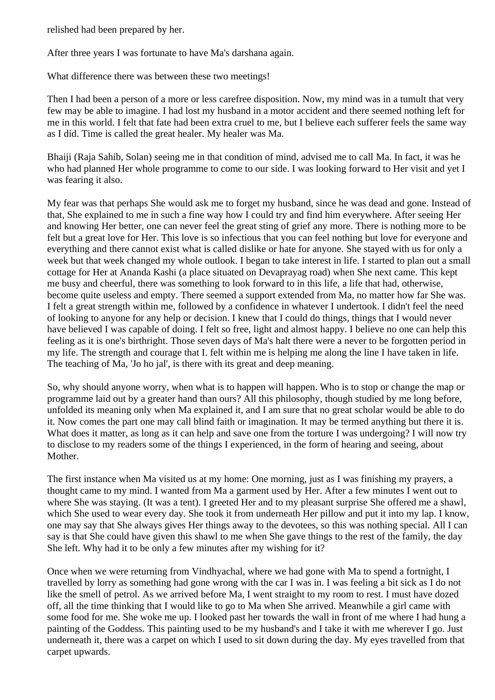relished had been prepared by her.

After three years I was fortunate to have Ma's darshana again.

What difference there was between these two meetings!

Then I had been a person of a more or less carefree disposition. Now, my mind was in a tumult that very few may be able to imagine. I had lost my husband in a motor accident and there seemed nothing left for me in this world. I felt that fate had been extra cruel to me, but I believe each sufferer feels the same way as I did. Time is called the great healer. My healer was Ma.

Bhaiji (Raja Sahib, Solan) seeing me in that condition of mind, advised me to call Ma. In fact, it was he who had planned Her whole programme to come to our side. I was looking forward to Her visit and yet I was fearing it also.

My fear was that perhaps She would ask me to forget my husband, since he was dead and gone. Instead of that, She explained to me in such a fine way how I could try and find him everywhere. After seeing Her and knowing Her better, one can never feel the great sting of grief any more. There is nothing more to be felt but a great love for Her. This love is so infectious that you can feel nothing but love for everyone and everything and there cannot exist what is called dislike or hate for anyone. She stayed with us for only a week but that week changed my whole outlook. I began to take interest in life. I started to plan out a small cottage for Her at Ananda Kashi (a place situated on Devaprayag road) when She next came. This kept me busy and cheerful, there was something to look forward to in this life, a life that had, otherwise, become quite useless and empty. There seemed a support extended from Ma, no matter how far She was. I felt a great strength within me, followed by a confidence in whatever I undertook. I didn't feel the need of looking to anyone for any help or decision. I knew that I could do things, things that I would never have believed I was capable of doing. I felt so free, light and almost happy. I believe no one can help this feeling as it is one's birthright. Those seven days of Ma's halt there were a never to be forgotten period in my life. The strength and courage that I. felt within me is helping me along the line I have taken in life. The teaching of Ma, 'Jo ho jal', is there with its great and deep meaning.

So, why should anyone worry, when what is to happen will happen. Who is to stop or change the map or programme laid out by a greater hand than ours? All this philosophy, though studied by me long before, unfolded its meaning only when Ma explained it, and I am sure that no great scholar would be able to do it. Now comes the part one may call blind faith or imagination. It may be termed anything but there it is. What does it matter, as long as it can help and save one from the torture I was undergoing? I will now try to disclose to my readers some of the things I experienced, in the form of hearing and seeing, about Mother.

The first instance when Ma visited us at my home: One morning, just as I was finishing my prayers, a thought came to my mind. I wanted from Ma a garment used by Her. After a few minutes I went out to where She was staying. (It was a tent). I greeted Her and to my pleasant surprise She offered me a shawl, which She used to wear every day. She took it from underneath Her pillow and put it into my lap. I know, one may say that She always gives Her things away to the devotees, so this was nothing special. All I can say is that She could have given this shawl to me when She gave things to the rest of the family, the day She left. Why had it to be only a few minutes after my wishing for it?

Once when we were returning from Vindhyachal, where we had gone with Ma to spend a fortnight, I travelled by lorry as something had gone wrong with the car I was in. I was feeling a bit sick as I do not like the smell of petrol. As we arrived before Ma, I went straight to my room to rest. I must have dozed off, all the time thinking that I would like to go to Ma when She arrived. Meanwhile a girl came with some food for me. She woke me up. I looked past her towards the wall in front of me where I had hung a painting of the Goddess. This painting used to be my husband's and I take it with me wherever I go. Just underneath it, there was a carpet on which I used to sit down during the day. My eyes travelled from that carpet upwards.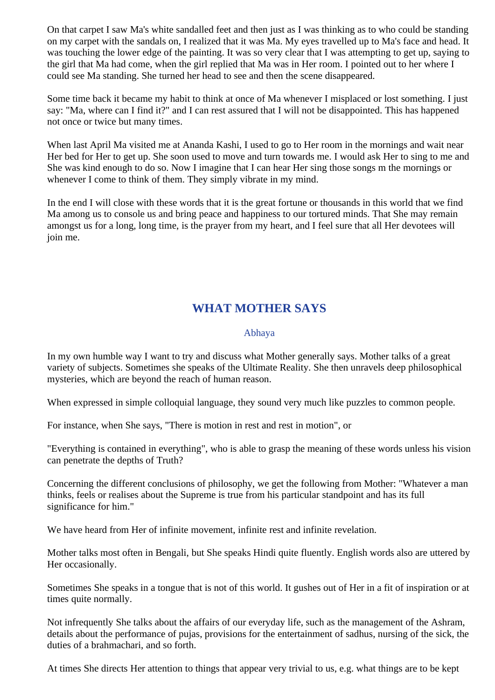On that carpet I saw Ma's white sandalled feet and then just as I was thinking as to who could be standing on my carpet with the sandals on, I realized that it was Ma. My eyes travelled up to Ma's face and head. It was touching the lower edge of the painting. It was so very clear that I was attempting to get up, saying to the girl that Ma had come, when the girl replied that Ma was in Her room. I pointed out to her where I could see Ma standing. She turned her head to see and then the scene disappeared.

Some time back it became my habit to think at once of Ma whenever I misplaced or lost something. I just say: "Ma, where can I find it?" and I can rest assured that I will not be disappointed. This has happened not once or twice but many times.

When last April Ma visited me at Ananda Kashi, I used to go to Her room in the mornings and wait near Her bed for Her to get up. She soon used to move and turn towards me. I would ask Her to sing to me and She was kind enough to do so. Now I imagine that I can hear Her sing those songs m the mornings or whenever I come to think of them. They simply vibrate in my mind.

In the end I will close with these words that it is the great fortune or thousands in this world that we find Ma among us to console us and bring peace and happiness to our tortured minds. That She may remain amongst us for a long, long time, is the prayer from my heart, and I feel sure that all Her devotees will join me.

# **WHAT MOTHER SAYS**

#### Abhaya

In my own humble way I want to try and discuss what Mother generally says. Mother talks of a great variety of subjects. Sometimes she speaks of the Ultimate Reality. She then unravels deep philosophical mysteries, which are beyond the reach of human reason.

When expressed in simple colloquial language, they sound very much like puzzles to common people.

For instance, when She says, "There is motion in rest and rest in motion", or

"Everything is contained in everything", who is able to grasp the meaning of these words unless his vision can penetrate the depths of Truth?

Concerning the different conclusions of philosophy, we get the following from Mother: "Whatever a man thinks, feels or realises about the Supreme is true from his particular standpoint and has its full significance for him."

We have heard from Her of infinite movement, infinite rest and infinite revelation.

Mother talks most often in Bengali, but She speaks Hindi quite fluently. English words also are uttered by Her occasionally.

Sometimes She speaks in a tongue that is not of this world. It gushes out of Her in a fit of inspiration or at times quite normally.

Not infrequently She talks about the affairs of our everyday life, such as the management of the Ashram, details about the performance of pujas, provisions for the entertainment of sadhus, nursing of the sick, the duties of a brahmachari, and so forth.

At times She directs Her attention to things that appear very trivial to us, e.g. what things are to be kept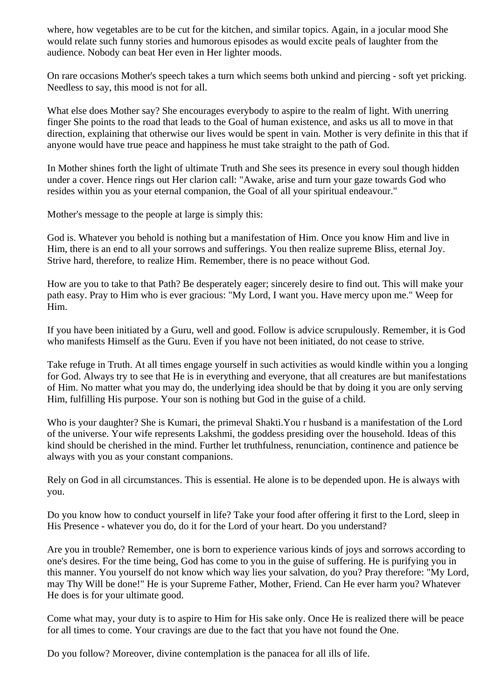where, how vegetables are to be cut for the kitchen, and similar topics. Again, in a jocular mood She would relate such funny stories and humorous episodes as would excite peals of laughter from the audience. Nobody can beat Her even in Her lighter moods.

On rare occasions Mother's speech takes a turn which seems both unkind and piercing - soft yet pricking. Needless to say, this mood is not for all.

What else does Mother say? She encourages everybody to aspire to the realm of light. With unerring finger She points to the road that leads to the Goal of human existence, and asks us all to move in that direction, explaining that otherwise our lives would be spent in vain. Mother is very definite in this that if anyone would have true peace and happiness he must take straight to the path of God.

In Mother shines forth the light of ultimate Truth and She sees its presence in every soul though hidden under a cover. Hence rings out Her clarion call: "Awake, arise and turn your gaze towards God who resides within you as your eternal companion, the Goal of all your spiritual endeavour."

Mother's message to the people at large is simply this:

God is. Whatever you behold is nothing but a manifestation of Him. Once you know Him and live in Him, there is an end to all your sorrows and sufferings. You then realize supreme Bliss, eternal Joy. Strive hard, therefore, to realize Him. Remember, there is no peace without God.

How are you to take to that Path? Be desperately eager; sincerely desire to find out. This will make your path easy. Pray to Him who is ever gracious: "My Lord, I want you. Have mercy upon me." Weep for Him.

If you have been initiated by a Guru, well and good. Follow is advice scrupulously. Remember, it is God who manifests Himself as the Guru. Even if you have not been initiated, do not cease to strive.

Take refuge in Truth. At all times engage yourself in such activities as would kindle within you a longing for God. Always try to see that He is in everything and everyone, that all creatures are but manifestations of Him. No matter what you may do, the underlying idea should be that by doing it you are only serving Him, fulfilling His purpose. Your son is nothing but God in the guise of a child.

Who is your daughter? She is Kumari, the primeval Shakti.You r husband is a manifestation of the Lord of the universe. Your wife represents Lakshmi, the goddess presiding over the household. Ideas of this kind should be cherished in the mind. Further let truthfulness, renunciation, continence and patience be always with you as your constant companions.

Rely on God in all circumstances. This is essential. He alone is to be depended upon. He is always with you.

Do you know how to conduct yourself in life? Take your food after offering it first to the Lord, sleep in His Presence - whatever you do, do it for the Lord of your heart. Do you understand?

Are you in trouble? Remember, one is born to experience various kinds of joys and sorrows according to one's desires. For the time being, God has come to you in the guise of suffering. He is purifying you in this manner. You yourself do not know which way lies your salvation, do you? Pray therefore: "My Lord, may Thy Will be done!" He is your Supreme Father, Mother, Friend. Can He ever harm you? Whatever He does is for your ultimate good.

Come what may, your duty is to aspire to Him for His sake only. Once He is realized there will be peace for all times to come. Your cravings are due to the fact that you have not found the One.

Do you follow? Moreover, divine contemplation is the panacea for all ills of life.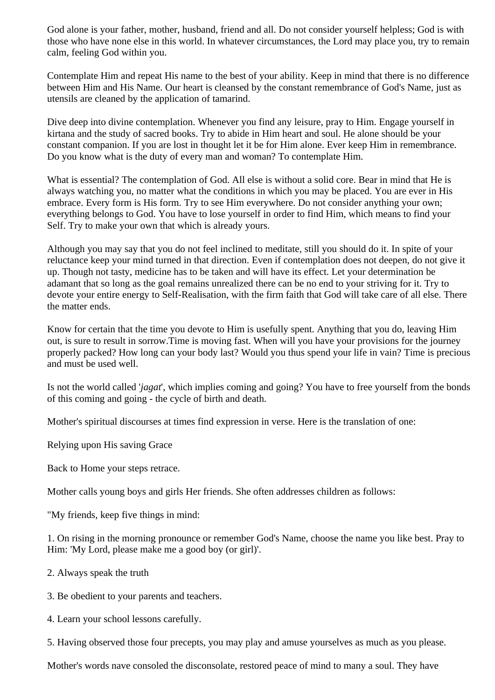God alone is your father, mother, husband, friend and all. Do not consider yourself helpless; God is with those who have none else in this world. In whatever circumstances, the Lord may place you, try to remain calm, feeling God within you.

Contemplate Him and repeat His name to the best of your ability. Keep in mind that there is no difference between Him and His Name. Our heart is cleansed by the constant remembrance of God's Name, just as utensils are cleaned by the application of tamarind.

Dive deep into divine contemplation. Whenever you find any leisure, pray to Him. Engage yourself in kirtana and the study of sacred books. Try to abide in Him heart and soul. He alone should be your constant companion. If you are lost in thought let it be for Him alone. Ever keep Him in remembrance. Do you know what is the duty of every man and woman? To contemplate Him.

What is essential? The contemplation of God. All else is without a solid core. Bear in mind that He is always watching you, no matter what the conditions in which you may be placed. You are ever in His embrace. Every form is His form. Try to see Him everywhere. Do not consider anything your own; everything belongs to God. You have to lose yourself in order to find Him, which means to find your Self. Try to make your own that which is already yours.

Although you may say that you do not feel inclined to meditate, still you should do it. In spite of your reluctance keep your mind turned in that direction. Even if contemplation does not deepen, do not give it up. Though not tasty, medicine has to be taken and will have its effect. Let your determination be adamant that so long as the goal remains unrealized there can be no end to your striving for it. Try to devote your entire energy to Self-Realisation, with the firm faith that God will take care of all else. There the matter ends.

Know for certain that the time you devote to Him is usefully spent. Anything that you do, leaving Him out, is sure to result in sorrow.Time is moving fast. When will you have your provisions for the journey properly packed? How long can your body last? Would you thus spend your life in vain? Time is precious and must be used well.

Is not the world called '*jagat*', which implies coming and going? You have to free yourself from the bonds of this coming and going - the cycle of birth and death.

Mother's spiritual discourses at times find expression in verse. Here is the translation of one:

Relying upon His saving Grace

Back to Home your steps retrace.

Mother calls young boys and girls Her friends. She often addresses children as follows:

"My friends, keep five things in mind:

1. On rising in the morning pronounce or remember God's Name, choose the name you like best. Pray to Him: 'My Lord, please make me a good boy (or girl)'.

2. Always speak the truth

- 3. Be obedient to your parents and teachers.
- 4. Learn your school lessons carefully.

5. Having observed those four precepts, you may play and amuse yourselves as much as you please.

Mother's words nave consoled the disconsolate, restored peace of mind to many a soul. They have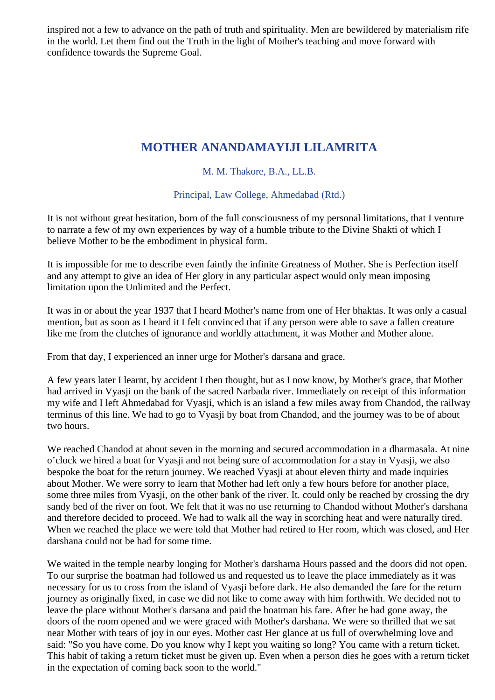inspired not a few to advance on the path of truth and spirituality. Men are bewildered by materialism rife in the world. Let them find out the Truth in the light of Mother's teaching and move forward with confidence towards the Supreme Goal.

# **MOTHER ANANDAMAYIJI LILAMRITA**

### M. M. Thakore, B.A., LL.B.

### Principal, Law College, Ahmedabad (Rtd.)

It is not without great hesitation, born of the full consciousness of my personal limitations, that I venture to narrate a few of my own experiences by way of a humble tribute to the Divine Shakti of which I believe Mother to be the embodiment in physical form.

It is impossible for me to describe even faintly the infinite Greatness of Mother. She is Perfection itself and any attempt to give an idea of Her glory in any particular aspect would only mean imposing limitation upon the Unlimited and the Perfect.

It was in or about the year 1937 that I heard Mother's name from one of Her bhaktas. It was only a casual mention, but as soon as I heard it I felt convinced that if any person were able to save a fallen creature like me from the clutches of ignorance and worldly attachment, it was Mother and Mother alone.

From that day, I experienced an inner urge for Mother's darsana and grace.

A few years later I learnt, by accident I then thought, but as I now know, by Mother's grace, that Mother had arrived in Vyasji on the bank of the sacred Narbada river. Immediately on receipt of this information my wife and I left Ahmedabad for Vyasji, which is an island a few miles away from Chandod, the railway terminus of this line. We had to go to Vyasji by boat from Chandod, and the journey was to be of about two hours.

We reached Chandod at about seven in the morning and secured accommodation in a dharmasala. At nine o'clock we hired a boat for Vyasji and not being sure of accommodation for a stay in Vyasji, we also bespoke the boat for the return journey. We reached Vyasji at about eleven thirty and made inquiries about Mother. We were sorry to learn that Mother had left only a few hours before for another place, some three miles from Vyasji, on the other bank of the river. It. could only be reached by crossing the dry sandy bed of the river on foot. We felt that it was no use returning to Chandod without Mother's darshana and therefore decided to proceed. We had to walk all the way in scorching heat and were naturally tired. When we reached the place we were told that Mother had retired to Her room, which was closed, and Her darshana could not be had for some time.

We waited in the temple nearby longing for Mother's darsharna Hours passed and the doors did not open. To our surprise the boatman had followed us and requested us to leave the place immediately as it was necessary for us to cross from the island of Vyasji before dark. He also demanded the fare for the return journey as originally fixed, in case we did not like to come away with him forthwith. We decided not to leave the place without Mother's darsana and paid the boatman his fare. After he had gone away, the doors of the room opened and we were graced with Mother's darshana. We were so thrilled that we sat near Mother with tears of joy in our eyes. Mother cast Her glance at us full of overwhelming love and said: "So you have come. Do you know why I kept you waiting so long? You came with a return ticket. This habit of taking a return ticket must be given up. Even when a person dies he goes with a return ticket in the expectation of coming back soon to the world."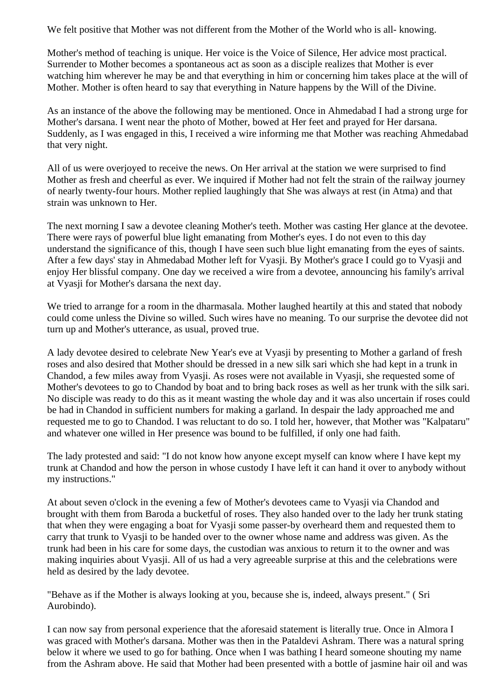We felt positive that Mother was not different from the Mother of the World who is all- knowing.

Mother's method of teaching is unique. Her voice is the Voice of Silence, Her advice most practical. Surrender to Mother becomes a spontaneous act as soon as a disciple realizes that Mother is ever watching him wherever he may be and that everything in him or concerning him takes place at the will of Mother. Mother is often heard to say that everything in Nature happens by the Will of the Divine.

As an instance of the above the following may be mentioned. Once in Ahmedabad I had a strong urge for Mother's darsana. I went near the photo of Mother, bowed at Her feet and prayed for Her darsana. Suddenly, as I was engaged in this, I received a wire informing me that Mother was reaching Ahmedabad that very night.

All of us were overjoyed to receive the news. On Her arrival at the station we were surprised to find Mother as fresh and cheerful as ever. We inquired if Mother had not felt the strain of the railway journey of nearly twenty-four hours. Mother replied laughingly that She was always at rest (in Atma) and that strain was unknown to Her.

The next morning I saw a devotee cleaning Mother's teeth. Mother was casting Her glance at the devotee. There were rays of powerful blue light emanating from Mother's eyes. I do not even to this day understand the significance of this, though I have seen such blue light emanating from the eyes of saints. After a few days' stay in Ahmedabad Mother left for Vyasji. By Mother's grace I could go to Vyasji and enjoy Her blissful company. One day we received a wire from a devotee, announcing his family's arrival at Vyasji for Mother's darsana the next day.

We tried to arrange for a room in the dharmasala. Mother laughed heartily at this and stated that nobody could come unless the Divine so willed. Such wires have no meaning. To our surprise the devotee did not turn up and Mother's utterance, as usual, proved true.

A lady devotee desired to celebrate New Year's eve at Vyasji by presenting to Mother a garland of fresh roses and also desired that Mother should be dressed in a new silk sari which she had kept in a trunk in Chandod, a few miles away from Vyasji. As roses were not available in Vyasji, she requested some of Mother's devotees to go to Chandod by boat and to bring back roses as well as her trunk with the silk sari. No disciple was ready to do this as it meant wasting the whole day and it was also uncertain if roses could be had in Chandod in sufficient numbers for making a garland. In despair the lady approached me and requested me to go to Chandod. I was reluctant to do so. I told her, however, that Mother was "Kalpataru" and whatever one willed in Her presence was bound to be fulfilled, if only one had faith.

The lady protested and said: "I do not know how anyone except myself can know where I have kept my trunk at Chandod and how the person in whose custody I have left it can hand it over to anybody without my instructions."

At about seven o'clock in the evening a few of Mother's devotees came to Vyasji via Chandod and brought with them from Baroda a bucketful of roses. They also handed over to the lady her trunk stating that when they were engaging a boat for Vyasji some passer-by overheard them and requested them to carry that trunk to Vyasji to be handed over to the owner whose name and address was given. As the trunk had been in his care for some days, the custodian was anxious to return it to the owner and was making inquiries about Vyasji. All of us had a very agreeable surprise at this and the celebrations were held as desired by the lady devotee.

"Behave as if the Mother is always looking at you, because she is, indeed, always present." ( Sri Aurobindo).

I can now say from personal experience that the aforesaid statement is literally true. Once in Almora I was graced with Mother's darsana. Mother was then in the Pataldevi Ashram. There was a natural spring below it where we used to go for bathing. Once when I was bathing I heard someone shouting my name from the Ashram above. He said that Mother had been presented with a bottle of jasmine hair oil and was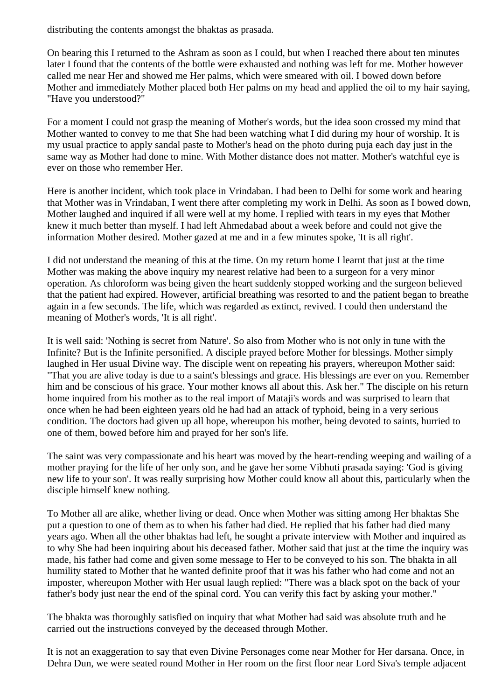distributing the contents amongst the bhaktas as prasada.

On bearing this I returned to the Ashram as soon as I could, but when I reached there about ten minutes later I found that the contents of the bottle were exhausted and nothing was left for me. Mother however called me near Her and showed me Her palms, which were smeared with oil. I bowed down before Mother and immediately Mother placed both Her palms on my head and applied the oil to my hair saying, "Have you understood?"

For a moment I could not grasp the meaning of Mother's words, but the idea soon crossed my mind that Mother wanted to convey to me that She had been watching what I did during my hour of worship. It is my usual practice to apply sandal paste to Mother's head on the photo during puja each day just in the same way as Mother had done to mine. With Mother distance does not matter. Mother's watchful eye is ever on those who remember Her.

Here is another incident, which took place in Vrindaban. I had been to Delhi for some work and hearing that Mother was in Vrindaban, I went there after completing my work in Delhi. As soon as I bowed down, Mother laughed and inquired if all were well at my home. I replied with tears in my eyes that Mother knew it much better than myself. I had left Ahmedabad about a week before and could not give the information Mother desired. Mother gazed at me and in a few minutes spoke, 'It is all right'.

I did not understand the meaning of this at the time. On my return home I learnt that just at the time Mother was making the above inquiry my nearest relative had been to a surgeon for a very minor operation. As chloroform was being given the heart suddenly stopped working and the surgeon believed that the patient had expired. However, artificial breathing was resorted to and the patient began to breathe again in a few seconds. The life, which was regarded as extinct, revived. I could then understand the meaning of Mother's words, 'It is all right'.

It is well said: 'Nothing is secret from Nature'. So also from Mother who is not only in tune with the Infinite? But is the Infinite personified. A disciple prayed before Mother for blessings. Mother simply laughed in Her usual Divine way. The disciple went on repeating his prayers, whereupon Mother said: "That you are alive today is due to a saint's blessings and grace. His blessings are ever on you. Remember him and be conscious of his grace. Your mother knows all about this. Ask her." The disciple on his return home inquired from his mother as to the real import of Mataji's words and was surprised to learn that once when he had been eighteen years old he had had an attack of typhoid, being in a very serious condition. The doctors had given up all hope, whereupon his mother, being devoted to saints, hurried to one of them, bowed before him and prayed for her son's life.

The saint was very compassionate and his heart was moved by the heart-rending weeping and wailing of a mother praying for the life of her only son, and he gave her some Vibhuti prasada saying: 'God is giving new life to your son'. It was really surprising how Mother could know all about this, particularly when the disciple himself knew nothing.

To Mother all are alike, whether living or dead. Once when Mother was sitting among Her bhaktas She put a question to one of them as to when his father had died. He replied that his father had died many years ago. When all the other bhaktas had left, he sought a private interview with Mother and inquired as to why She had been inquiring about his deceased father. Mother said that just at the time the inquiry was made, his father had come and given some message to Her to be conveyed to his son. The bhakta in all humility stated to Mother that he wanted definite proof that it was his father who had come and not an imposter, whereupon Mother with Her usual laugh replied: "There was a black spot on the back of your father's body just near the end of the spinal cord. You can verify this fact by asking your mother."

The bhakta was thoroughly satisfied on inquiry that what Mother had said was absolute truth and he carried out the instructions conveyed by the deceased through Mother.

It is not an exaggeration to say that even Divine Personages come near Mother for Her darsana. Once, in Dehra Dun, we were seated round Mother in Her room on the first floor near Lord Siva's temple adjacent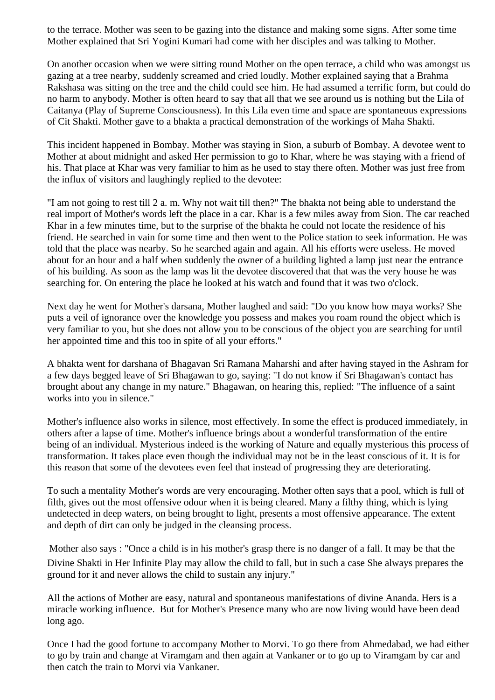to the terrace. Mother was seen to be gazing into the distance and making some signs. After some time Mother explained that Sri Yogini Kumari had come with her disciples and was talking to Mother.

On another occasion when we were sitting round Mother on the open terrace, a child who was amongst us gazing at a tree nearby, suddenly screamed and cried loudly. Mother explained saying that a Brahma Rakshasa was sitting on the tree and the child could see him. He had assumed a terrific form, but could do no harm to anybody. Mother is often heard to say that all that we see around us is nothing but the Lila of Caitanya (Play of Supreme Consciousness). In this Lila even time and space are spontaneous expressions of Cit Shakti. Mother gave to a bhakta a practical demonstration of the workings of Maha Shakti.

This incident happened in Bombay. Mother was staying in Sion, a suburb of Bombay. A devotee went to Mother at about midnight and asked Her permission to go to Khar, where he was staying with a friend of his. That place at Khar was very familiar to him as he used to stay there often. Mother was just free from the influx of visitors and laughingly replied to the devotee:

"I am not going to rest till 2 a. m. Why not wait till then?" The bhakta not being able to understand the real import of Mother's words left the place in a car. Khar is a few miles away from Sion. The car reached Khar in a few minutes time, but to the surprise of the bhakta he could not locate the residence of his friend. He searched in vain for some time and then went to the Police station to seek information. He was told that the place was nearby. So he searched again and again. All his efforts were useless. He moved about for an hour and a half when suddenly the owner of a building lighted a lamp just near the entrance of his building. As soon as the lamp was lit the devotee discovered that that was the very house he was searching for. On entering the place he looked at his watch and found that it was two o'clock.

Next day he went for Mother's darsana, Mother laughed and said: "Do you know how maya works? She puts a veil of ignorance over the knowledge you possess and makes you roam round the object which is very familiar to you, but she does not allow you to be conscious of the object you are searching for until her appointed time and this too in spite of all your efforts."

A bhakta went for darshana of Bhagavan Sri Ramana Maharshi and after having stayed in the Ashram for a few days begged leave of Sri Bhagawan to go, saying: "I do not know if Sri Bhagawan's contact has brought about any change in my nature." Bhagawan, on hearing this, replied: "The influence of a saint works into you in silence."

Mother's influence also works in silence, most effectively. In some the effect is produced immediately, in others after a lapse of time. Mother's influence brings about a wonderful transformation of the entire being of an individual. Mysterious indeed is the working of Nature and equally mysterious this process of transformation. It takes place even though the individual may not be in the least conscious of it. It is for this reason that some of the devotees even feel that instead of progressing they are deteriorating.

To such a mentality Mother's words are very encouraging. Mother often says that a pool, which is full of filth, gives out the most offensive odour when it is being cleared. Many a filthy thing, which is lying undetected in deep waters, on being brought to light, presents a most offensive appearance. The extent and depth of dirt can only be judged in the cleansing process.

Mother also says : "Once a child is in his mother's grasp there is no danger of a fall. It may be that the Divine Shakti in Her Infinite Play may allow the child to fall, but in such a case She always prepares the ground for it and never allows the child to sustain any injury."

All the actions of Mother are easy, natural and spontaneous manifestations of divine Ananda. Hers is a miracle working influence. But for Mother's Presence many who are now living would have been dead long ago.

Once I had the good fortune to accompany Mother to Morvi. To go there from Ahmedabad, we had either to go by train and change at Viramgam and then again at Vankaner or to go up to Viramgam by car and then catch the train to Morvi via Vankaner.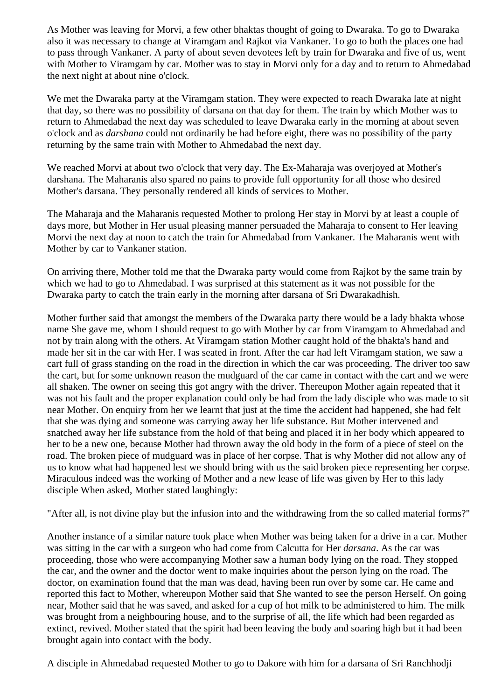As Mother was leaving for Morvi, a few other bhaktas thought of going to Dwaraka. To go to Dwaraka also it was necessary to change at Viramgam and Rajkot via Vankaner. To go to both the places one had to pass through Vankaner. A party of about seven devotees left by train for Dwaraka and five of us, went with Mother to Viramgam by car. Mother was to stay in Morvi only for a day and to return to Ahmedabad the next night at about nine o'clock.

We met the Dwaraka party at the Viramgam station. They were expected to reach Dwaraka late at night that day, so there was no possibility of darsana on that day for them. The train by which Mother was to return to Ahmedabad the next day was scheduled to leave Dwaraka early in the morning at about seven o'clock and as *darshana* could not ordinarily be had before eight, there was no possibility of the party returning by the same train with Mother to Ahmedabad the next day.

We reached Morvi at about two o'clock that very day. The Ex-Maharaja was overjoyed at Mother's darshana. The Maharanis also spared no pains to provide full opportunity for all those who desired Mother's darsana. They personally rendered all kinds of services to Mother.

The Maharaja and the Maharanis requested Mother to prolong Her stay in Morvi by at least a couple of days more, but Mother in Her usual pleasing manner persuaded the Maharaja to consent to Her leaving Morvi the next day at noon to catch the train for Ahmedabad from Vankaner. The Maharanis went with Mother by car to Vankaner station.

On arriving there, Mother told me that the Dwaraka party would come from Rajkot by the same train by which we had to go to Ahmedabad. I was surprised at this statement as it was not possible for the Dwaraka party to catch the train early in the morning after darsana of Sri Dwarakadhish.

Mother further said that amongst the members of the Dwaraka party there would be a lady bhakta whose name She gave me, whom I should request to go with Mother by car from Viramgam to Ahmedabad and not by train along with the others. At Viramgam station Mother caught hold of the bhakta's hand and made her sit in the car with Her. I was seated in front. After the car had left Viramgam station, we saw a cart full of grass standing on the road in the direction in which the car was proceeding. The driver too saw the cart, but for some unknown reason the mudguard of the car came in contact with the cart and we were all shaken. The owner on seeing this got angry with the driver. Thereupon Mother again repeated that it was not his fault and the proper explanation could only be had from the lady disciple who was made to sit near Mother. On enquiry from her we learnt that just at the time the accident had happened, she had felt that she was dying and someone was carrying away her life substance. But Mother intervened and snatched away her life substance from the hold of that being and placed it in her body which appeared to her to be a new one, because Mother had thrown away the old body in the form of a piece of steel on the road. The broken piece of mudguard was in place of her corpse. That is why Mother did not allow any of us to know what had happened lest we should bring with us the said broken piece representing her corpse. Miraculous indeed was the working of Mother and a new lease of life was given by Her to this lady disciple When asked, Mother stated laughingly:

"After all, is not divine play but the infusion into and the withdrawing from the so called material forms?"

Another instance of a similar nature took place when Mother was being taken for a drive in a car. Mother was sitting in the car with a surgeon who had come from Calcutta for Her *darsana*. As the car was proceeding, those who were accompanying Mother saw a human body lying on the road. They stopped the car, and the owner and the doctor went to make inquiries about the person lying on the road. The doctor, on examination found that the man was dead, having been run over by some car. He came and reported this fact to Mother, whereupon Mother said that She wanted to see the person Herself. On going near, Mother said that he was saved, and asked for a cup of hot milk to be administered to him. The milk was brought from a neighbouring house, and to the surprise of all, the life which had been regarded as extinct, revived. Mother stated that the spirit had been leaving the body and soaring high but it had been brought again into contact with the body.

A disciple in Ahmedabad requested Mother to go to Dakore with him for a darsana of Sri Ranchhodji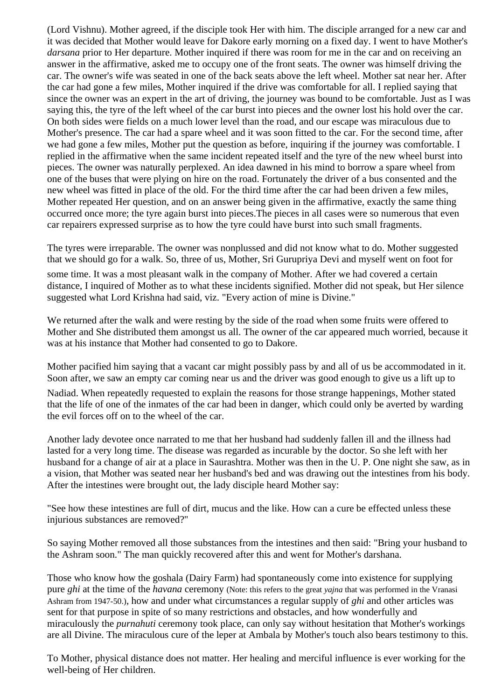(Lord Vishnu). Mother agreed, if the disciple took Her with him. The disciple arranged for a new car and it was decided that Mother would leave for Dakore early morning on a fixed day. I went to have Mother's *darsana* prior to Her departure. Mother inquired if there was room for me in the car and on receiving an answer in the affirmative, asked me to occupy one of the front seats. The owner was himself driving the car. The owner's wife was seated in one of the back seats above the left wheel. Mother sat near her. After the car had gone a few miles, Mother inquired if the drive was comfortable for all. I replied saying that since the owner was an expert in the art of driving, the journey was bound to be comfortable. Just as I was saying this, the tyre of the left wheel of the car burst into pieces and the owner lost his hold over the car. On both sides were fields on a much lower level than the road, and our escape was miraculous due to Mother's presence. The car had a spare wheel and it was soon fitted to the car. For the second time, after we had gone a few miles, Mother put the question as before, inquiring if the journey was comfortable. I replied in the affirmative when the same incident repeated itself and the tyre of the new wheel burst into pieces. The owner was naturally perplexed. An idea dawned in his mind to borrow a spare wheel from one of the buses that were plying on hire on the road. Fortunately the driver of a bus consented and the new wheel was fitted in place of the old. For the third time after the car had been driven a few miles, Mother repeated Her question, and on an answer being given in the affirmative, exactly the same thing occurred once more; the tyre again burst into pieces.The pieces in all cases were so numerous that even car repairers expressed surprise as to how the tyre could have burst into such small fragments.

The tyres were irreparable. The owner was nonplussed and did not know what to do. Mother suggested that we should go for a walk. So, three of us, Mother, Sri Gurupriya Devi and myself went on foot for

some time. It was a most pleasant walk in the company of Mother. After we had covered a certain distance, I inquired of Mother as to what these incidents signified. Mother did not speak, but Her silence suggested what Lord Krishna had said, viz. "Every action of mine is Divine."

We returned after the walk and were resting by the side of the road when some fruits were offered to Mother and She distributed them amongst us all. The owner of the car appeared much worried, because it was at his instance that Mother had consented to go to Dakore.

Mother pacified him saying that a vacant car might possibly pass by and all of us be accommodated in it. Soon after, we saw an empty car coming near us and the driver was good enough to give us a lift up to

Nadiad. When repeatedly requested to explain the reasons for those strange happenings, Mother stated that the life of one of the inmates of the car had been in danger, which could only be averted by warding the evil forces off on to the wheel of the car.

Another lady devotee once narrated to me that her husband had suddenly fallen ill and the illness had lasted for a very long time. The disease was regarded as incurable by the doctor. So she left with her husband for a change of air at a place in Saurashtra. Mother was then in the U. P. One night she saw, as in a vision, that Mother was seated near her husband's bed and was drawing out the intestines from his body. After the intestines were brought out, the lady disciple heard Mother say:

"See how these intestines are full of dirt, mucus and the like. How can a cure be effected unless these injurious substances are removed?"

So saying Mother removed all those substances from the intestines and then said: "Bring your husband to the Ashram soon." The man quickly recovered after this and went for Mother's darshana.

Those who know how the goshala (Dairy Farm) had spontaneously come into existence for supplying pure *ghi* at the time of the *havana* ceremony (Note: this refers to the great *yajna* that was performed in the Vranasi Ashram from 1947-50.), how and under what circumstances a regular supply of *ghi* and other articles was sent for that purpose in spite of so many restrictions and obstacles, and how wonderfully and miraculously the *purnahuti* ceremony took place, can only say without hesitation that Mother's workings are all Divine. The miraculous cure of the leper at Ambala by Mother's touch also bears testimony to this.

To Mother, physical distance does not matter. Her healing and merciful influence is ever working for the well-being of Her children.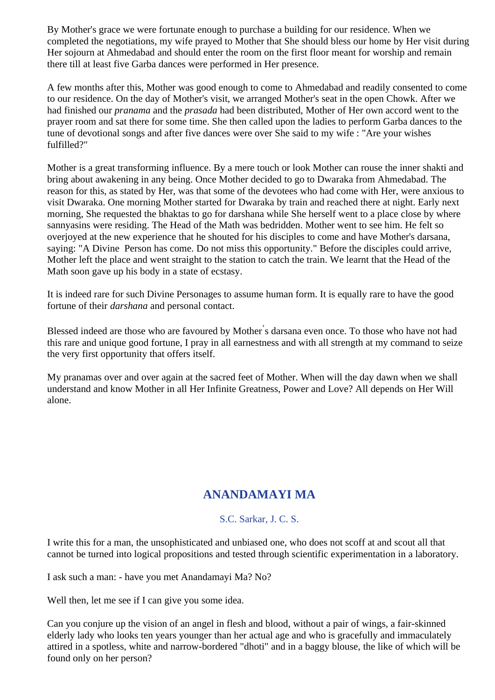By Mother's grace we were fortunate enough to purchase a building for our residence. When we completed the negotiations, my wife prayed to Mother that She should bless our home by Her visit during Her sojourn at Ahmedabad and should enter the room on the first floor meant for worship and remain there till at least five Garba dances were performed in Her presence.

A few months after this, Mother was good enough to come to Ahmedabad and readily consented to come to our residence. On the day of Mother's visit, we arranged Mother's seat in the open Chowk. After we had finished our *pranama* and the *prasada* had been distributed, Mother of Her own accord went to the prayer room and sat there for some time. She then called upon the ladies to perform Garba dances to the tune of devotional songs and after five dances were over She said to my wife : "Are your wishes fulfilled?"

Mother is a great transforming influence. By a mere touch or look Mother can rouse the inner shakti and bring about awakening in any being. Once Mother decided to go to Dwaraka from Ahmedabad. The reason for this, as stated by Her, was that some of the devotees who had come with Her, were anxious to visit Dwaraka. One morning Mother started for Dwaraka by train and reached there at night. Early next morning, She requested the bhaktas to go for darshana while She herself went to a place close by where sannyasins were residing. The Head of the Math was bedridden. Mother went to see him. He felt so overjoyed at the new experience that he shouted for his disciples to come and have Mother's darsana, saying: "A Divine Person has come. Do not miss this opportunity." Before the disciples could arrive, Mother left the place and went straight to the station to catch the train. We learnt that the Head of the Math soon gave up his body in a state of ecstasy.

It is indeed rare for such Divine Personages to assume human form. It is equally rare to have the good fortune of their *darshana* and personal contact.

Blessed indeed are those who are favoured by Mother' s darsana even once. To those who have not had this rare and unique good fortune, I pray in all earnestness and with all strength at my command to seize the very first opportunity that offers itself.

My pranamas over and over again at the sacred feet of Mother. When will the day dawn when we shall understand and know Mother in all Her Infinite Greatness, Power and Love? All depends on Her Will alone.

### **ANANDAMAYI MA**

S.C. Sarkar, J. C. S.

I write this for a man, the unsophisticated and unbiased one, who does not scoff at and scout all that cannot be turned into logical propositions and tested through scientific experimentation in a laboratory.

I ask such a man: - have you met Anandamayi Ma? No?

Well then, let me see if I can give you some idea.

Can you conjure up the vision of an angel in flesh and blood, without a pair of wings, a fair-skinned elderly lady who looks ten years younger than her actual age and who is gracefully and immaculately attired in a spotless, white and narrow-bordered "dhoti" and in a baggy blouse, the like of which will be found only on her person?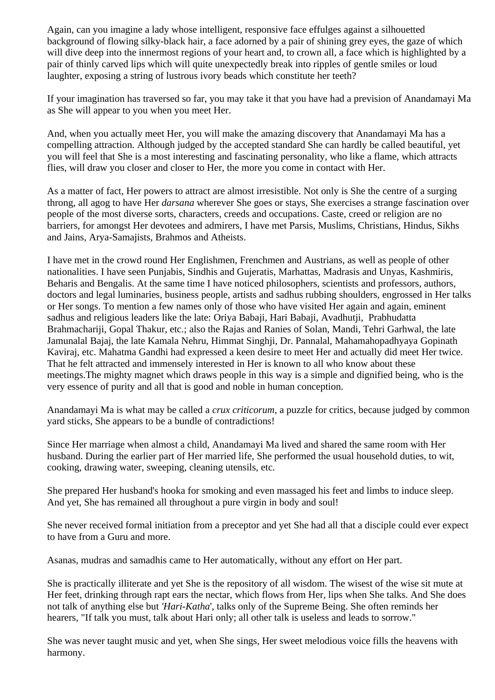Again, can you imagine a lady whose intelligent, responsive face effulges against a silhouetted background of flowing silky-black hair, a face adorned by a pair of shining grey eyes, the gaze of which will dive deep into the innermost regions of your heart and, to crown all, a face which is highlighted by a pair of thinly carved lips which will quite unexpectedly break into ripples of gentle smiles or loud laughter, exposing a string of lustrous ivory beads which constitute her teeth?

If your imagination has traversed so far, you may take it that you have had a prevision of Anandamayi Ma as She will appear to you when you meet Her.

And, when you actually meet Her, you will make the amazing discovery that Anandamayi Ma has a compelling attraction. Although judged by the accepted standard She can hardly be called beautiful, yet you will feel that She is a most interesting and fascinating personality, who like a flame, which attracts flies, will draw you closer and closer to Her, the more you come in contact with Her.

As a matter of fact, Her powers to attract are almost irresistible. Not only is She the centre of a surging throng, all agog to have Her *darsana* wherever She goes or stays, She exercises a strange fascination over people of the most diverse sorts, characters, creeds and occupations. Caste, creed or religion are no barriers, for amongst Her devotees and admirers, I have met Parsis, Muslims, Christians, Hindus, Sikhs and Jains, Arya-Samajists, Brahmos and Atheists.

I have met in the crowd round Her Englishmen, Frenchmen and Austrians, as well as people of other nationalities. I have seen Punjabis, Sindhis and Gujeratis, Marhattas, Madrasis and Unyas, Kashmiris, Beharis and Bengalis. At the same time I have noticed philosophers, scientists and professors, authors, doctors and legal luminaries, business people, artists and sadhus rubbing shoulders, engrossed in Her talks or Her songs. To mention a few names only of those who have visited Her again and again, eminent sadhus and religious leaders like the late: Oriya Babaji, Hari Babaji, Avadhutji, Prabhudatta Brahmachariji, Gopal Thakur, etc.; also the Rajas and Ranies of Solan, Mandi, Tehri Garhwal, the late Jamunalal Bajaj, the late Kamala Nehru, Himmat Singhji, Dr. Pannalal, Mahamahopadhyaya Gopinath Kaviraj, etc. Mahatma Gandhi had expressed a keen desire to meet Her and actually did meet Her twice. That he felt attracted and immensely interested in Her is known to all who know about these meetings.The mighty magnet which draws people in this way is a simple and dignified being, who is the very essence of purity and all that is good and noble in human conception.

Anandamayi Ma is what may be called a *crux criticorum*, a puzzle for critics, because judged by common yard sticks, She appears to be a bundle of contradictions!

Since Her marriage when almost a child, Anandamayi Ma lived and shared the same room with Her husband. During the earlier part of Her married life, She performed the usual household duties, to wit, cooking, drawing water, sweeping, cleaning utensils, etc.

She prepared Her husband's hooka for smoking and even massaged his feet and limbs to induce sleep. And yet, She has remained all throughout a pure virgin in body and soul!

She never received formal initiation from a preceptor and yet She had all that a disciple could ever expect to have from a Guru and more.

Asanas, mudras and samadhis came to Her automatically, without any effort on Her part.

She is practically illiterate and yet She is the repository of all wisdom. The wisest of the wise sit mute at Her feet, drinking through rapt ears the nectar, which flows from Her, lips when She talks. And She does not talk of anything else but *'Hari-Katha*', talks only of the Supreme Being. She often reminds her hearers, "If talk you must, talk about Hari only; all other talk is useless and leads to sorrow."

She was never taught music and yet, when She sings, Her sweet melodious voice fills the heavens with harmony.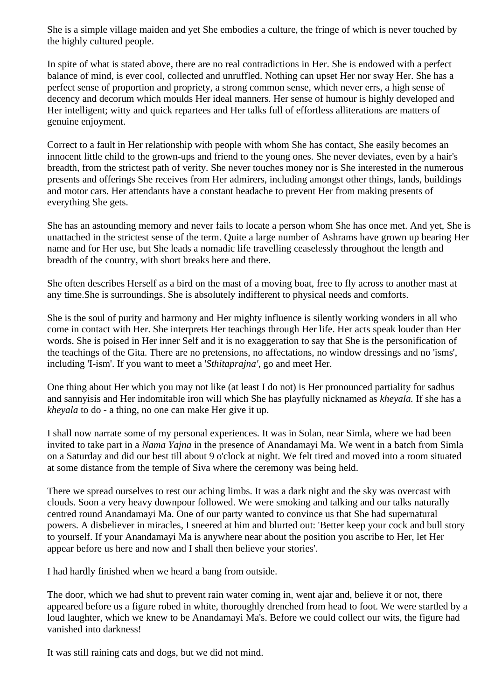She is a simple village maiden and yet She embodies a culture, the fringe of which is never touched by the highly cultured people.

In spite of what is stated above, there are no real contradictions in Her. She is endowed with a perfect balance of mind, is ever cool, collected and unruffled. Nothing can upset Her nor sway Her. She has a perfect sense of proportion and propriety, a strong common sense, which never errs, a high sense of decency and decorum which moulds Her ideal manners. Her sense of humour is highly developed and Her intelligent; witty and quick repartees and Her talks full of effortless alliterations are matters of genuine enjoyment.

Correct to a fault in Her relationship with people with whom She has contact, She easily becomes an innocent little child to the grown-ups and friend to the young ones. She never deviates, even by a hair's breadth, from the strictest path of verity. She never touches money nor is She interested in the numerous presents and offerings She receives from Her admirers, including amongst other things, lands, buildings and motor cars. Her attendants have a constant headache to prevent Her from making presents of everything She gets.

She has an astounding memory and never fails to locate a person whom She has once met. And yet, She is unattached in the strictest sense of the term. Quite a large number of Ashrams have grown up bearing Her name and for Her use, but She leads a nomadic life travelling ceaselessly throughout the length and breadth of the country, with short breaks here and there.

She often describes Herself as a bird on the mast of a moving boat, free to fly across to another mast at any time.She is surroundings. She is absolutely indifferent to physical needs and comforts.

She is the soul of purity and harmony and Her mighty influence is silently working wonders in all who come in contact with Her. She interprets Her teachings through Her life. Her acts speak louder than Her words. She is poised in Her inner Self and it is no exaggeration to say that She is the personification of the teachings of the Gita. There are no pretensions, no affectations, no window dressings and no 'isms', including 'I-ism'. If you want to meet a '*Sthitaprajna'*, go and meet Her.

One thing about Her which you may not like (at least I do not) is Her pronounced partiality for sadhus and sannyisis and Her indomitable iron will which She has playfully nicknamed as *kheyala.* If she has a *kheyala* to do - a thing, no one can make Her give it up.

I shall now narrate some of my personal experiences. It was in Solan, near Simla, where we had been invited to take part in a *Nama Yajna* in the presence of Anandamayi Ma. We went in a batch from Simla on a Saturday and did our best till about 9 o'clock at night. We felt tired and moved into a room situated at some distance from the temple of Siva where the ceremony was being held.

There we spread ourselves to rest our aching limbs. It was a dark night and the sky was overcast with clouds. Soon a very heavy downpour followed. We were smoking and talking and our talks naturally centred round Anandamayi Ma. One of our party wanted to convince us that She had supernatural powers. A disbeliever in miracles, I sneered at him and blurted out: 'Better keep your cock and bull story to yourself. If your Anandamayi Ma is anywhere near about the position you ascribe to Her, let Her appear before us here and now and I shall then believe your stories'.

I had hardly finished when we heard a bang from outside.

The door, which we had shut to prevent rain water coming in, went ajar and, believe it or not, there appeared before us a figure robed in white, thoroughly drenched from head to foot. We were startled by a loud laughter, which we knew to be Anandamayi Ma's. Before we could collect our wits, the figure had vanished into darkness!

It was still raining cats and dogs, but we did not mind.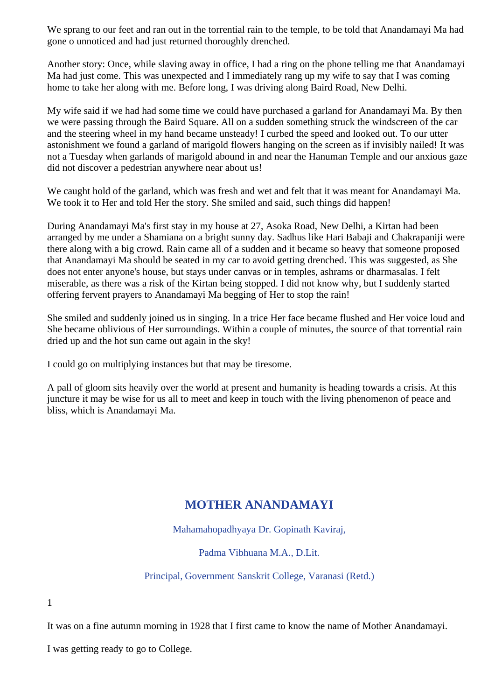We sprang to our feet and ran out in the torrential rain to the temple, to be told that Anandamayi Ma had gone o unnoticed and had just returned thoroughly drenched.

Another story: Once, while slaving away in office, I had a ring on the phone telling me that Anandamayi Ma had just come. This was unexpected and I immediately rang up my wife to say that I was coming home to take her along with me. Before long, I was driving along Baird Road, New Delhi.

My wife said if we had had some time we could have purchased a garland for Anandamayi Ma. By then we were passing through the Baird Square. All on a sudden something struck the windscreen of the car and the steering wheel in my hand became unsteady! I curbed the speed and looked out. To our utter astonishment we found a garland of marigold flowers hanging on the screen as if invisibly nailed! It was not a Tuesday when garlands of marigold abound in and near the Hanuman Temple and our anxious gaze did not discover a pedestrian anywhere near about us!

We caught hold of the garland, which was fresh and wet and felt that it was meant for Anandamayi Ma. We took it to Her and told Her the story. She smiled and said, such things did happen!

During Anandamayi Ma's first stay in my house at 27, Asoka Road, New Delhi, a Kirtan had been arranged by me under a Shamiana on a bright sunny day. Sadhus like Hari Babaji and Chakrapaniji were there along with a big crowd. Rain came all of a sudden and it became so heavy that someone proposed that Anandamayi Ma should be seated in my car to avoid getting drenched. This was suggested, as She does not enter anyone's house, but stays under canvas or in temples, ashrams or dharmasalas. I felt miserable, as there was a risk of the Kirtan being stopped. I did not know why, but I suddenly started offering fervent prayers to Anandamayi Ma begging of Her to stop the rain!

She smiled and suddenly joined us in singing. In a trice Her face became flushed and Her voice loud and She became oblivious of Her surroundings. Within a couple of minutes, the source of that torrential rain dried up and the hot sun came out again in the sky!

I could go on multiplying instances but that may be tiresome.

A pall of gloom sits heavily over the world at present and humanity is heading towards a crisis. At this juncture it may be wise for us all to meet and keep in touch with the living phenomenon of peace and bliss, which is Anandamayi Ma.

### **MOTHER ANANDAMAYI**

Mahamahopadhyaya Dr. Gopinath Kaviraj,

Padma Vibhuana M.A., D.Lit.

Principal, Government Sanskrit College, Varanasi (Retd.)

1

It was on a fine autumn morning in 1928 that I first came to know the name of Mother Anandamayi.

I was getting ready to go to College.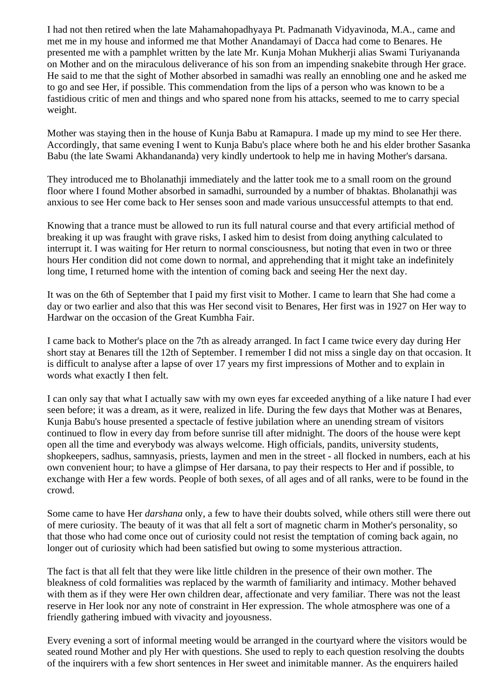I had not then retired when the late Mahamahopadhyaya Pt. Padmanath Vidyavinoda, M.A., came and met me in my house and informed me that Mother Anandamayi of Dacca had come to Benares. He presented me with a pamphlet written by the late Mr. Kunja Mohan Mukherji alias Swami Turiyananda on Mother and on the miraculous deliverance of his son from an impending snakebite through Her grace. He said to me that the sight of Mother absorbed in samadhi was really an ennobling one and he asked me to go and see Her, if possible. This commendation from the lips of a person who was known to be a fastidious critic of men and things and who spared none from his attacks, seemed to me to carry special weight.

Mother was staying then in the house of Kunja Babu at Ramapura. I made up my mind to see Her there. Accordingly, that same evening I went to Kunja Babu's place where both he and his elder brother Sasanka Babu (the late Swami Akhandananda) very kindly undertook to help me in having Mother's darsana.

They introduced me to Bholanathji immediately and the latter took me to a small room on the ground floor where I found Mother absorbed in samadhi, surrounded by a number of bhaktas. Bholanathji was anxious to see Her come back to Her senses soon and made various unsuccessful attempts to that end.

Knowing that a trance must be allowed to run its full natural course and that every artificial method of breaking it up was fraught with grave risks, I asked him to desist from doing anything calculated to interrupt it. I was waiting for Her return to normal consciousness, but noting that even in two or three hours Her condition did not come down to normal, and apprehending that it might take an indefinitely long time, I returned home with the intention of coming back and seeing Her the next day.

It was on the 6th of September that I paid my first visit to Mother. I came to learn that She had come a day or two earlier and also that this was Her second visit to Benares, Her first was in 1927 on Her way to Hardwar on the occasion of the Great Kumbha Fair.

I came back to Mother's place on the 7th as already arranged. In fact I came twice every day during Her short stay at Benares till the 12th of September. I remember I did not miss a single day on that occasion. It is difficult to analyse after a lapse of over 17 years my first impressions of Mother and to explain in words what exactly I then felt.

I can only say that what I actually saw with my own eyes far exceeded anything of a like nature I had ever seen before; it was a dream, as it were, realized in life. During the few days that Mother was at Benares, Kunja Babu's house presented a spectacle of festive jubilation where an unending stream of visitors continued to flow in every day from before sunrise till after midnight. The doors of the house were kept open all the time and everybody was always welcome. High officials, pandits, university students, shopkeepers, sadhus, samnyasis, priests, laymen and men in the street - all flocked in numbers, each at his own convenient hour; to have a glimpse of Her darsana, to pay their respects to Her and if possible, to exchange with Her a few words. People of both sexes, of all ages and of all ranks, were to be found in the crowd.

Some came to have Her *darshana* only, a few to have their doubts solved, while others still were there out of mere curiosity. The beauty of it was that all felt a sort of magnetic charm in Mother's personality, so that those who had come once out of curiosity could not resist the temptation of coming back again, no longer out of curiosity which had been satisfied but owing to some mysterious attraction.

The fact is that all felt that they were like little children in the presence of their own mother. The bleakness of cold formalities was replaced by the warmth of familiarity and intimacy. Mother behaved with them as if they were Her own children dear, affectionate and very familiar. There was not the least reserve in Her look nor any note of constraint in Her expression. The whole atmosphere was one of a friendly gathering imbued with vivacity and joyousness.

Every evening a sort of informal meeting would be arranged in the courtyard where the visitors would be seated round Mother and ply Her with questions. She used to reply to each question resolving the doubts of the inquirers with a few short sentences in Her sweet and inimitable manner. As the enquirers hailed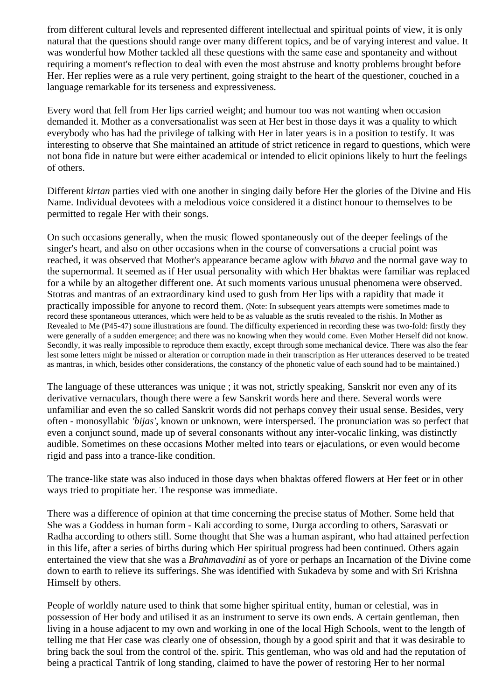from different cultural levels and represented different intellectual and spiritual points of view, it is only natural that the questions should range over many different topics, and be of varying interest and value. It was wonderful how Mother tackled all these questions with the same ease and spontaneity and without requiring a moment's reflection to deal with even the most abstruse and knotty problems brought before Her. Her replies were as a rule very pertinent, going straight to the heart of the questioner, couched in a language remarkable for its terseness and expressiveness.

Every word that fell from Her lips carried weight; and humour too was not wanting when occasion demanded it. Mother as a conversationalist was seen at Her best in those days it was a quality to which everybody who has had the privilege of talking with Her in later years is in a position to testify. It was interesting to observe that She maintained an attitude of strict reticence in regard to questions, which were not bona fide in nature but were either academical or intended to elicit opinions likely to hurt the feelings of others.

Different *kirtan* parties vied with one another in singing daily before Her the glories of the Divine and His Name. Individual devotees with a melodious voice considered it a distinct honour to themselves to be permitted to regale Her with their songs.

On such occasions generally, when the music flowed spontaneously out of the deeper feelings of the singer's heart, and also on other occasions when in the course of conversations a crucial point was reached, it was observed that Mother's appearance became aglow with *bhava* and the normal gave way to the supernormal. It seemed as if Her usual personality with which Her bhaktas were familiar was replaced for a while by an altogether different one. At such moments various unusual phenomena were observed. Stotras and mantras of an extraordinary kind used to gush from Her lips with a rapidity that made it practically impossible for anyone to record them. (Note: In subsequent years attempts were sometimes made to record these spontaneous utterances, which were held to be as valuable as the srutis revealed to the rishis. In Mother as Revealed to Me (P45-47) some illustrations are found. The difficulty experienced in recording these was two-fold: firstly they were generally of a sudden emergence; and there was no knowing when they would come. Even Mother Herself did not know. Secondly, it was really impossible to reproduce them exactly, except through some mechanical device. There was also the fear lest some letters might be missed or alteration or corruption made in their transcription as Her utterances deserved to be treated as mantras, in which, besides other considerations, the constancy of the phonetic value of each sound had to be maintained.)

The language of these utterances was unique ; it was not, strictly speaking, Sanskrit nor even any of its derivative vernaculars, though there were a few Sanskrit words here and there. Several words were unfamiliar and even the so called Sanskrit words did not perhaps convey their usual sense. Besides, very often - monosyllabic *'bijas'*, known or unknown, were interspersed. The pronunciation was so perfect that even a conjunct sound, made up of several consonants without any inter-vocalic linking, was distinctly audible. Sometimes on these occasions Mother melted into tears or ejaculations, or even would become rigid and pass into a trance-like condition.

The trance-like state was also induced in those days when bhaktas offered flowers at Her feet or in other ways tried to propitiate her. The response was immediate.

There was a difference of opinion at that time concerning the precise status of Mother. Some held that She was a Goddess in human form - Kali according to some, Durga according to others, Sarasvati or Radha according to others still. Some thought that She was a human aspirant, who had attained perfection in this life, after a series of births during which Her spiritual progress had been continued. Others again entertained the view that she was a *Brahmavadini* as of yore or perhaps an Incarnation of the Divine come down to earth to relieve its sufferings. She was identified with Sukadeva by some and with Sri Krishna Himself by others.

People of worldly nature used to think that some higher spiritual entity, human or celestial, was in possession of Her body and utilised it as an instrument to serve its own ends. A certain gentleman, then living in a house adjacent to my own and working in one of the local High Schools, went to the length of telling me that Her case was clearly one of obsession, though by a good spirit and that it was desirable to bring back the soul from the control of the. spirit. This gentleman, who was old and had the reputation of being a practical Tantrik of long standing, claimed to have the power of restoring Her to her normal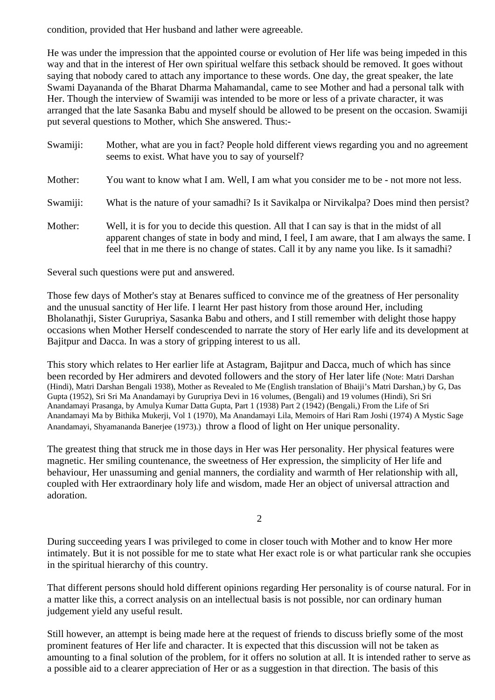condition, provided that Her husband and lather were agreeable.

He was under the impression that the appointed course or evolution of Her life was being impeded in this way and that in the interest of Her own spiritual welfare this setback should be removed. It goes without saying that nobody cared to attach any importance to these words. One day, the great speaker, the late Swami Dayananda of the Bharat Dharma Mahamandal, came to see Mother and had a personal talk with Her. Though the interview of Swamiji was intended to be more or less of a private character, it was arranged that the late Sasanka Babu and myself should be allowed to be present on the occasion. Swamiji put several questions to Mother, which She answered. Thus:-

| Swamiji: | Mother, what are you in fact? People hold different views regarding you and no agreement<br>seems to exist. What have you to say of yourself?                                                                                                                                             |
|----------|-------------------------------------------------------------------------------------------------------------------------------------------------------------------------------------------------------------------------------------------------------------------------------------------|
| Mother:  | You want to know what I am. Well, I am what you consider me to be - not more not less.                                                                                                                                                                                                    |
| Swamiji: | What is the nature of your samadhi? Is it Savikalpa or Nirvikalpa? Does mind then persist?                                                                                                                                                                                                |
| Mother:  | Well, it is for you to decide this question. All that I can say is that in the midst of all<br>apparent changes of state in body and mind, I feel, I am aware, that I am always the same. I<br>feel that in me there is no change of states. Call it by any name you like. Is it samadhi? |

Several such questions were put and answered.

Those few days of Mother's stay at Benares sufficed to convince me of the greatness of Her personality and the unusual sanctity of Her life. I learnt Her past history from those around Her, including Bholanathji, Sister Gurupriya, Sasanka Babu and others, and I still remember with delight those happy occasions when Mother Herself condescended to narrate the story of Her early life and its development at Bajitpur and Dacca. In was a story of gripping interest to us all.

This story which relates to Her earlier life at Astagram, Bajitpur and Dacca, much of which has since been recorded by Her admirers and devoted followers and the story of Her later life (Note: Matri Darshan (Hindi), Matri Darshan Bengali 1938), Mother as Revealed to Me (English translation of Bhaiji's Matri Darshan,) by G, Das Gupta (1952), Sri Sri Ma Anandamayi by Gurupriya Devi in 16 volumes, (Bengali) and 19 volumes (Hindi), Sri Sri Anandamayi Prasanga, by Amulya Kumar Datta Gupta, Part 1 (1938) Part 2 (1942) (Bengali,) From the Life of Sri Anandamayi Ma by Bithika Mukerji, Vol 1 (1970), Ma Anandamayi Lila, Memoirs of Hari Ram Joshi (1974) A Mystic Sage Anandamayi, Shyamananda Banerjee (1973).) throw a flood of light on Her unique personality.

The greatest thing that struck me in those days in Her was Her personality. Her physical features were magnetic. Her smiling countenance, the sweetness of Her expression, the simplicity of Her life and behaviour, Her unassuming and genial manners, the cordiality and warmth of Her relationship with all, coupled with Her extraordinary holy life and wisdom, made Her an object of universal attraction and adoration.

 $\overline{2}$ 

During succeeding years I was privileged to come in closer touch with Mother and to know Her more intimately. But it is not possible for me to state what Her exact role is or what particular rank she occupies in the spiritual hierarchy of this country.

That different persons should hold different opinions regarding Her personality is of course natural. For in a matter like this, a correct analysis on an intellectual basis is not possible, nor can ordinary human judgement yield any useful result.

Still however, an attempt is being made here at the request of friends to discuss briefly some of the most prominent features of Her life and character. It is expected that this discussion will not be taken as amounting to a final solution of the problem, for it offers no solution at all. It is intended rather to serve as a possible aid to a clearer appreciation of Her or as a suggestion in that direction. The basis of this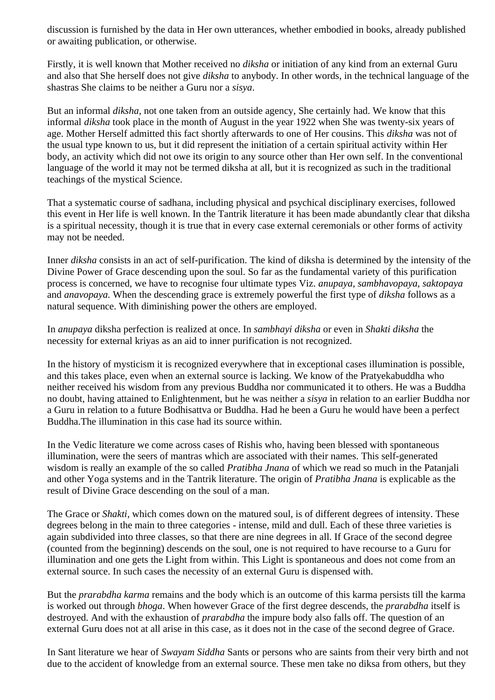discussion is furnished by the data in Her own utterances, whether embodied in books, already published or awaiting publication, or otherwise.

Firstly, it is well known that Mother received no *diksha* or initiation of any kind from an external Guru and also that She herself does not give *diksha* to anybody. In other words, in the technical language of the shastras She claims to be neither a Guru nor a *sisya*.

But an informal *diksha*, not one taken from an outside agency, She certainly had. We know that this informal *diksha* took place in the month of August in the year 1922 when She was twenty-six years of age. Mother Herself admitted this fact shortly afterwards to one of Her cousins. This *diksha* was not of the usual type known to us, but it did represent the initiation of a certain spiritual activity within Her body, an activity which did not owe its origin to any source other than Her own self. In the conventional language of the world it may not be termed diksha at all, but it is recognized as such in the traditional teachings of the mystical Science.

That a systematic course of sadhana, including physical and psychical disciplinary exercises, followed this event in Her life is well known. In the Tantrik literature it has been made abundantly clear that diksha is a spiritual necessity, though it is true that in every case external ceremonials or other forms of activity may not be needed.

Inner *diksha* consists in an act of self-purification. The kind of diksha is determined by the intensity of the Divine Power of Grace descending upon the soul. So far as the fundamental variety of this purification process is concerned, we have to recognise four ultimate types Viz. *anupaya, sambhavopaya, saktopaya*  and *anavopaya.* When the descending grace is extremely powerful the first type of *diksha* follows as a natural sequence. With diminishing power the others are employed.

In *anupaya* diksha perfection is realized at once. In *sambhayi diksha* or even in *Shakti diksha* the necessity for external kriyas as an aid to inner purification is not recognized.

In the history of mysticism it is recognized everywhere that in exceptional cases illumination is possible, and this takes place, even when an external source is lacking. We know of the Pratyekabuddha who neither received his wisdom from any previous Buddha nor communicated it to others. He was a Buddha no doubt, having attained to Enlightenment, but he was neither a *sisya* in relation to an earlier Buddha nor a Guru in relation to a future Bodhisattva or Buddha. Had he been a Guru he would have been a perfect Buddha.The illumination in this case had its source within.

In the Vedic literature we come across cases of Rishis who, having been blessed with spontaneous illumination, were the seers of mantras which are associated with their names. This self-generated wisdom is really an example of the so called *Pratibha Jnana* of which we read so much in the Patanjali and other Yoga systems and in the Tantrik literature. The origin of *Pratibha Jnana* is explicable as the result of Divine Grace descending on the soul of a man.

The Grace or *Shakti*, which comes down on the matured soul, is of different degrees of intensity. These degrees belong in the main to three categories - intense, mild and dull. Each of these three varieties is again subdivided into three classes, so that there are nine degrees in all. If Grace of the second degree (counted from the beginning) descends on the soul, one is not required to have recourse to a Guru for illumination and one gets the Light from within. This Light is spontaneous and does not come from an external source. In such cases the necessity of an external Guru is dispensed with.

But the *prarabdha karma* remains and the body which is an outcome of this karma persists till the karma is worked out through *bhoga*. When however Grace of the first degree descends, the *prarabdha* itself is destroyed. And with the exhaustion of *prarabdha* the impure body also falls off. The question of an external Guru does not at all arise in this case, as it does not in the case of the second degree of Grace.

In Sant literature we hear of *Swayam Siddha* Sants or persons who are saints from their very birth and not due to the accident of knowledge from an external source. These men take no diksa from others, but they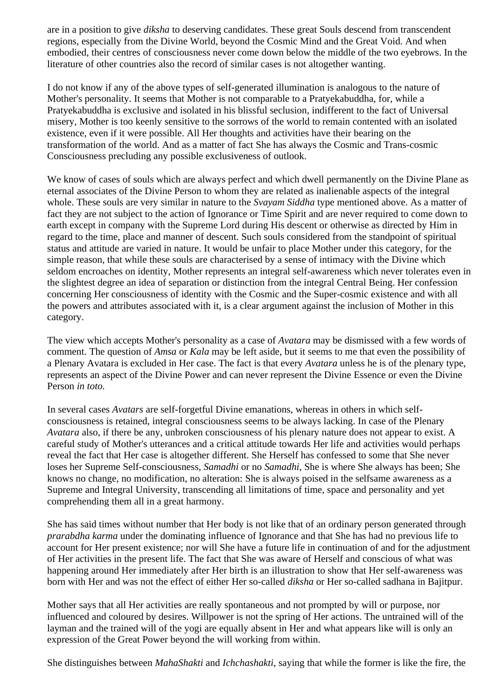are in a position to give *diksha* to deserving candidates. These great Souls descend from transcendent regions, especially from the Divine World, beyond the Cosmic Mind and the Great Void. And when embodied, their centres of consciousness never come down below the middle of the two eyebrows. In the literature of other countries also the record of similar cases is not altogether wanting.

I do not know if any of the above types of self-generated illumination is analogous to the nature of Mother's personality. It seems that Mother is not comparable to a Pratyekabuddha, for, while a Pratyekabuddha is exclusive and isolated in his blissful seclusion, indifferent to the fact of Universal misery, Mother is too keenly sensitive to the sorrows of the world to remain contented with an isolated existence, even if it were possible. All Her thoughts and activities have their bearing on the transformation of the world. And as a matter of fact She has always the Cosmic and Trans-cosmic Consciousness precluding any possible exclusiveness of outlook.

We know of cases of souls which are always perfect and which dwell permanently on the Divine Plane as eternal associates of the Divine Person to whom they are related as inalienable aspects of the integral whole. These souls are very similar in nature to the *Svayam Siddha* type mentioned above. As a matter of fact they are not subject to the action of Ignorance or Time Spirit and are never required to come down to earth except in company with the Supreme Lord during His descent or otherwise as directed by Him in regard to the time, place and manner of descent. Such souls considered from the standpoint of spiritual status and attitude are varied in nature. It would be unfair to place Mother under this category, for the simple reason, that while these souls are characterised by a sense of intimacy with the Divine which seldom encroaches on identity, Mother represents an integral self-awareness which never tolerates even in the slightest degree an idea of separation or distinction from the integral Central Being. Her confession concerning Her consciousness of identity with the Cosmic and the Super-cosmic existence and with all the powers and attributes associated with it, is a clear argument against the inclusion of Mother in this category.

The view which accepts Mother's personality as a case of *Avatara* may be dismissed with a few words of comment. The question of *Amsa* or *Kala* may be left aside, but it seems to me that even the possibility of a Plenary Avatara is excluded in Her case. The fact is that every *Avatara* unless he is of the plenary type, represents an aspect of the Divine Power and can never represent the Divine Essence or even the Divine Person *in toto.* 

In several cases *Avatars* are self-forgetful Divine emanations, whereas in others in which selfconsciousness is retained, integral consciousness seems to be always lacking. In case of the Plenary *Avatara* also, if there be any, unbroken consciousness of his plenary nature does not appear to exist. A careful study of Mother's utterances and a critical attitude towards Her life and activities would perhaps reveal the fact that Her case is altogether different. She Herself has confessed to some that She never loses her Supreme Self-consciousness, *Samadhi* or no *Samadhi*, She is where She always has been; She knows no change, no modification, no alteration: She is always poised in the selfsame awareness as a Supreme and Integral University, transcending all limitations of time, space and personality and yet comprehending them all in a great harmony.

She has said times without number that Her body is not like that of an ordinary person generated through *prarabdha karma* under the dominating influence of Ignorance and that She has had no previous life to account for Her present existence; nor will She have a future life in continuation of and for the adjustment of Her activities in the present life. The fact that She was aware of Herself and conscious of what was happening around Her immediately after Her birth is an illustration to show that Her self-awareness was born with Her and was not the effect of either Her so-called *diksha* or Her so-called sadhana in Bajitpur.

Mother says that all Her activities are really spontaneous and not prompted by will or purpose, nor influenced and coloured by desires. Willpower is not the spring of Her actions. The untrained will of the layman and the trained will of the yogi are equally absent in Her and what appears like will is only an expression of the Great Power beyond the will working from within.

She distinguishes between *MahaShakti* and *Ichchashakti*, saying that while the former is like the fire, the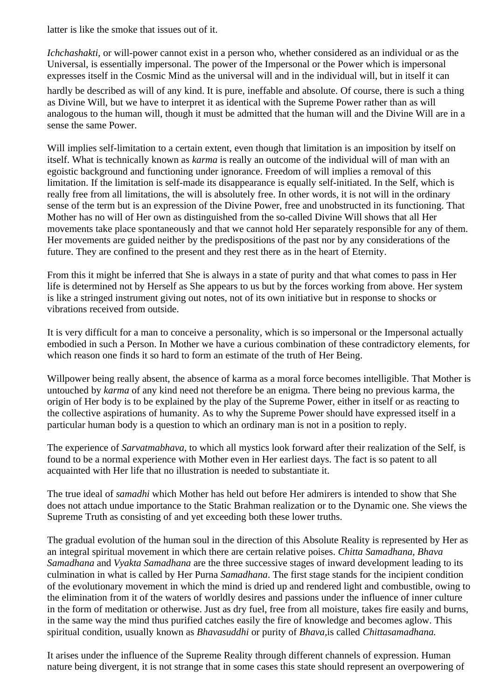latter is like the smoke that issues out of it.

*Ichchashakti,* or will-power cannot exist in a person who, whether considered as an individual or as the Universal, is essentially impersonal. The power of the Impersonal or the Power which is impersonal expresses itself in the Cosmic Mind as the universal will and in the individual will, but in itself it can

hardly be described as will of any kind. It is pure, ineffable and absolute. Of course, there is such a thing as Divine Will, but we have to interpret it as identical with the Supreme Power rather than as will analogous to the human will, though it must be admitted that the human will and the Divine Will are in a sense the same Power.

Will implies self-limitation to a certain extent, even though that limitation is an imposition by itself on itself. What is technically known as *karma* is really an outcome of the individual will of man with an egoistic background and functioning under ignorance. Freedom of will implies a removal of this limitation. If the limitation is self-made its disappearance is equally self-initiated. In the Self, which is really free from all limitations, the will is absolutely free. In other words, it is not will in the ordinary sense of the term but is an expression of the Divine Power, free and unobstructed in its functioning. That Mother has no will of Her own as distinguished from the so-called Divine Will shows that all Her movements take place spontaneously and that we cannot hold Her separately responsible for any of them. Her movements are guided neither by the predispositions of the past nor by any considerations of the future. They are confined to the present and they rest there as in the heart of Eternity.

From this it might be inferred that She is always in a state of purity and that what comes to pass in Her life is determined not by Herself as She appears to us but by the forces working from above. Her system is like a stringed instrument giving out notes, not of its own initiative but in response to shocks or vibrations received from outside.

It is very difficult for a man to conceive a personality, which is so impersonal or the Impersonal actually embodied in such a Person. In Mother we have a curious combination of these contradictory elements, for which reason one finds it so hard to form an estimate of the truth of Her Being.

Willpower being really absent, the absence of karma as a moral force becomes intelligible. That Mother is untouched by *karma* of any kind need not therefore be an enigma. There being no previous karma, the origin of Her body is to be explained by the play of the Supreme Power, either in itself or as reacting to the collective aspirations of humanity. As to why the Supreme Power should have expressed itself in a particular human body is a question to which an ordinary man is not in a position to reply.

The experience of *Sarvatmabhava,* to which all mystics look forward after their realization of the Self, is found to be a normal experience with Mother even in Her earliest days. The fact is so patent to all acquainted with Her life that no illustration is needed to substantiate it.

The true ideal of *samadhi* which Mother has held out before Her admirers is intended to show that She does not attach undue importance to the Static Brahman realization or to the Dynamic one. She views the Supreme Truth as consisting of and yet exceeding both these lower truths.

The gradual evolution of the human soul in the direction of this Absolute Reality is represented by Her as an integral spiritual movement in which there are certain relative poises. *Chitta Samadhana, Bhava Samadhana* and *Vyakta Samadhana* are the three successive stages of inward development leading to its culmination in what is called by Her Purna *Samadhana*. The first stage stands for the incipient condition of the evolutionary movement in which the mind is dried up and rendered light and combustible, owing to the elimination from it of the waters of worldly desires and passions under the influence of inner culture in the form of meditation or otherwise. Just as dry fuel, free from all moisture, takes fire easily and burns, in the same way the mind thus purified catches easily the fire of knowledge and becomes aglow. This spiritual condition, usually known as *Bhavasuddhi* or purity of *Bhava,*is called *Chittasamadhana.*

It arises under the influence of the Supreme Reality through different channels of expression. Human nature being divergent, it is not strange that in some cases this state should represent an overpowering of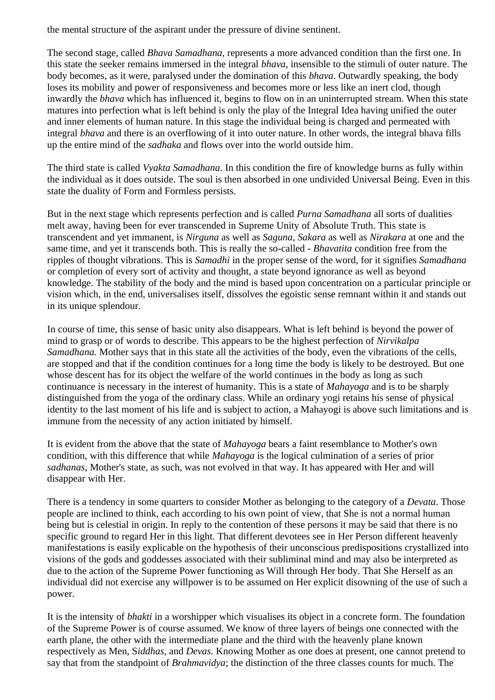the mental structure of the aspirant under the pressure of divine sentinent.

The second stage, called *Bhava Samadhana*, represents a more advanced condition than the first one. In this state the seeker remains immersed in the integral *bhava*, insensible to the stimuli of outer nature. The body becomes, as it were, paralysed under the domination of this *bhava*. Outwardly speaking, the body loses its mobility and power of responsiveness and becomes more or less like an inert clod, though inwardly the *bhava* which has influenced it, begins to flow on in an uninterrupted stream. When this state matures into perfection what is left behind is only the play of the Integral Idea having unified the outer and inner elements of human nature. In this stage the individual being is charged and permeated with integral *bhava* and there is an overflowing of it into outer nature. In other words, the integral bhava fills up the entire mind of the *sadhaka* and flows over into the world outside him.

The third state is called *Vyakta Samadhana*. In this condition the fire of knowledge burns as fully within the individual as it does outside. The soul is then absorbed in one undivided Universal Being. Even in this state the duality of Form and Formless persists.

But in the next stage which represents perfection and is called *Purna Samadhana* all sorts of dualities melt away, having been for ever transcended in Supreme Unity of Absolute Truth. This state is transcendent and yet immanent, is *Nirguna* as well as *Saguna, Sakara* as well as *Nirakara* at one and the same time, and yet it transcends both. This is really the so-called - *Bhavatita* condition free from the ripples of thought vibrations. This is *Samadhi* in the proper sense of the word, for it signifies *Samadhana* or completion of every sort of activity and thought, a state beyond ignorance as well as beyond knowledge. The stability of the body and the mind is based upon concentration on a particular principle or vision which, in the end, universalises itself, dissolves the egoistic sense remnant within it and stands out in its unique splendour.

In course of time, this sense of basic unity also disappears. What is left behind is beyond the power of mind to grasp or of words to describe. This appears to be the highest perfection of *Nirvikalpa Samadhana.* Mother says that in this state all the activities of the body, even the vibrations of the cells, are stopped and that if the condition continues for a long time the body is likely to be destroyed. But one whose descent has for its object the welfare of the world continues in the body as long as such continuance is necessary in the interest of humanity. This is a state of *Mahayoga* and is to be sharply distinguished from the yoga of the ordinary class. While an ordinary yogi retains his sense of physical identity to the last moment of his life and is subject to action, a Mahayogi is above such limitations and is immune from the necessity of any action initiated by himself.

It is evident from the above that the state of *Mahayoga* bears a faint resemblance to Mother's own condition, with this difference that while *Mahayoga* is the logical culmination of a series of prior *sadhanas*, Mother's state, as such, was not evolved in that way. It has appeared with Her and will disappear with Her.

There is a tendency in some quarters to consider Mother as belonging to the category of a *Devata*. Those people are inclined to think, each according to his own point of view, that She is not a normal human being but is celestial in origin. In reply to the contention of these persons it may be said that there is no specific ground to regard Her in this light. That different devotees see in Her Person different heavenly manifestations is easily explicable on the hypothesis of their unconscious predispositions crystallized into visions of the gods and goddesses associated with their subliminal mind and may also be interpreted as due to the action of the Supreme Power functioning as Will through Her body. That She Herself as an individual did not exercise any willpower is to be assumed on Her explicit disowning of the use of such a power.

It is the intensity of *bhakti* in a worshipper which visualises its object in a concrete form. The foundation of the Supreme Power is of course assumed. We know of three layers of beings one connected with the earth plane, the other with the intermediate plane and the third with the heavenly plane known respectively as Men, S*iddhas,* and *Devas.* Knowing Mother as one does at present, one cannot pretend to say that from the standpoint of *Brahmavidya*; the distinction of the three classes counts for much. The